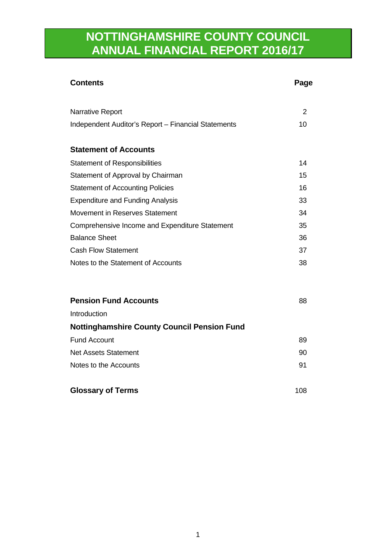# **NOTTINGHAMSHIRE COUNTY COUNCIL ANNUAL FINANCIAL REPORT 2016/17**

| <b>Contents</b>                                     | Page |
|-----------------------------------------------------|------|
| Narrative Report                                    | 2    |
| Independent Auditor's Report - Financial Statements | 10   |
| <b>Statement of Accounts</b>                        |      |
| <b>Statement of Responsibilities</b>                | 14   |
| Statement of Approval by Chairman                   | 15   |
| <b>Statement of Accounting Policies</b>             | 16   |
| <b>Expenditure and Funding Analysis</b>             | 33   |
| Movement in Reserves Statement                      | 34   |
| Comprehensive Income and Expenditure Statement      | 35   |
| <b>Balance Sheet</b>                                | 36   |
| <b>Cash Flow Statement</b>                          | 37   |
| Notes to the Statement of Accounts                  | 38   |
| <b>Pension Fund Accounts</b>                        | 88   |
| Introduction                                        |      |
| <b>Nottinghamshire County Council Pension Fund</b>  |      |
| <b>Fund Account</b>                                 | 89   |
| <b>Net Assets Statement</b>                         | 90   |
| Notes to the Accounts                               | 91   |
| <b>Glossary of Terms</b>                            | 108  |
|                                                     |      |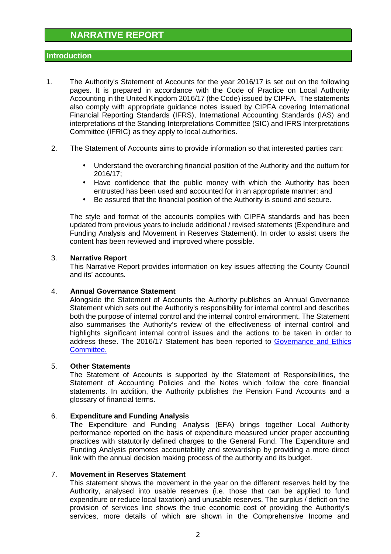## **Introduction**

- 1. The Authority's Statement of Accounts for the year 2016/17 is set out on the following pages. It is prepared in accordance with the Code of Practice on Local Authority Accounting in the United Kingdom 2016/17 (the Code) issued by CIPFA. The statements also comply with appropriate guidance notes issued by CIPFA covering International Financial Reporting Standards (IFRS), International Accounting Standards (IAS) and interpretations of the Standing Interpretations Committee (SIC) and IFRS Interpretations Committee (IFRIC) as they apply to local authorities.
	- 2. The Statement of Accounts aims to provide information so that interested parties can:
		- Understand the overarching financial position of the Authority and the outturn for 2016/17;
		- Have confidence that the public money with which the Authority has been entrusted has been used and accounted for in an appropriate manner; and
		- Be assured that the financial position of the Authority is sound and secure.

The style and format of the accounts complies with CIPFA standards and has been updated from previous years to include additional / revised statements (Expenditure and Funding Analysis and Movement in Reserves Statement). In order to assist users the content has been reviewed and improved where possible.

### 3. **Narrative Report**

This Narrative Report provides information on key issues affecting the County Council and its' accounts.

### 4. **Annual Governance Statement**

Alongside the Statement of Accounts the Authority publishes an Annual Governance Statement which sets out the Authority's responsibility for internal control and describes both the purpose of internal control and the internal control environment. The Statement also summarises the Authority's review of the effectiveness of internal control and highlights significant internal control issues and the actions to be taken in order to address these. The 2016/17 Statement has been reported to Governance and Ethics Committee.

### 5. **Other Statements**

The Statement of Accounts is supported by the Statement of Responsibilities, the Statement of Accounting Policies and the Notes which follow the core financial statements. In addition, the Authority publishes the Pension Fund Accounts and a glossary of financial terms.

### 6. **Expenditure and Funding Analysis**

The Expenditure and Funding Analysis (EFA) brings together Local Authority performance reported on the basis of expenditure measured under proper accounting practices with statutorily defined charges to the General Fund. The Expenditure and Funding Analysis promotes accountability and stewardship by providing a more direct link with the annual decision making process of the authority and its budget.

#### 7. **Movement in Reserves Statement**

This statement shows the movement in the year on the different reserves held by the Authority, analysed into usable reserves (i.e. those that can be applied to fund expenditure or reduce local taxation) and unusable reserves. The surplus / deficit on the provision of services line shows the true economic cost of providing the Authority's services, more details of which are shown in the Comprehensive Income and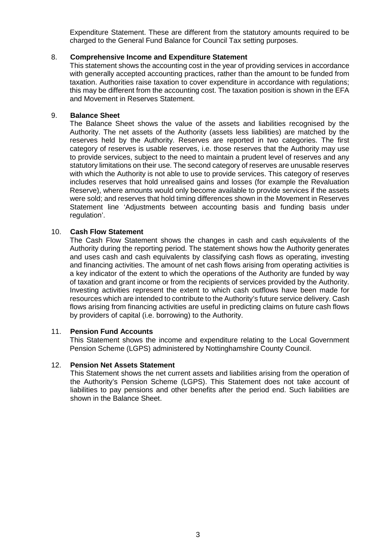Expenditure Statement. These are different from the statutory amounts required to be charged to the General Fund Balance for Council Tax setting purposes.

#### 8. **Comprehensive Income and Expenditure Statement**

This statement shows the accounting cost in the year of providing services in accordance with generally accepted accounting practices, rather than the amount to be funded from taxation. Authorities raise taxation to cover expenditure in accordance with regulations; this may be different from the accounting cost. The taxation position is shown in the EFA and Movement in Reserves Statement.

#### 9. **Balance Sheet**

The Balance Sheet shows the value of the assets and liabilities recognised by the Authority. The net assets of the Authority (assets less liabilities) are matched by the reserves held by the Authority. Reserves are reported in two categories. The first category of reserves is usable reserves, i.e. those reserves that the Authority may use to provide services, subject to the need to maintain a prudent level of reserves and any statutory limitations on their use. The second category of reserves are unusable reserves with which the Authority is not able to use to provide services. This category of reserves includes reserves that hold unrealised gains and losses (for example the Revaluation Reserve), where amounts would only become available to provide services if the assets were sold; and reserves that hold timing differences shown in the Movement in Reserves Statement line 'Adjustments between accounting basis and funding basis under regulation'.

#### 10. **Cash Flow Statement**

The Cash Flow Statement shows the changes in cash and cash equivalents of the Authority during the reporting period. The statement shows how the Authority generates and uses cash and cash equivalents by classifying cash flows as operating, investing and financing activities. The amount of net cash flows arising from operating activities is a key indicator of the extent to which the operations of the Authority are funded by way of taxation and grant income or from the recipients of services provided by the Authority. Investing activities represent the extent to which cash outflows have been made for resources which are intended to contribute to the Authority's future service delivery. Cash flows arising from financing activities are useful in predicting claims on future cash flows by providers of capital (i.e. borrowing) to the Authority.

#### 11. **Pension Fund Accounts**

This Statement shows the income and expenditure relating to the Local Government Pension Scheme (LGPS) administered by Nottinghamshire County Council.

#### 12. **Pension Net Assets Statement**

This Statement shows the net current assets and liabilities arising from the operation of the Authority's Pension Scheme (LGPS). This Statement does not take account of liabilities to pay pensions and other benefits after the period end. Such liabilities are shown in the Balance Sheet.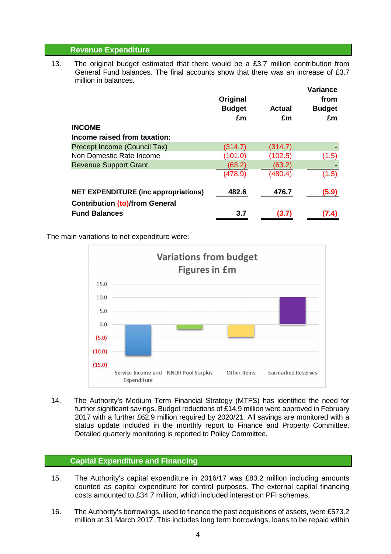#### **Revenue Expenditure**

13. The original budget estimated that there would be a £3.7 million contribution from General Fund balances. The final accounts show that there was an increase of £3.7 million in balances.

|                                             | Original<br><b>Budget</b><br>£m | Actual<br>£m | <b>Variance</b><br>from<br><b>Budget</b><br>£m |
|---------------------------------------------|---------------------------------|--------------|------------------------------------------------|
| <b>INCOME</b>                               |                                 |              |                                                |
| Income raised from taxation:                |                                 |              |                                                |
| Precept Income (Council Tax)                | (314.7)                         | (314.7)      |                                                |
| Non Domestic Rate Income                    | (101.0)                         | (102.5)      | (1.5)                                          |
| <b>Revenue Support Grant</b>                | (63.2)                          | (63.2)       |                                                |
|                                             | (478.9)                         | (480.4)      | (1.5)                                          |
| <b>NET EXPENDITURE (inc appropriations)</b> | 482.6                           | 476.7        | (5.9)                                          |
| <b>Contribution (to)/from General</b>       |                                 |              |                                                |
| <b>Fund Balances</b>                        | 3.7                             | (3.7)        |                                                |

The main variations to net expenditure were:



14. The Authority's Medium Term Financial Strategy (MTFS) has identified the need for further significant savings. Budget reductions of £14.9 million were approved in February 2017 with a further £62.9 million required by 2020/21. All savings are monitored with a status update included in the monthly report to Finance and Property Committee. Detailed quarterly monitoring is reported to Policy Committee.

### **Capital Expenditure and Financing**

- 15. The Authority's capital expenditure in 2016/17 was £83.2 million including amounts counted as capital expenditure for control purposes. The external capital financing costs amounted to £34.7 million, which included interest on PFI schemes.
- 16. The Authority's borrowings, used to finance the past acquisitions of assets, were £573.2 million at 31 March 2017. This includes long term borrowings, loans to be repaid within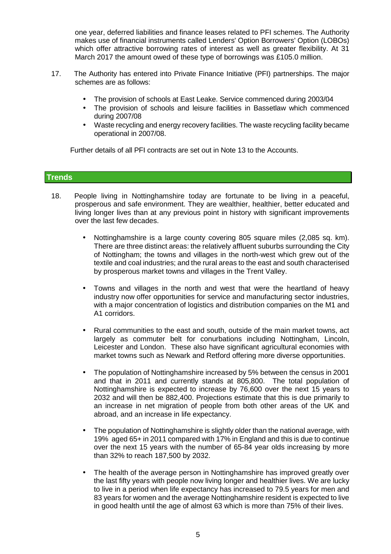one year, deferred liabilities and finance leases related to PFI schemes. The Authority makes use of financial instruments called Lenders' Option Borrowers' Option (LOBOs) which offer attractive borrowing rates of interest as well as greater flexibility. At 31 March 2017 the amount owed of these type of borrowings was £105.0 million.

- 17. The Authority has entered into Private Finance Initiative (PFI) partnerships. The major schemes are as follows:
	- The provision of schools at East Leake. Service commenced during 2003/04
	- The provision of schools and leisure facilities in Bassetlaw which commenced during 2007/08
	- Waste recycling and energy recovery facilities. The waste recycling facility became operational in 2007/08.

Further details of all PFI contracts are set out in Note 13 to the Accounts.

### **Trends**

- 18. People living in Nottinghamshire today are fortunate to be living in a peaceful, prosperous and safe environment. They are wealthier, healthier, better educated and living longer lives than at any previous point in history with significant improvements over the last few decades.
	- Nottinghamshire is a large county covering 805 square miles (2,085 sq. km). There are three distinct areas: the relatively affluent suburbs surrounding the City of Nottingham; the towns and villages in the north-west which grew out of the textile and coal industries; and the rural areas to the east and south characterised by prosperous market towns and villages in the Trent Valley.
	- Towns and villages in the north and west that were the heartland of heavy industry now offer opportunities for service and manufacturing sector industries, with a major concentration of logistics and distribution companies on the M1 and A1 corridors.
	- Rural communities to the east and south, outside of the main market towns, act largely as commuter belt for conurbations including Nottingham, Lincoln, Leicester and London. These also have significant agricultural economies with market towns such as Newark and Retford offering more diverse opportunities.
	- The population of Nottinghamshire increased by 5% between the census in 2001 and that in 2011 and currently stands at 805,800. The total population of Nottinghamshire is expected to increase by 76,600 over the next 15 years to 2032 and will then be 882,400. Projections estimate that this is due primarily to an increase in net migration of people from both other areas of the UK and abroad, and an increase in life expectancy.
	- The population of Nottinghamshire is slightly older than the national average, with 19% aged 65+ in 2011 compared with 17% in England and this is due to continue over the next 15 years with the number of 65-84 year olds increasing by more than 32% to reach 187,500 by 2032.
	- The health of the average person in Nottinghamshire has improved greatly over the last fifty years with people now living longer and healthier lives. We are lucky to live in a period when life expectancy has increased to 79.5 years for men and 83 years for women and the average Nottinghamshire resident is expected to live in good health until the age of almost 63 which is more than 75% of their lives.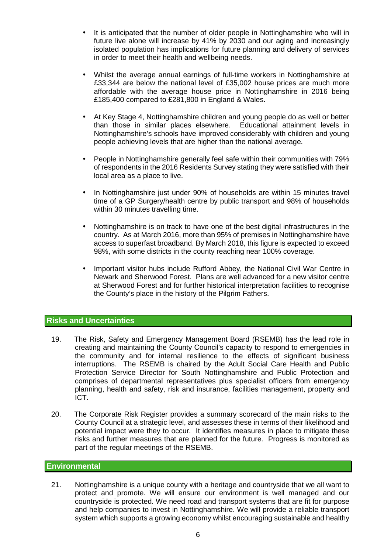- It is anticipated that the number of older people in Nottinghamshire who will in future live alone will increase by 41% by 2030 and our aging and increasingly isolated population has implications for future planning and delivery of services in order to meet their health and wellbeing needs.
- Whilst the average annual earnings of full-time workers in Nottinghamshire at £33,344 are below the national level of £35,002 house prices are much more affordable with the average house price in Nottinghamshire in 2016 being £185,400 compared to £281,800 in England & Wales.
- At Key Stage 4, Nottinghamshire children and young people do as well or better than those in similar places elsewhere. Educational attainment levels in Nottinghamshire's schools have improved considerably with children and young people achieving levels that are higher than the national average.
- People in Nottinghamshire generally feel safe within their communities with 79% of respondents in the 2016 Residents Survey stating they were satisfied with their local area as a place to live.
- In Nottinghamshire just under 90% of households are within 15 minutes travel time of a GP Surgery/health centre by public transport and 98% of households within 30 minutes travelling time.
- Nottinghamshire is on track to have one of the best digital infrastructures in the country. As at March 2016, more than 95% of premises in Nottinghamshire have access to superfast broadband. By March 2018, this figure is expected to exceed 98%, with some districts in the county reaching near 100% coverage.
- Important visitor hubs include Rufford Abbey, the National Civil War Centre in Newark and Sherwood Forest. Plans are well advanced for a new visitor centre at Sherwood Forest and for further historical interpretation facilities to recognise the County's place in the history of the Pilgrim Fathers.

## **Risks and Uncertainties**

- 19. The Risk, Safety and Emergency Management Board (RSEMB) has the lead role in creating and maintaining the County Council's capacity to respond to emergencies in the community and for internal resilience to the effects of significant business interruptions. The RSEMB is chaired by the Adult Social Care Health and Public Protection Service Director for South Nottinghamshire and Public Protection and comprises of departmental representatives plus specialist officers from emergency planning, health and safety, risk and insurance, facilities management, property and ICT.
- 20. The Corporate Risk Register provides a summary scorecard of the main risks to the County Council at a strategic level, and assesses these in terms of their likelihood and potential impact were they to occur. It identifies measures in place to mitigate these risks and further measures that are planned for the future. Progress is monitored as part of the regular meetings of the RSEMB.

### **Environmental**

21. Nottinghamshire is a unique county with a heritage and countryside that we all want to protect and promote. We will ensure our environment is well managed and our countryside is protected. We need road and transport systems that are fit for purpose and help companies to invest in Nottinghamshire. We will provide a reliable transport system which supports a growing economy whilst encouraging sustainable and healthy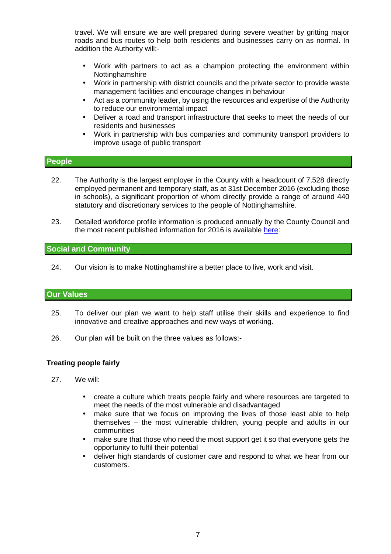travel. We will ensure we are well prepared during severe weather by gritting major roads and bus routes to help both residents and businesses carry on as normal. In addition the Authority will:-

- Work with partners to act as a champion protecting the environment within Nottinghamshire
- Work in partnership with district councils and the private sector to provide waste management facilities and encourage changes in behaviour
- Act as a community leader, by using the resources and expertise of the Authority to reduce our environmental impact
- Deliver a road and transport infrastructure that seeks to meet the needs of our residents and businesses
- Work in partnership with bus companies and community transport providers to improve usage of public transport

#### **People**

- 22. The Authority is the largest employer in the County with a headcount of 7,528 directly employed permanent and temporary staff, as at 31st December 2016 (excluding those in schools), a significant proportion of whom directly provide a range of around 440 statutory and discretionary services to the people of Nottinghamshire.
- 23. Detailed workforce profile information is produced annually by the County Council and the most recent published information for 2016 is available here:

#### **Social and Community**

24. Our vision is to make Nottinghamshire a better place to live, work and visit.

### **Our Values**

- 25. To deliver our plan we want to help staff utilise their skills and experience to find innovative and creative approaches and new ways of working.
- 26. Our plan will be built on the three values as follows:-

#### **Treating people fairly**

- 27. We will:
	- create a culture which treats people fairly and where resources are targeted to meet the needs of the most vulnerable and disadvantaged
	- make sure that we focus on improving the lives of those least able to help themselves – the most vulnerable children, young people and adults in our communities
	- make sure that those who need the most support get it so that everyone gets the opportunity to fulfil their potential
	- deliver high standards of customer care and respond to what we hear from our customers.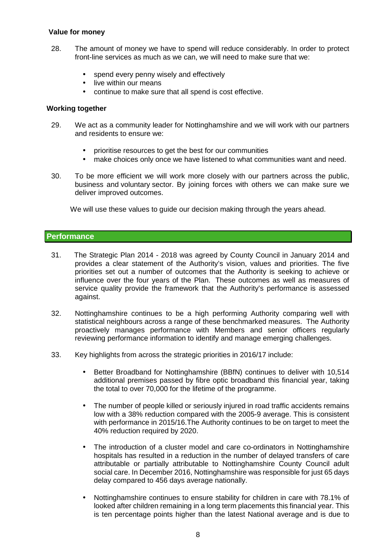### **Value for money**

- 28. The amount of money we have to spend will reduce considerably. In order to protect front-line services as much as we can, we will need to make sure that we:
	- spend every penny wisely and effectively
	- live within our means
	- continue to make sure that all spend is cost effective.

#### **Working together**

- 29. We act as a community leader for Nottinghamshire and we will work with our partners and residents to ensure we:
	- prioritise resources to get the best for our communities
	- make choices only once we have listened to what communities want and need.
- 30. To be more efficient we will work more closely with our partners across the public, business and voluntary sector. By joining forces with others we can make sure we deliver improved outcomes.

We will use these values to guide our decision making through the years ahead.

### **Performance**

- 31. The Strategic Plan 2014 2018 was agreed by County Council in January 2014 and provides a clear statement of the Authority's vision, values and priorities. The five priorities set out a number of outcomes that the Authority is seeking to achieve or influence over the four years of the Plan. These outcomes as well as measures of service quality provide the framework that the Authority's performance is assessed against.
- 32. Nottinghamshire continues to be a high performing Authority comparing well with statistical neighbours across a range of these benchmarked measures. The Authority proactively manages performance with Members and senior officers regularly reviewing performance information to identify and manage emerging challenges.
- 33. Key highlights from across the strategic priorities in 2016/17 include:
	- Better Broadband for Nottinghamshire (BBfN) continues to deliver with 10,514 additional premises passed by fibre optic broadband this financial year, taking the total to over 70,000 for the lifetime of the programme.
	- The number of people killed or seriously injured in road traffic accidents remains low with a 38% reduction compared with the 2005-9 average. This is consistent with performance in 2015/16.The Authority continues to be on target to meet the 40% reduction required by 2020.
	- The introduction of a cluster model and care co-ordinators in Nottinghamshire hospitals has resulted in a reduction in the number of delayed transfers of care attributable or partially attributable to Nottinghamshire County Council adult social care. In December 2016, Nottinghamshire was responsible for just 65 days delay compared to 456 days average nationally.
	- Nottinghamshire continues to ensure stability for children in care with 78.1% of looked after children remaining in a long term placements this financial year. This is ten percentage points higher than the latest National average and is due to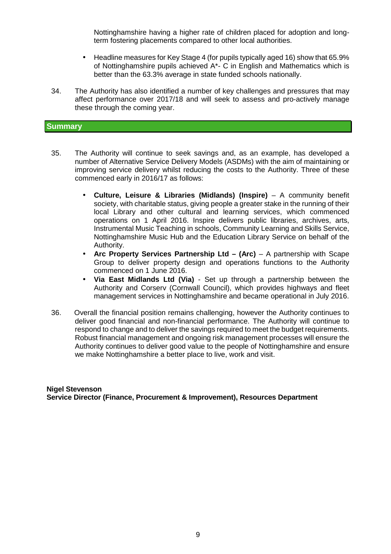Nottinghamshire having a higher rate of children placed for adoption and longterm fostering placements compared to other local authorities.

- Headline measures for Key Stage 4 (for pupils typically aged 16) show that 65.9% of Nottinghamshire pupils achieved A\*- C in English and Mathematics which is better than the 63.3% average in state funded schools nationally.
- 34. The Authority has also identified a number of key challenges and pressures that may affect performance over 2017/18 and will seek to assess and pro-actively manage these through the coming year.

#### **Summary**

- 35. The Authority will continue to seek savings and, as an example, has developed a number of Alternative Service Delivery Models (ASDMs) with the aim of maintaining or improving service delivery whilst reducing the costs to the Authority. Three of these commenced early in 2016/17 as follows:
	- **Culture, Leisure & Libraries (Midlands) (Inspire)** A community benefit society, with charitable status, giving people a greater stake in the running of their local Library and other cultural and learning services, which commenced operations on 1 April 2016. Inspire delivers public libraries, archives, arts, Instrumental Music Teaching in schools, Community Learning and Skills Service, Nottinghamshire Music Hub and the Education Library Service on behalf of the Authority.
	- Arc Property Services Partnership Ltd (Arc) A partnership with Scape Group to deliver property design and operations functions to the Authority commenced on 1 June 2016.
	- **Via East Midlands Ltd (Via)** Set up through a partnership between the Authority and Corserv (Cornwall Council), which provides highways and fleet management services in Nottinghamshire and became operational in July 2016.
- 36. Overall the financial position remains challenging, however the Authority continues to deliver good financial and non-financial performance. The Authority will continue to respond to change and to deliver the savings required to meet the budget requirements. Robust financial management and ongoing risk management processes will ensure the Authority continues to deliver good value to the people of Nottinghamshire and ensure we make Nottinghamshire a better place to live, work and visit.

**Nigel Stevenson Service Director (Finance, Procurement & Improvement), Resources Department**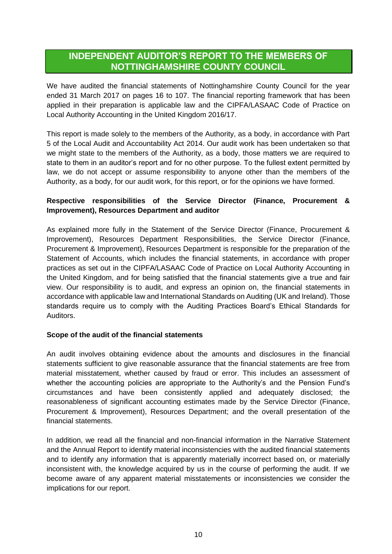## **INDEPENDENT AUDITOR'S REPORT TO THE MEMBERS OF NOTTINGHAMSHIRE COUNTY COUNCIL**

We have audited the financial statements of Nottinghamshire County Council for the year ended 31 March 2017 on pages 16 to 107. The financial reporting framework that has been applied in their preparation is applicable law and the CIPFA/LASAAC Code of Practice on Local Authority Accounting in the United Kingdom 2016/17.

This report is made solely to the members of the Authority, as a body, in accordance with Part 5 of the Local Audit and Accountability Act 2014. Our audit work has been undertaken so that we might state to the members of the Authority, as a body, those matters we are required to state to them in an auditor's report and for no other purpose. To the fullest extent permitted by law, we do not accept or assume responsibility to anyone other than the members of the Authority, as a body, for our audit work, for this report, or for the opinions we have formed.

## **Respective responsibilities of the Service Director (Finance, Procurement & Improvement), Resources Department and auditor**

As explained more fully in the Statement of the Service Director (Finance, Procurement & Improvement), Resources Department Responsibilities, the Service Director (Finance, Procurement & Improvement), Resources Department is responsible for the preparation of the Statement of Accounts, which includes the financial statements, in accordance with proper practices as set out in the CIPFA/LASAAC Code of Practice on Local Authority Accounting in the United Kingdom, and for being satisfied that the financial statements give a true and fair view. Our responsibility is to audit, and express an opinion on, the financial statements in accordance with applicable law and International Standards on Auditing (UK and Ireland). Those standards require us to comply with the Auditing Practices Board's Ethical Standards for Auditors.

### **Scope of the audit of the financial statements**

An audit involves obtaining evidence about the amounts and disclosures in the financial statements sufficient to give reasonable assurance that the financial statements are free from material misstatement, whether caused by fraud or error. This includes an assessment of whether the accounting policies are appropriate to the Authority's and the Pension Fund's circumstances and have been consistently applied and adequately disclosed; the reasonableness of significant accounting estimates made by the Service Director (Finance, Procurement & Improvement), Resources Department; and the overall presentation of the financial statements.

In addition, we read all the financial and non-financial information in the Narrative Statement and the Annual Report to identify material inconsistencies with the audited financial statements and to identify any information that is apparently materially incorrect based on, or materially inconsistent with, the knowledge acquired by us in the course of performing the audit. If we become aware of any apparent material misstatements or inconsistencies we consider the implications for our report.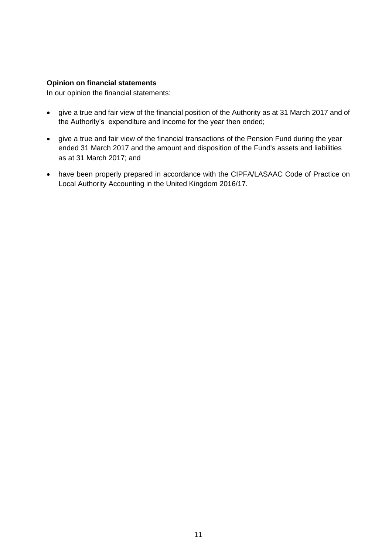#### **Opinion on financial statements**

In our opinion the financial statements:

- give a true and fair view of the financial position of the Authority as at 31 March 2017 and of the Authority's expenditure and income for the year then ended;
- give a true and fair view of the financial transactions of the Pension Fund during the year ended 31 March 2017 and the amount and disposition of the Fund's assets and liabilities as at 31 March 2017; and
- have been properly prepared in accordance with the CIPFA/LASAAC Code of Practice on Local Authority Accounting in the United Kingdom 2016/17.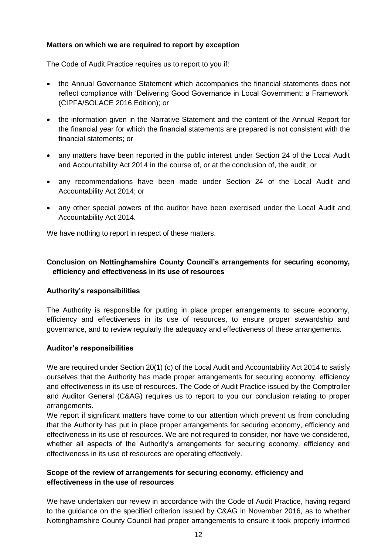## **Matters on which we are required to report by exception**

The Code of Audit Practice requires us to report to you if:

- the Annual Governance Statement which accompanies the financial statements does not reflect compliance with 'Delivering Good Governance in Local Government: a Framework' (CIPFA/SOLACE 2016 Edition); or
- the information given in the Narrative Statement and the content of the Annual Report for the financial year for which the financial statements are prepared is not consistent with the financial statements; or
- any matters have been reported in the public interest under Section 24 of the Local Audit and Accountability Act 2014 in the course of, or at the conclusion of, the audit; or
- any recommendations have been made under Section 24 of the Local Audit and Accountability Act 2014; or
- any other special powers of the auditor have been exercised under the Local Audit and Accountability Act 2014.

We have nothing to report in respect of these matters.

## **Conclusion on Nottinghamshire County Council's arrangements for securing economy, efficiency and effectiveness in its use of resources**

### **Authority's responsibilities**

The Authority is responsible for putting in place proper arrangements to secure economy, efficiency and effectiveness in its use of resources, to ensure proper stewardship and governance, and to review regularly the adequacy and effectiveness of these arrangements.

### **Auditor's responsibilities**

We are required under Section 20(1) (c) of the Local Audit and Accountability Act 2014 to satisfy ourselves that the Authority has made proper arrangements for securing economy, efficiency and effectiveness in its use of resources. The Code of Audit Practice issued by the Comptroller and Auditor General (C&AG) requires us to report to you our conclusion relating to proper arrangements.

We report if significant matters have come to our attention which prevent us from concluding that the Authority has put in place proper arrangements for securing economy, efficiency and effectiveness in its use of resources. We are not required to consider, nor have we considered, whether all aspects of the Authority's arrangements for securing economy, efficiency and effectiveness in its use of resources are operating effectively.

## **Scope of the review of arrangements for securing economy, efficiency and effectiveness in the use of resources**

We have undertaken our review in accordance with the Code of Audit Practice, having regard to the guidance on the specified criterion issued by C&AG in November 2016, as to whether Nottinghamshire County Council had proper arrangements to ensure it took properly informed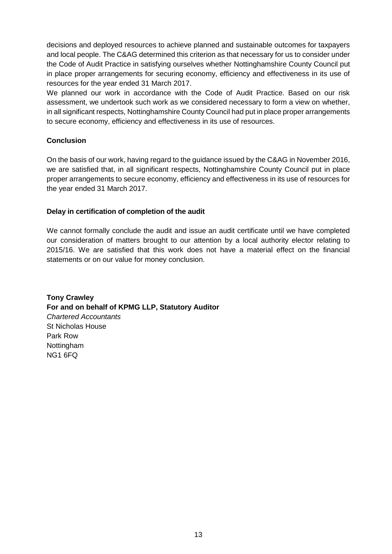decisions and deployed resources to achieve planned and sustainable outcomes for taxpayers and local people. The C&AG determined this criterion as that necessary for us to consider under the Code of Audit Practice in satisfying ourselves whether Nottinghamshire County Council put in place proper arrangements for securing economy, efficiency and effectiveness in its use of resources for the year ended 31 March 2017.

We planned our work in accordance with the Code of Audit Practice. Based on our risk assessment, we undertook such work as we considered necessary to form a view on whether, in all significant respects, Nottinghamshire County Council had put in place proper arrangements to secure economy, efficiency and effectiveness in its use of resources.

## **Conclusion**

On the basis of our work, having regard to the guidance issued by the C&AG in November 2016, we are satisfied that, in all significant respects, Nottinghamshire County Council put in place proper arrangements to secure economy, efficiency and effectiveness in its use of resources for the year ended 31 March 2017.

## **Delay in certification of completion of the audit**

We cannot formally conclude the audit and issue an audit certificate until we have completed our consideration of matters brought to our attention by a local authority elector relating to 2015/16. We are satisfied that this work does not have a material effect on the financial statements or on our value for money conclusion.

**Tony Crawley For and on behalf of KPMG LLP, Statutory Auditor** *Chartered Accountants* St Nicholas House Park Row Nottingham NG1 6FQ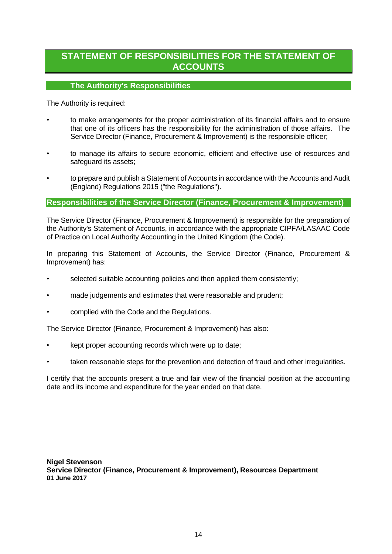## **STATEMENT OF RESPONSIBILITIES FOR THE STATEMENT OF ACCOUNTS**

## **The Authority's Responsibilities**

The Authority is required:

- to make arrangements for the proper administration of its financial affairs and to ensure that one of its officers has the responsibility for the administration of those affairs. The Service Director (Finance, Procurement & Improvement) is the responsible officer;
- to manage its affairs to secure economic, efficient and effective use of resources and safeguard its assets;
- to prepare and publish a Statement of Accounts in accordance with the Accounts and Audit (England) Regulations 2015 ("the Regulations").

## **Responsibilities of the Service Director (Finance, Procurement & Improvement)**

The Service Director (Finance, Procurement & Improvement) is responsible for the preparation of the Authority's Statement of Accounts, in accordance with the appropriate CIPFA/LASAAC Code of Practice on Local Authority Accounting in the United Kingdom (the Code).

In preparing this Statement of Accounts, the Service Director (Finance, Procurement & Improvement) has:

- selected suitable accounting policies and then applied them consistently;
- made judgements and estimates that were reasonable and prudent;
- complied with the Code and the Regulations.

The Service Director (Finance, Procurement & Improvement) has also:

- kept proper accounting records which were up to date;
- taken reasonable steps for the prevention and detection of fraud and other irregularities.

I certify that the accounts present a true and fair view of the financial position at the accounting date and its income and expenditure for the year ended on that date.

**Nigel Stevenson Service Director (Finance, Procurement & Improvement), Resources Department 01 June 2017**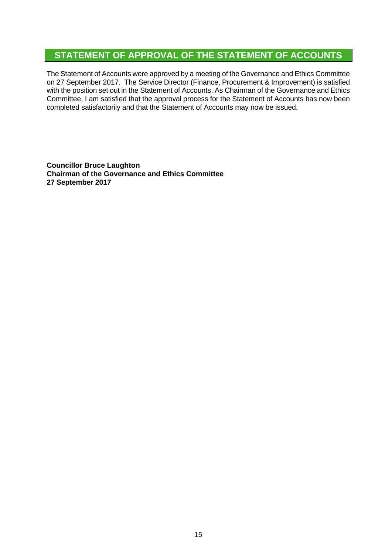## **STATEMENT OF APPROVAL OF THE STATEMENT OF ACCOUNTS**

The Statement of Accounts were approved by a meeting of the Governance and Ethics Committee on 27 September 2017. The Service Director (Finance, Procurement & Improvement) is satisfied with the position set out in the Statement of Accounts. As Chairman of the Governance and Ethics Committee, I am satisfied that the approval process for the Statement of Accounts has now been completed satisfactorily and that the Statement of Accounts may now be issued.

**Councillor Bruce Laughton Chairman of the Governance and Ethics Committee 27 September 2017**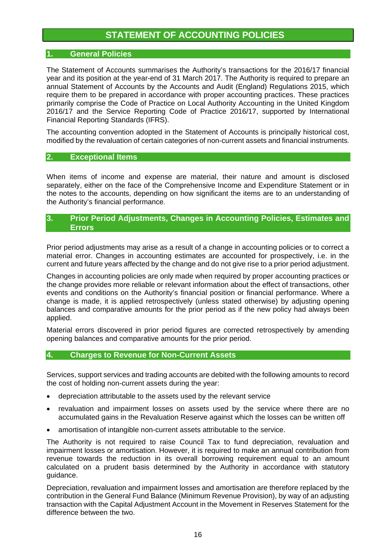## **STATEMENT OF ACCOUNTING POLICIES**

## **1. General Policies**

The Statement of Accounts summarises the Authority's transactions for the 2016/17 financial year and its position at the year-end of 31 March 2017. The Authority is required to prepare an annual Statement of Accounts by the Accounts and Audit (England) Regulations 2015, which require them to be prepared in accordance with proper accounting practices. These practices primarily comprise the Code of Practice on Local Authority Accounting in the United Kingdom 2016/17 and the Service Reporting Code of Practice 2016/17, supported by International Financial Reporting Standards (IFRS).

The accounting convention adopted in the Statement of Accounts is principally historical cost, modified by the revaluation of certain categories of non-current assets and financial instruments.

## **2. Exceptional Items**

When items of income and expense are material, their nature and amount is disclosed separately, either on the face of the Comprehensive Income and Expenditure Statement or in the notes to the accounts, depending on how significant the items are to an understanding of the Authority's financial performance.

## **3. Prior Period Adjustments, Changes in Accounting Policies, Estimates and Errors**

Prior period adjustments may arise as a result of a change in accounting policies or to correct a material error. Changes in accounting estimates are accounted for prospectively, i.e. in the current and future years affected by the change and do not give rise to a prior period adjustment.

Changes in accounting policies are only made when required by proper accounting practices or the change provides more reliable or relevant information about the effect of transactions, other events and conditions on the Authority's financial position or financial performance. Where a change is made, it is applied retrospectively (unless stated otherwise) by adjusting opening balances and comparative amounts for the prior period as if the new policy had always been applied.

Material errors discovered in prior period figures are corrected retrospectively by amending opening balances and comparative amounts for the prior period.

### **4. Charges to Revenue for Non-Current Assets**

Services, support services and trading accounts are debited with the following amounts to record the cost of holding non-current assets during the year:

- depreciation attributable to the assets used by the relevant service
- revaluation and impairment losses on assets used by the service where there are no accumulated gains in the Revaluation Reserve against which the losses can be written off
- amortisation of intangible non-current assets attributable to the service.

The Authority is not required to raise Council Tax to fund depreciation, revaluation and impairment losses or amortisation. However, it is required to make an annual contribution from revenue towards the reduction in its overall borrowing requirement equal to an amount calculated on a prudent basis determined by the Authority in accordance with statutory guidance.

Depreciation, revaluation and impairment losses and amortisation are therefore replaced by the contribution in the General Fund Balance (Minimum Revenue Provision), by way of an adjusting transaction with the Capital Adjustment Account in the Movement in Reserves Statement for the difference between the two.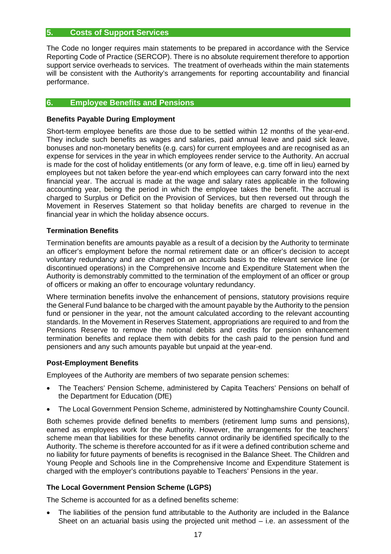## **5. Costs of Support Services**

The Code no longer requires main statements to be prepared in accordance with the Service Reporting Code of Practice (SERCOP). There is no absolute requirement therefore to apportion support service overheads to services. The treatment of overheads within the main statements will be consistent with the Authority's arrangements for reporting accountability and financial performance.

## **6. Employee Benefits and Pensions**

#### **Benefits Payable During Employment**

Short-term employee benefits are those due to be settled within 12 months of the year-end. They include such benefits as wages and salaries, paid annual leave and paid sick leave, bonuses and non-monetary benefits (e.g. cars) for current employees and are recognised as an expense for services in the year in which employees render service to the Authority. An accrual is made for the cost of holiday entitlements (or any form of leave, e.g. time off in lieu) earned by employees but not taken before the year-end which employees can carry forward into the next financial year. The accrual is made at the wage and salary rates applicable in the following accounting year, being the period in which the employee takes the benefit. The accrual is charged to Surplus or Deficit on the Provision of Services, but then reversed out through the Movement in Reserves Statement so that holiday benefits are charged to revenue in the financial year in which the holiday absence occurs.

#### **Termination Benefits**

Termination benefits are amounts payable as a result of a decision by the Authority to terminate an officer's employment before the normal retirement date or an officer's decision to accept voluntary redundancy and are charged on an accruals basis to the relevant service line (or discontinued operations) in the Comprehensive Income and Expenditure Statement when the Authority is demonstrably committed to the termination of the employment of an officer or group of officers or making an offer to encourage voluntary redundancy.

Where termination benefits involve the enhancement of pensions, statutory provisions require the General Fund balance to be charged with the amount payable by the Authority to the pension fund or pensioner in the year, not the amount calculated according to the relevant accounting standards. In the Movement in Reserves Statement, appropriations are required to and from the Pensions Reserve to remove the notional debits and credits for pension enhancement termination benefits and replace them with debits for the cash paid to the pension fund and pensioners and any such amounts payable but unpaid at the year-end.

### **Post-Employment Benefits**

Employees of the Authority are members of two separate pension schemes:

- The Teachers' Pension Scheme, administered by Capita Teachers' Pensions on behalf of the Department for Education (DfE)
- The Local Government Pension Scheme, administered by Nottinghamshire County Council.

Both schemes provide defined benefits to members (retirement lump sums and pensions), earned as employees work for the Authority. However, the arrangements for the teachers' scheme mean that liabilities for these benefits cannot ordinarily be identified specifically to the Authority. The scheme is therefore accounted for as if it were a defined contribution scheme and no liability for future payments of benefits is recognised in the Balance Sheet. The Children and Young People and Schools line in the Comprehensive Income and Expenditure Statement is charged with the employer's contributions payable to Teachers' Pensions in the year.

### **The Local Government Pension Scheme (LGPS)**

The Scheme is accounted for as a defined benefits scheme:

 The liabilities of the pension fund attributable to the Authority are included in the Balance Sheet on an actuarial basis using the projected unit method – i.e. an assessment of the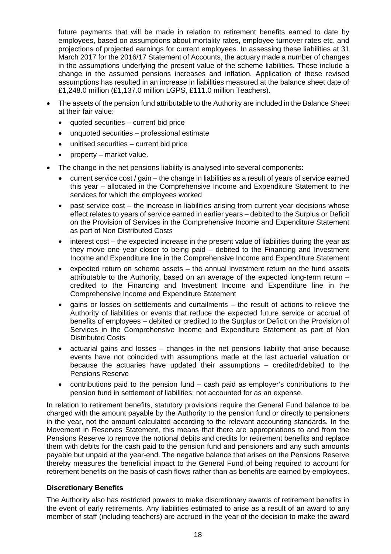future payments that will be made in relation to retirement benefits earned to date by employees, based on assumptions about mortality rates, employee turnover rates etc. and projections of projected earnings for current employees. In assessing these liabilities at 31 March 2017 for the 2016/17 Statement of Accounts, the actuary made a number of changes in the assumptions underlying the present value of the scheme liabilities. These include a change in the assumed pensions increases and inflation. Application of these revised assumptions has resulted in an increase in liabilities measured at the balance sheet date of £1,248.0 million (£1,137.0 million LGPS, £111.0 million Teachers).

- The assets of the pension fund attributable to the Authority are included in the Balance Sheet at their fair value:
	- quoted securities current bid price
	- unquoted securities professional estimate
	- unitised securities current bid price
	- property market value.
- The change in the net pensions liability is analysed into several components:
	- current service cost / gain the change in liabilities as a result of years of service earned this year – allocated in the Comprehensive Income and Expenditure Statement to the services for which the employees worked
	- past service cost the increase in liabilities arising from current year decisions whose effect relates to years of service earned in earlier years – debited to the Surplus or Deficit on the Provision of Services in the Comprehensive Income and Expenditure Statement as part of Non Distributed Costs
	- interest cost the expected increase in the present value of liabilities during the vear as they move one year closer to being paid – debited to the Financing and Investment Income and Expenditure line in the Comprehensive Income and Expenditure Statement
	- expected return on scheme assets the annual investment return on the fund assets attributable to the Authority, based on an average of the expected long-term return – credited to the Financing and Investment Income and Expenditure line in the Comprehensive Income and Expenditure Statement
	- gains or losses on settlements and curtailments the result of actions to relieve the Authority of liabilities or events that reduce the expected future service or accrual of benefits of employees – debited or credited to the Surplus or Deficit on the Provision of Services in the Comprehensive Income and Expenditure Statement as part of Non Distributed Costs
	- actuarial gains and losses changes in the net pensions liability that arise because events have not coincided with assumptions made at the last actuarial valuation or because the actuaries have updated their assumptions – credited/debited to the Pensions Reserve
	- contributions paid to the pension fund cash paid as employer's contributions to the pension fund in settlement of liabilities; not accounted for as an expense.

In relation to retirement benefits, statutory provisions require the General Fund balance to be charged with the amount payable by the Authority to the pension fund or directly to pensioners in the year, not the amount calculated according to the relevant accounting standards. In the Movement in Reserves Statement, this means that there are appropriations to and from the Pensions Reserve to remove the notional debits and credits for retirement benefits and replace them with debits for the cash paid to the pension fund and pensioners and any such amounts payable but unpaid at the year-end. The negative balance that arises on the Pensions Reserve thereby measures the beneficial impact to the General Fund of being required to account for retirement benefits on the basis of cash flows rather than as benefits are earned by employees.

### **Discretionary Benefits**

The Authority also has restricted powers to make discretionary awards of retirement benefits in the event of early retirements. Any liabilities estimated to arise as a result of an award to any member of staff (including teachers) are accrued in the year of the decision to make the award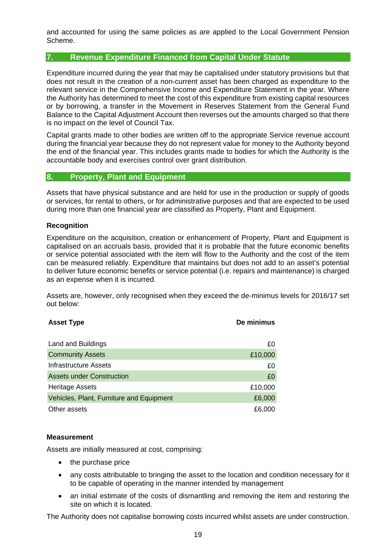and accounted for using the same policies as are applied to the Local Government Pension Scheme.

### **7. Revenue Expenditure Financed from Capital Under Statute**

Expenditure incurred during the year that may be capitalised under statutory provisions but that does not result in the creation of a non-current asset has been charged as expenditure to the relevant service in the Comprehensive Income and Expenditure Statement in the year. Where the Authority has determined to meet the cost of this expenditure from existing capital resources or by borrowing, a transfer in the Movement in Reserves Statement from the General Fund Balance to the Capital Adjustment Account then reverses out the amounts charged so that there is no impact on the level of Council Tax.

Capital grants made to other bodies are written off to the appropriate Service revenue account during the financial year because they do not represent value for money to the Authority beyond the end of the financial year. This includes grants made to bodies for which the Authority is the accountable body and exercises control over grant distribution.

## **8. Property, Plant and Equipment**

Assets that have physical substance and are held for use in the production or supply of goods or services, for rental to others, or for administrative purposes and that are expected to be used during more than one financial year are classified as Property, Plant and Equipment.

#### **Recognition**

Expenditure on the acquisition, creation or enhancement of Property, Plant and Equipment is capitalised on an accruals basis, provided that it is probable that the future economic benefits or service potential associated with the item will flow to the Authority and the cost of the item can be measured reliably. Expenditure that maintains but does not add to an asset's potential to deliver future economic benefits or service potential (i.e. repairs and maintenance) is charged as an expense when it is incurred.

Assets are, however, only recognised when they exceed the de-minimus levels for 2016/17 set out below:

| <b>Asset Type</b>                        | De minimus |
|------------------------------------------|------------|
|                                          |            |
| Land and Buildings                       | £0         |
| <b>Community Assets</b>                  | £10,000    |
| Infrastructure Assets                    | £0         |
| <b>Assets under Construction</b>         | £0         |
| <b>Heritage Assets</b>                   | £10,000    |
| Vehicles, Plant, Furniture and Equipment | £6,000     |
| Other assets                             | £6,000     |

#### **Measurement**

Assets are initially measured at cost, comprising:

- the purchase price
- any costs attributable to bringing the asset to the location and condition necessary for it to be capable of operating in the manner intended by management
- an initial estimate of the costs of dismantling and removing the item and restoring the site on which it is located.

The Authority does not capitalise borrowing costs incurred whilst assets are under construction.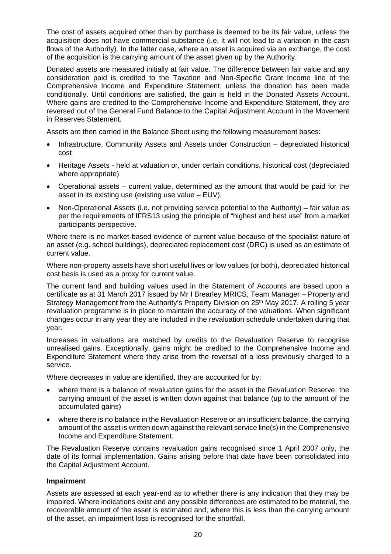The cost of assets acquired other than by purchase is deemed to be its fair value, unless the acquisition does not have commercial substance (i.e. it will not lead to a variation in the cash flows of the Authority). In the latter case, where an asset is acquired via an exchange, the cost of the acquisition is the carrying amount of the asset given up by the Authority.

Donated assets are measured initially at fair value. The difference between fair value and any consideration paid is credited to the Taxation and Non-Specific Grant Income line of the Comprehensive Income and Expenditure Statement, unless the donation has been made conditionally. Until conditions are satisfied, the gain is held in the Donated Assets Account. Where gains are credited to the Comprehensive Income and Expenditure Statement, they are reversed out of the General Fund Balance to the Capital Adjustment Account in the Movement in Reserves Statement.

Assets are then carried in the Balance Sheet using the following measurement bases:

- Infrastructure, Community Assets and Assets under Construction depreciated historical cost
- Heritage Assets held at valuation or, under certain conditions, historical cost (depreciated where appropriate)
- Operational assets current value, determined as the amount that would be paid for the asset in its existing use (existing use value – EUV).
- Non-Operational Assets (i.e. not providing service potential to the Authority) fair value as per the requirements of IFRS13 using the principle of "highest and best use" from a market participants perspective.

Where there is no market-based evidence of current value because of the specialist nature of an asset (e.g. school buildings), depreciated replacement cost (DRC) is used as an estimate of current value.

Where non-property assets have short useful lives or low values (or both), depreciated historical cost basis is used as a proxy for current value.

The current land and building values used in the Statement of Accounts are based upon a certificate as at 31 March 2017 issued by Mr I Brearley MRICS, Team Manager – Property and Strategy Management from the Authority's Property Division on 25<sup>th</sup> May 2017. A rolling 5 year revaluation programme is in place to maintain the accuracy of the valuations. When significant changes occur in any year they are included in the revaluation schedule undertaken during that year.

Increases in valuations are matched by credits to the Revaluation Reserve to recognise unrealised gains. Exceptionally, gains might be credited to the Comprehensive Income and Expenditure Statement where they arise from the reversal of a loss previously charged to a service.

Where decreases in value are identified, they are accounted for by:

- where there is a balance of revaluation gains for the asset in the Revaluation Reserve, the carrying amount of the asset is written down against that balance (up to the amount of the accumulated gains)
- where there is no balance in the Revaluation Reserve or an insufficient balance, the carrying amount of the asset is written down against the relevant service line(s) in the Comprehensive Income and Expenditure Statement.

The Revaluation Reserve contains revaluation gains recognised since 1 April 2007 only, the date of its formal implementation. Gains arising before that date have been consolidated into the Capital Adjustment Account.

### **Impairment**

Assets are assessed at each year-end as to whether there is any indication that they may be impaired. Where indications exist and any possible differences are estimated to be material, the recoverable amount of the asset is estimated and, where this is less than the carrying amount of the asset, an impairment loss is recognised for the shortfall.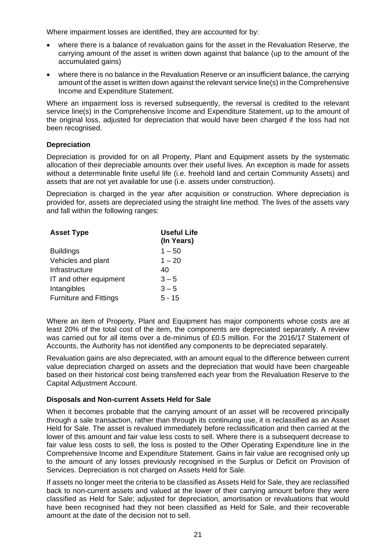Where impairment losses are identified, they are accounted for by:

- where there is a balance of revaluation gains for the asset in the Revaluation Reserve, the carrying amount of the asset is written down against that balance (up to the amount of the accumulated gains)
- where there is no balance in the Revaluation Reserve or an insufficient balance, the carrying amount of the asset is written down against the relevant service line(s) in the Comprehensive Income and Expenditure Statement.

Where an impairment loss is reversed subsequently, the reversal is credited to the relevant service line(s) in the Comprehensive Income and Expenditure Statement, up to the amount of the original loss, adjusted for depreciation that would have been charged if the loss had not been recognised.

### **Depreciation**

Depreciation is provided for on all Property, Plant and Equipment assets by the systematic allocation of their depreciable amounts over their useful lives. An exception is made for assets without a determinable finite useful life (i.e. freehold land and certain Community Assets) and assets that are not yet available for use (i.e. assets under construction).

Depreciation is charged in the year after acquisition or construction. Where depreciation is provided for, assets are depreciated using the straight line method. The lives of the assets vary and fall within the following ranges:

| <b>Asset Type</b>             | <b>Useful Life</b><br>(In Years) |
|-------------------------------|----------------------------------|
| <b>Buildings</b>              | $1 - 50$                         |
| Vehicles and plant            | $1 - 20$                         |
| Infrastructure                | 40                               |
| IT and other equipment        | $3 - 5$                          |
| Intangibles                   | $3 - 5$                          |
| <b>Furniture and Fittings</b> | $5 - 15$                         |

Where an item of Property, Plant and Equipment has major components whose costs are at least 20% of the total cost of the item, the components are depreciated separately. A review was carried out for all items over a de-minimus of £0.5 million. For the 2016/17 Statement of Accounts, the Authority has not identified any components to be depreciated separately.

Revaluation gains are also depreciated, with an amount equal to the difference between current value depreciation charged on assets and the depreciation that would have been chargeable based on their historical cost being transferred each year from the Revaluation Reserve to the Capital Adjustment Account.

#### **Disposals and Non-current Assets Held for Sale**

When it becomes probable that the carrying amount of an asset will be recovered principally through a sale transaction, rather than through its continuing use, it is reclassified as an Asset Held for Sale. The asset is revalued immediately before reclassification and then carried at the lower of this amount and fair value less costs to sell. Where there is a subsequent decrease to fair value less costs to sell, the loss is posted to the Other Operating Expenditure line in the Comprehensive Income and Expenditure Statement. Gains in fair value are recognised only up to the amount of any losses previously recognised in the Surplus or Deficit on Provision of Services. Depreciation is not charged on Assets Held for Sale.

If assets no longer meet the criteria to be classified as Assets Held for Sale, they are reclassified back to non-current assets and valued at the lower of their carrying amount before they were classified as Held for Sale; adjusted for depreciation, amortisation or revaluations that would have been recognised had they not been classified as Held for Sale, and their recoverable amount at the date of the decision not to sell.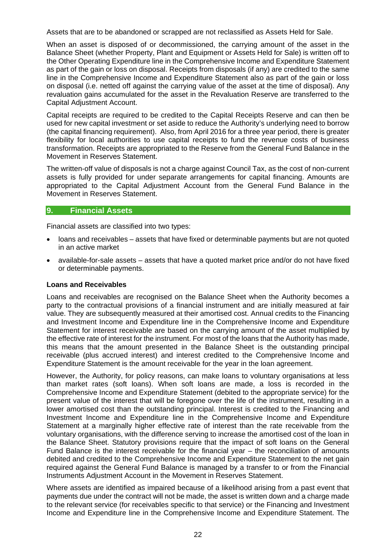Assets that are to be abandoned or scrapped are not reclassified as Assets Held for Sale.

When an asset is disposed of or decommissioned, the carrying amount of the asset in the Balance Sheet (whether Property, Plant and Equipment or Assets Held for Sale) is written off to the Other Operating Expenditure line in the Comprehensive Income and Expenditure Statement as part of the gain or loss on disposal. Receipts from disposals (if any) are credited to the same line in the Comprehensive Income and Expenditure Statement also as part of the gain or loss on disposal (i.e. netted off against the carrying value of the asset at the time of disposal). Any revaluation gains accumulated for the asset in the Revaluation Reserve are transferred to the Capital Adjustment Account.

Capital receipts are required to be credited to the Capital Receipts Reserve and can then be used for new capital investment or set aside to reduce the Authority's underlying need to borrow (the capital financing requirement). Also, from April 2016 for a three year period, there is greater flexibility for local authorities to use capital receipts to fund the revenue costs of business transformation. Receipts are appropriated to the Reserve from the General Fund Balance in the Movement in Reserves Statement.

The written-off value of disposals is not a charge against Council Tax, as the cost of non-current assets is fully provided for under separate arrangements for capital financing. Amounts are appropriated to the Capital Adjustment Account from the General Fund Balance in the Movement in Reserves Statement.

#### **9. Financial Assets**

Financial assets are classified into two types:

- loans and receivables assets that have fixed or determinable payments but are not quoted in an active market
- available-for-sale assets assets that have a quoted market price and/or do not have fixed or determinable payments.

#### **Loans and Receivables**

Loans and receivables are recognised on the Balance Sheet when the Authority becomes a party to the contractual provisions of a financial instrument and are initially measured at fair value. They are subsequently measured at their amortised cost. Annual credits to the Financing and Investment Income and Expenditure line in the Comprehensive Income and Expenditure Statement for interest receivable are based on the carrying amount of the asset multiplied by the effective rate of interest for the instrument. For most of the loans that the Authority has made, this means that the amount presented in the Balance Sheet is the outstanding principal receivable (plus accrued interest) and interest credited to the Comprehensive Income and Expenditure Statement is the amount receivable for the year in the loan agreement.

However, the Authority, for policy reasons, can make loans to voluntary organisations at less than market rates (soft loans). When soft loans are made, a loss is recorded in the Comprehensive Income and Expenditure Statement (debited to the appropriate service) for the present value of the interest that will be foregone over the life of the instrument, resulting in a lower amortised cost than the outstanding principal. Interest is credited to the Financing and Investment Income and Expenditure line in the Comprehensive Income and Expenditure Statement at a marginally higher effective rate of interest than the rate receivable from the voluntary organisations, with the difference serving to increase the amortised cost of the loan in the Balance Sheet. Statutory provisions require that the impact of soft loans on the General Fund Balance is the interest receivable for the financial year – the reconciliation of amounts debited and credited to the Comprehensive Income and Expenditure Statement to the net gain required against the General Fund Balance is managed by a transfer to or from the Financial Instruments Adjustment Account in the Movement in Reserves Statement.

Where assets are identified as impaired because of a likelihood arising from a past event that payments due under the contract will not be made, the asset is written down and a charge made to the relevant service (for receivables specific to that service) or the Financing and Investment Income and Expenditure line in the Comprehensive Income and Expenditure Statement. The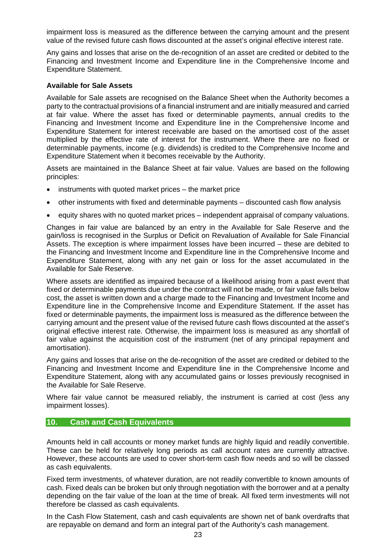impairment loss is measured as the difference between the carrying amount and the present value of the revised future cash flows discounted at the asset's original effective interest rate.

Any gains and losses that arise on the de-recognition of an asset are credited or debited to the Financing and Investment Income and Expenditure line in the Comprehensive Income and Expenditure Statement.

#### **Available for Sale Assets**

Available for Sale assets are recognised on the Balance Sheet when the Authority becomes a party to the contractual provisions of a financial instrument and are initially measured and carried at fair value. Where the asset has fixed or determinable payments, annual credits to the Financing and Investment Income and Expenditure line in the Comprehensive Income and Expenditure Statement for interest receivable are based on the amortised cost of the asset multiplied by the effective rate of interest for the instrument. Where there are no fixed or determinable payments, income (e.g. dividends) is credited to the Comprehensive Income and Expenditure Statement when it becomes receivable by the Authority.

Assets are maintained in the Balance Sheet at fair value. Values are based on the following principles:

- instruments with quoted market prices the market price
- other instruments with fixed and determinable payments discounted cash flow analysis
- equity shares with no quoted market prices independent appraisal of company valuations.

Changes in fair value are balanced by an entry in the Available for Sale Reserve and the gain/loss is recognised in the Surplus or Deficit on Revaluation of Available for Sale Financial Assets. The exception is where impairment losses have been incurred – these are debited to the Financing and Investment Income and Expenditure line in the Comprehensive Income and Expenditure Statement, along with any net gain or loss for the asset accumulated in the Available for Sale Reserve.

Where assets are identified as impaired because of a likelihood arising from a past event that fixed or determinable payments due under the contract will not be made, or fair value falls below cost, the asset is written down and a charge made to the Financing and Investment Income and Expenditure line in the Comprehensive Income and Expenditure Statement. If the asset has fixed or determinable payments, the impairment loss is measured as the difference between the carrying amount and the present value of the revised future cash flows discounted at the asset's original effective interest rate. Otherwise, the impairment loss is measured as any shortfall of fair value against the acquisition cost of the instrument (net of any principal repayment and amortisation).

Any gains and losses that arise on the de-recognition of the asset are credited or debited to the Financing and Investment Income and Expenditure line in the Comprehensive Income and Expenditure Statement, along with any accumulated gains or losses previously recognised in the Available for Sale Reserve.

Where fair value cannot be measured reliably, the instrument is carried at cost (less any impairment losses).

### **10. Cash and Cash Equivalents**

Amounts held in call accounts or money market funds are highly liquid and readily convertible. These can be held for relatively long periods as call account rates are currently attractive. However, these accounts are used to cover short-term cash flow needs and so will be classed as cash equivalents.

Fixed term investments, of whatever duration, are not readily convertible to known amounts of cash. Fixed deals can be broken but only through negotiation with the borrower and at a penalty depending on the fair value of the loan at the time of break. All fixed term investments will not therefore be classed as cash equivalents.

In the Cash Flow Statement, cash and cash equivalents are shown net of bank overdrafts that are repayable on demand and form an integral part of the Authority's cash management.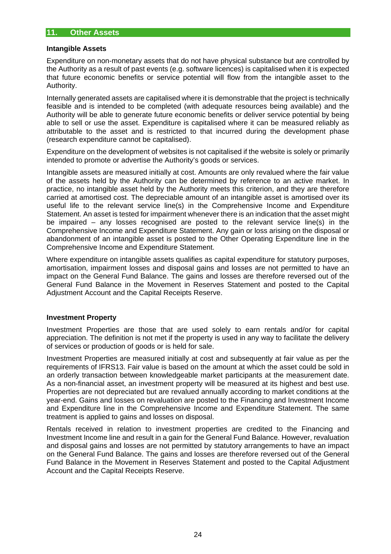#### **Intangible Assets**

Expenditure on non-monetary assets that do not have physical substance but are controlled by the Authority as a result of past events (e.g. software licences) is capitalised when it is expected that future economic benefits or service potential will flow from the intangible asset to the Authority.

Internally generated assets are capitalised where it is demonstrable that the project is technically feasible and is intended to be completed (with adequate resources being available) and the Authority will be able to generate future economic benefits or deliver service potential by being able to sell or use the asset. Expenditure is capitalised where it can be measured reliably as attributable to the asset and is restricted to that incurred during the development phase (research expenditure cannot be capitalised).

Expenditure on the development of websites is not capitalised if the website is solely or primarily intended to promote or advertise the Authority's goods or services.

Intangible assets are measured initially at cost. Amounts are only revalued where the fair value of the assets held by the Authority can be determined by reference to an active market. In practice, no intangible asset held by the Authority meets this criterion, and they are therefore carried at amortised cost. The depreciable amount of an intangible asset is amortised over its useful life to the relevant service line(s) in the Comprehensive Income and Expenditure Statement. An asset is tested for impairment whenever there is an indication that the asset might be impaired – any losses recognised are posted to the relevant service line(s) in the Comprehensive Income and Expenditure Statement. Any gain or loss arising on the disposal or abandonment of an intangible asset is posted to the Other Operating Expenditure line in the Comprehensive Income and Expenditure Statement.

Where expenditure on intangible assets qualifies as capital expenditure for statutory purposes, amortisation, impairment losses and disposal gains and losses are not permitted to have an impact on the General Fund Balance. The gains and losses are therefore reversed out of the General Fund Balance in the Movement in Reserves Statement and posted to the Capital Adjustment Account and the Capital Receipts Reserve.

### **Investment Property**

Investment Properties are those that are used solely to earn rentals and/or for capital appreciation. The definition is not met if the property is used in any way to facilitate the delivery of services or production of goods or is held for sale.

Investment Properties are measured initially at cost and subsequently at fair value as per the requirements of IFRS13. Fair value is based on the amount at which the asset could be sold in an orderly transaction between knowledgeable market participants at the measurement date. As a non-financial asset, an investment property will be measured at its highest and best use. Properties are not depreciated but are revalued annually according to market conditions at the year-end. Gains and losses on revaluation are posted to the Financing and Investment Income and Expenditure line in the Comprehensive Income and Expenditure Statement. The same treatment is applied to gains and losses on disposal.

Rentals received in relation to investment properties are credited to the Financing and Investment Income line and result in a gain for the General Fund Balance. However, revaluation and disposal gains and losses are not permitted by statutory arrangements to have an impact on the General Fund Balance. The gains and losses are therefore reversed out of the General Fund Balance in the Movement in Reserves Statement and posted to the Capital Adjustment Account and the Capital Receipts Reserve.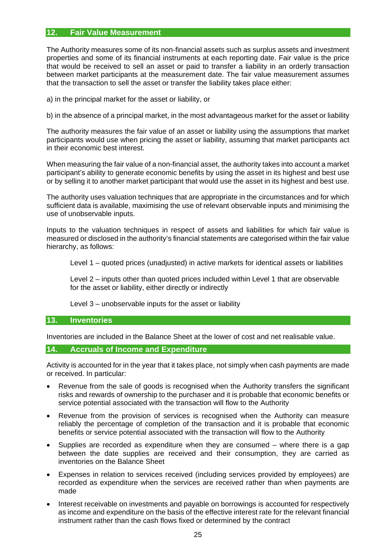#### **12. Fair Value Measurement**

The Authority measures some of its non-financial assets such as surplus assets and investment properties and some of its financial instruments at each reporting date. Fair value is the price that would be received to sell an asset or paid to transfer a liability in an orderly transaction between market participants at the measurement date. The fair value measurement assumes that the transaction to sell the asset or transfer the liability takes place either:

a) in the principal market for the asset or liability, or

b) in the absence of a principal market, in the most advantageous market for the asset or liability

The authority measures the fair value of an asset or liability using the assumptions that market participants would use when pricing the asset or liability, assuming that market participants act in their economic best interest.

When measuring the fair value of a non-financial asset, the authority takes into account a market participant's ability to generate economic benefits by using the asset in its highest and best use or by selling it to another market participant that would use the asset in its highest and best use.

The authority uses valuation techniques that are appropriate in the circumstances and for which sufficient data is available, maximising the use of relevant observable inputs and minimising the use of unobservable inputs.

Inputs to the valuation techniques in respect of assets and liabilities for which fair value is measured or disclosed in the authority's financial statements are categorised within the fair value hierarchy, as follows:

Level 1 – quoted prices (unadjusted) in active markets for identical assets or liabilities

Level 2 – inputs other than quoted prices included within Level 1 that are observable for the asset or liability, either directly or indirectly

Level 3 – unobservable inputs for the asset or liability

#### **13. Inventories**

Inventories are included in the Balance Sheet at the lower of cost and net realisable value.

#### **14. Accruals of Income and Expenditure**

Activity is accounted for in the year that it takes place, not simply when cash payments are made or received. In particular:

- Revenue from the sale of goods is recognised when the Authority transfers the significant risks and rewards of ownership to the purchaser and it is probable that economic benefits or service potential associated with the transaction will flow to the Authority
- Revenue from the provision of services is recognised when the Authority can measure reliably the percentage of completion of the transaction and it is probable that economic benefits or service potential associated with the transaction will flow to the Authority
- Supplies are recorded as expenditure when they are consumed where there is a gap between the date supplies are received and their consumption, they are carried as inventories on the Balance Sheet
- Expenses in relation to services received (including services provided by employees) are recorded as expenditure when the services are received rather than when payments are made
- Interest receivable on investments and payable on borrowings is accounted for respectively as income and expenditure on the basis of the effective interest rate for the relevant financial instrument rather than the cash flows fixed or determined by the contract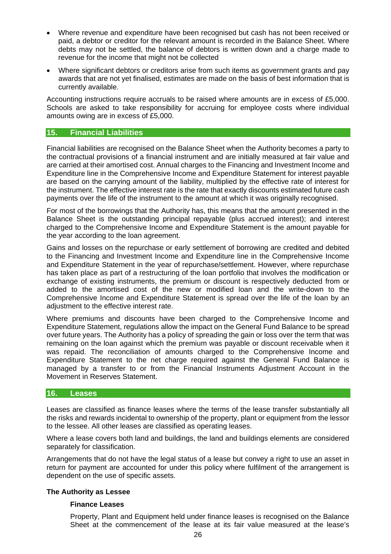- Where revenue and expenditure have been recognised but cash has not been received or paid, a debtor or creditor for the relevant amount is recorded in the Balance Sheet. Where debts may not be settled, the balance of debtors is written down and a charge made to revenue for the income that might not be collected
- Where significant debtors or creditors arise from such items as government grants and pay awards that are not yet finalised, estimates are made on the basis of best information that is currently available.

Accounting instructions require accruals to be raised where amounts are in excess of £5,000. Schools are asked to take responsibility for accruing for employee costs where individual amounts owing are in excess of £5,000.

## **15. Financial Liabilities**

Financial liabilities are recognised on the Balance Sheet when the Authority becomes a party to the contractual provisions of a financial instrument and are initially measured at fair value and are carried at their amortised cost. Annual charges to the Financing and Investment Income and Expenditure line in the Comprehensive Income and Expenditure Statement for interest payable are based on the carrying amount of the liability, multiplied by the effective rate of interest for the instrument. The effective interest rate is the rate that exactly discounts estimated future cash payments over the life of the instrument to the amount at which it was originally recognised.

For most of the borrowings that the Authority has, this means that the amount presented in the Balance Sheet is the outstanding principal repayable (plus accrued interest); and interest charged to the Comprehensive Income and Expenditure Statement is the amount payable for the year according to the loan agreement.

Gains and losses on the repurchase or early settlement of borrowing are credited and debited to the Financing and Investment Income and Expenditure line in the Comprehensive Income and Expenditure Statement in the year of repurchase/settlement. However, where repurchase has taken place as part of a restructuring of the loan portfolio that involves the modification or exchange of existing instruments, the premium or discount is respectively deducted from or added to the amortised cost of the new or modified loan and the write-down to the Comprehensive Income and Expenditure Statement is spread over the life of the loan by an adjustment to the effective interest rate.

Where premiums and discounts have been charged to the Comprehensive Income and Expenditure Statement, regulations allow the impact on the General Fund Balance to be spread over future years. The Authority has a policy of spreading the gain or loss over the term that was remaining on the loan against which the premium was payable or discount receivable when it was repaid. The reconciliation of amounts charged to the Comprehensive Income and Expenditure Statement to the net charge required against the General Fund Balance is managed by a transfer to or from the Financial Instruments Adjustment Account in the Movement in Reserves Statement.

#### **16. Leases**

Leases are classified as finance leases where the terms of the lease transfer substantially all the risks and rewards incidental to ownership of the property, plant or equipment from the lessor to the lessee. All other leases are classified as operating leases.

Where a lease covers both land and buildings, the land and buildings elements are considered separately for classification.

Arrangements that do not have the legal status of a lease but convey a right to use an asset in return for payment are accounted for under this policy where fulfilment of the arrangement is dependent on the use of specific assets.

#### **The Authority as Lessee**

#### **Finance Leases**

Property, Plant and Equipment held under finance leases is recognised on the Balance Sheet at the commencement of the lease at its fair value measured at the lease's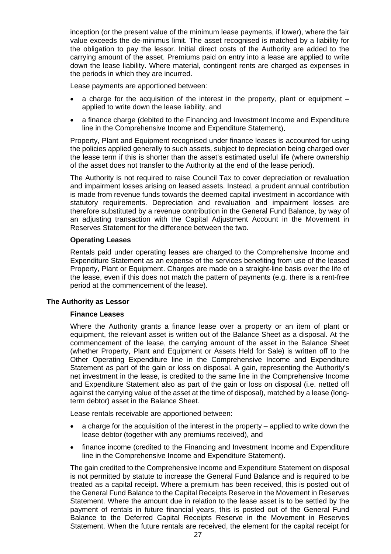inception (or the present value of the minimum lease payments, if lower), where the fair value exceeds the de-minimus limit. The asset recognised is matched by a liability for the obligation to pay the lessor. Initial direct costs of the Authority are added to the carrying amount of the asset. Premiums paid on entry into a lease are applied to write down the lease liability. Where material, contingent rents are charged as expenses in the periods in which they are incurred.

Lease payments are apportioned between:

- a charge for the acquisition of the interest in the property, plant or equipment  $$ applied to write down the lease liability, and
- a finance charge (debited to the Financing and Investment Income and Expenditure line in the Comprehensive Income and Expenditure Statement).

Property, Plant and Equipment recognised under finance leases is accounted for using the policies applied generally to such assets, subject to depreciation being charged over the lease term if this is shorter than the asset's estimated useful life (where ownership of the asset does not transfer to the Authority at the end of the lease period).

The Authority is not required to raise Council Tax to cover depreciation or revaluation and impairment losses arising on leased assets. Instead, a prudent annual contribution is made from revenue funds towards the deemed capital investment in accordance with statutory requirements. Depreciation and revaluation and impairment losses are therefore substituted by a revenue contribution in the General Fund Balance, by way of an adjusting transaction with the Capital Adjustment Account in the Movement in Reserves Statement for the difference between the two.

#### **Operating Leases**

Rentals paid under operating leases are charged to the Comprehensive Income and Expenditure Statement as an expense of the services benefiting from use of the leased Property, Plant or Equipment. Charges are made on a straight-line basis over the life of the lease, even if this does not match the pattern of payments (e.g. there is a rent-free period at the commencement of the lease).

#### **The Authority as Lessor**

#### **Finance Leases**

Where the Authority grants a finance lease over a property or an item of plant or equipment, the relevant asset is written out of the Balance Sheet as a disposal. At the commencement of the lease, the carrying amount of the asset in the Balance Sheet (whether Property, Plant and Equipment or Assets Held for Sale) is written off to the Other Operating Expenditure line in the Comprehensive Income and Expenditure Statement as part of the gain or loss on disposal. A gain, representing the Authority's net investment in the lease, is credited to the same line in the Comprehensive Income and Expenditure Statement also as part of the gain or loss on disposal (i.e. netted off against the carrying value of the asset at the time of disposal), matched by a lease (longterm debtor) asset in the Balance Sheet.

Lease rentals receivable are apportioned between:

- a charge for the acquisition of the interest in the property applied to write down the lease debtor (together with any premiums received), and
- finance income (credited to the Financing and Investment Income and Expenditure line in the Comprehensive Income and Expenditure Statement).

The gain credited to the Comprehensive Income and Expenditure Statement on disposal is not permitted by statute to increase the General Fund Balance and is required to be treated as a capital receipt. Where a premium has been received, this is posted out of the General Fund Balance to the Capital Receipts Reserve in the Movement in Reserves Statement. Where the amount due in relation to the lease asset is to be settled by the payment of rentals in future financial years, this is posted out of the General Fund Balance to the Deferred Capital Receipts Reserve in the Movement in Reserves Statement. When the future rentals are received, the element for the capital receipt for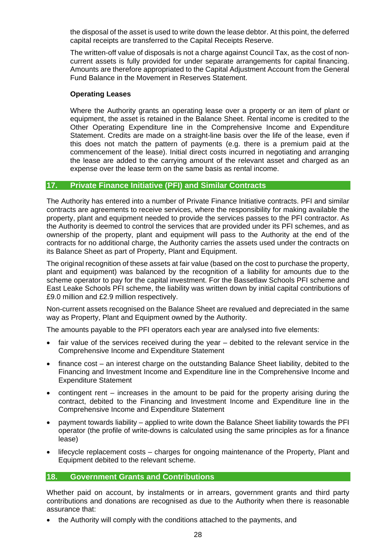the disposal of the asset is used to write down the lease debtor. At this point, the deferred capital receipts are transferred to the Capital Receipts Reserve.

The written-off value of disposals is not a charge against Council Tax, as the cost of noncurrent assets is fully provided for under separate arrangements for capital financing. Amounts are therefore appropriated to the Capital Adjustment Account from the General Fund Balance in the Movement in Reserves Statement.

#### **Operating Leases**

Where the Authority grants an operating lease over a property or an item of plant or equipment, the asset is retained in the Balance Sheet. Rental income is credited to the Other Operating Expenditure line in the Comprehensive Income and Expenditure Statement. Credits are made on a straight-line basis over the life of the lease, even if this does not match the pattern of payments (e.g. there is a premium paid at the commencement of the lease). Initial direct costs incurred in negotiating and arranging the lease are added to the carrying amount of the relevant asset and charged as an expense over the lease term on the same basis as rental income.

## **17. Private Finance Initiative (PFI) and Similar Contracts**

The Authority has entered into a number of Private Finance Initiative contracts. PFI and similar contracts are agreements to receive services, where the responsibility for making available the property, plant and equipment needed to provide the services passes to the PFI contractor. As the Authority is deemed to control the services that are provided under its PFI schemes, and as ownership of the property, plant and equipment will pass to the Authority at the end of the contracts for no additional charge, the Authority carries the assets used under the contracts on its Balance Sheet as part of Property, Plant and Equipment.

The original recognition of these assets at fair value (based on the cost to purchase the property, plant and equipment) was balanced by the recognition of a liability for amounts due to the scheme operator to pay for the capital investment. For the Bassetlaw Schools PFI scheme and East Leake Schools PFI scheme, the liability was written down by initial capital contributions of £9.0 million and £2.9 million respectively.

Non-current assets recognised on the Balance Sheet are revalued and depreciated in the same way as Property, Plant and Equipment owned by the Authority.

The amounts payable to the PFI operators each year are analysed into five elements:

- fair value of the services received during the year debited to the relevant service in the Comprehensive Income and Expenditure Statement
- finance cost an interest charge on the outstanding Balance Sheet liability, debited to the Financing and Investment Income and Expenditure line in the Comprehensive Income and Expenditure Statement
- contingent rent increases in the amount to be paid for the property arising during the contract, debited to the Financing and Investment Income and Expenditure line in the Comprehensive Income and Expenditure Statement
- payment towards liability applied to write down the Balance Sheet liability towards the PFI operator (the profile of write-downs is calculated using the same principles as for a finance lease)
- lifecycle replacement costs charges for ongoing maintenance of the Property, Plant and Equipment debited to the relevant scheme.

### **18. Government Grants and Contributions**

Whether paid on account, by instalments or in arrears, government grants and third party contributions and donations are recognised as due to the Authority when there is reasonable assurance that:

• the Authority will comply with the conditions attached to the payments, and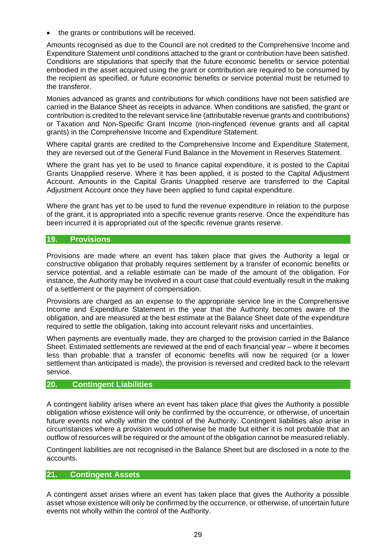the grants or contributions will be received.

Amounts recognised as due to the Council are not credited to the Comprehensive Income and Expenditure Statement until conditions attached to the grant or contribution have been satisfied. Conditions are stipulations that specify that the future economic benefits or service potential embodied in the asset acquired using the grant or contribution are required to be consumed by the recipient as specified, or future economic benefits or service potential must be returned to the transferor.

Monies advanced as grants and contributions for which conditions have not been satisfied are carried in the Balance Sheet as receipts in advance. When conditions are satisfied, the grant or contribution is credited to the relevant service line (attributable revenue grants and contributions) or Taxation and Non-Specific Grant Income (non-ringfenced revenue grants and all capital grants) in the Comprehensive Income and Expenditure Statement.

Where capital grants are credited to the Comprehensive Income and Expenditure Statement, they are reversed out of the General Fund Balance in the Movement in Reserves Statement.

Where the grant has yet to be used to finance capital expenditure, it is posted to the Capital Grants Unapplied reserve. Where it has been applied, it is posted to the Capital Adjustment Account. Amounts in the Capital Grants Unapplied reserve are transferred to the Capital Adjustment Account once they have been applied to fund capital expenditure.

Where the grant has yet to be used to fund the revenue expenditure in relation to the purpose of the grant, it is appropriated into a specific revenue grants reserve. Once the expenditure has been incurred it is appropriated out of the specific revenue grants reserve.

### **19. Provisions**

Provisions are made where an event has taken place that gives the Authority a legal or constructive obligation that probably requires settlement by a transfer of economic benefits or service potential, and a reliable estimate can be made of the amount of the obligation. For instance, the Authority may be involved in a court case that could eventually result in the making of a settlement or the payment of compensation.

Provisions are charged as an expense to the appropriate service line in the Comprehensive Income and Expenditure Statement in the year that the Authority becomes aware of the obligation, and are measured at the best estimate at the Balance Sheet date of the expenditure required to settle the obligation, taking into account relevant risks and uncertainties.

When payments are eventually made, they are charged to the provision carried in the Balance Sheet. Estimated settlements are reviewed at the end of each financial year – where it becomes less than probable that a transfer of economic benefits will now be required (or a lower settlement than anticipated is made), the provision is reversed and credited back to the relevant service.

### **20. Contingent Liabilities**

A contingent liability arises where an event has taken place that gives the Authority a possible obligation whose existence will only be confirmed by the occurrence, or otherwise, of uncertain future events not wholly within the control of the Authority. Contingent liabilities also arise in circumstances where a provision would otherwise be made but either it is not probable that an outflow of resources will be required or the amount of the obligation cannot be measured reliably.

Contingent liabilities are not recognised in the Balance Sheet but are disclosed in a note to the accounts.

### **21. Contingent Assets**

A contingent asset arises where an event has taken place that gives the Authority a possible asset whose existence will only be confirmed by the occurrence, or otherwise, of uncertain future events not wholly within the control of the Authority.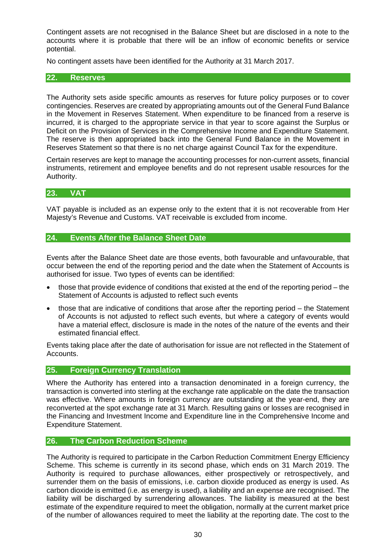Contingent assets are not recognised in the Balance Sheet but are disclosed in a note to the accounts where it is probable that there will be an inflow of economic benefits or service potential.

No contingent assets have been identified for the Authority at 31 March 2017.

#### **22. Reserves**

The Authority sets aside specific amounts as reserves for future policy purposes or to cover contingencies. Reserves are created by appropriating amounts out of the General Fund Balance in the Movement in Reserves Statement. When expenditure to be financed from a reserve is incurred, it is charged to the appropriate service in that year to score against the Surplus or Deficit on the Provision of Services in the Comprehensive Income and Expenditure Statement. The reserve is then appropriated back into the General Fund Balance in the Movement in Reserves Statement so that there is no net charge against Council Tax for the expenditure.

Certain reserves are kept to manage the accounting processes for non-current assets, financial instruments, retirement and employee benefits and do not represent usable resources for the Authority.

#### **23. VAT**

VAT payable is included as an expense only to the extent that it is not recoverable from Her Majesty's Revenue and Customs. VAT receivable is excluded from income.

## **24. Events After the Balance Sheet Date**

Events after the Balance Sheet date are those events, both favourable and unfavourable, that occur between the end of the reporting period and the date when the Statement of Accounts is authorised for issue. Two types of events can be identified:

- those that provide evidence of conditions that existed at the end of the reporting period the Statement of Accounts is adjusted to reflect such events
- those that are indicative of conditions that arose after the reporting period the Statement of Accounts is not adjusted to reflect such events, but where a category of events would have a material effect, disclosure is made in the notes of the nature of the events and their estimated financial effect.

Events taking place after the date of authorisation for issue are not reflected in the Statement of Accounts.

#### **25. Foreign Currency Translation**

Where the Authority has entered into a transaction denominated in a foreign currency, the transaction is converted into sterling at the exchange rate applicable on the date the transaction was effective. Where amounts in foreign currency are outstanding at the year-end, they are reconverted at the spot exchange rate at 31 March. Resulting gains or losses are recognised in the Financing and Investment Income and Expenditure line in the Comprehensive Income and Expenditure Statement.

#### **26. The Carbon Reduction Scheme**

The Authority is required to participate in the Carbon Reduction Commitment Energy Efficiency Scheme. This scheme is currently in its second phase, which ends on 31 March 2019. The Authority is required to purchase allowances, either prospectively or retrospectively, and surrender them on the basis of emissions, i.e. carbon dioxide produced as energy is used. As carbon dioxide is emitted (i.e. as energy is used), a liability and an expense are recognised. The liability will be discharged by surrendering allowances. The liability is measured at the best estimate of the expenditure required to meet the obligation, normally at the current market price of the number of allowances required to meet the liability at the reporting date. The cost to the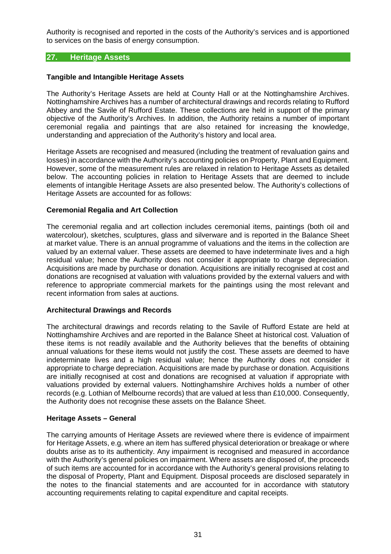Authority is recognised and reported in the costs of the Authority's services and is apportioned to services on the basis of energy consumption.

## **27. Heritage Assets**

#### **Tangible and Intangible Heritage Assets**

The Authority's Heritage Assets are held at County Hall or at the Nottinghamshire Archives. Nottinghamshire Archives has a number of architectural drawings and records relating to Rufford Abbey and the Savile of Rufford Estate. These collections are held in support of the primary objective of the Authority's Archives. In addition, the Authority retains a number of important ceremonial regalia and paintings that are also retained for increasing the knowledge, understanding and appreciation of the Authority's history and local area.

Heritage Assets are recognised and measured (including the treatment of revaluation gains and losses) in accordance with the Authority's accounting policies on Property, Plant and Equipment. However, some of the measurement rules are relaxed in relation to Heritage Assets as detailed below. The accounting policies in relation to Heritage Assets that are deemed to include elements of intangible Heritage Assets are also presented below. The Authority's collections of Heritage Assets are accounted for as follows:

#### **Ceremonial Regalia and Art Collection**

The ceremonial regalia and art collection includes ceremonial items, paintings (both oil and watercolour), sketches, sculptures, glass and silverware and is reported in the Balance Sheet at market value. There is an annual programme of valuations and the items in the collection are valued by an external valuer. These assets are deemed to have indeterminate lives and a high residual value; hence the Authority does not consider it appropriate to charge depreciation. Acquisitions are made by purchase or donation. Acquisitions are initially recognised at cost and donations are recognised at valuation with valuations provided by the external valuers and with reference to appropriate commercial markets for the paintings using the most relevant and recent information from sales at auctions.

### **Architectural Drawings and Records**

The architectural drawings and records relating to the Savile of Rufford Estate are held at Nottinghamshire Archives and are reported in the Balance Sheet at historical cost. Valuation of these items is not readily available and the Authority believes that the benefits of obtaining annual valuations for these items would not justify the cost. These assets are deemed to have indeterminate lives and a high residual value; hence the Authority does not consider it appropriate to charge depreciation. Acquisitions are made by purchase or donation. Acquisitions are initially recognised at cost and donations are recognised at valuation if appropriate with valuations provided by external valuers. Nottinghamshire Archives holds a number of other records (e.g. Lothian of Melbourne records) that are valued at less than £10,000. Consequently, the Authority does not recognise these assets on the Balance Sheet.

#### **Heritage Assets – General**

The carrying amounts of Heritage Assets are reviewed where there is evidence of impairment for Heritage Assets, e.g. where an item has suffered physical deterioration or breakage or where doubts arise as to its authenticity. Any impairment is recognised and measured in accordance with the Authority's general policies on impairment. Where assets are disposed of, the proceeds of such items are accounted for in accordance with the Authority's general provisions relating to the disposal of Property, Plant and Equipment. Disposal proceeds are disclosed separately in the notes to the financial statements and are accounted for in accordance with statutory accounting requirements relating to capital expenditure and capital receipts.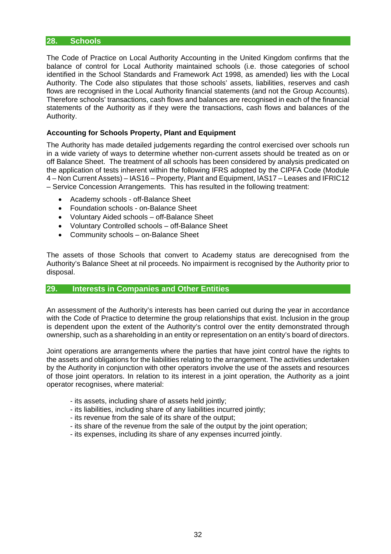### **28. Schools**

The Code of Practice on Local Authority Accounting in the United Kingdom confirms that the balance of control for Local Authority maintained schools (i.e. those categories of school identified in the School Standards and Framework Act 1998, as amended) lies with the Local Authority. The Code also stipulates that those schools' assets, liabilities, reserves and cash flows are recognised in the Local Authority financial statements (and not the Group Accounts). Therefore schools' transactions, cash flows and balances are recognised in each of the financial statements of the Authority as if they were the transactions, cash flows and balances of the Authority.

#### **Accounting for Schools Property, Plant and Equipment**

The Authority has made detailed judgements regarding the control exercised over schools run in a wide variety of ways to determine whether non-current assets should be treated as on or off Balance Sheet. The treatment of all schools has been considered by analysis predicated on the application of tests inherent within the following IFRS adopted by the CIPFA Code (Module 4 – Non Current Assets) – IAS16 – Property, Plant and Equipment, IAS17 – Leases and IFRIC12 – Service Concession Arrangements. This has resulted in the following treatment:

- Academy schools off-Balance Sheet
- Foundation schools on-Balance Sheet
- Voluntary Aided schools off-Balance Sheet
- Voluntary Controlled schools off-Balance Sheet
- Community schools on-Balance Sheet

The assets of those Schools that convert to Academy status are derecognised from the Authority's Balance Sheet at nil proceeds. No impairment is recognised by the Authority prior to disposal.

### **29. Interests in Companies and Other Entities**

An assessment of the Authority's interests has been carried out during the year in accordance with the Code of Practice to determine the group relationships that exist. Inclusion in the group is dependent upon the extent of the Authority's control over the entity demonstrated through ownership, such as a shareholding in an entity or representation on an entity's board of directors.

Joint operations are arrangements where the parties that have joint control have the rights to the assets and obligations for the liabilities relating to the arrangement. The activities undertaken by the Authority in conjunction with other operators involve the use of the assets and resources of those joint operators. In relation to its interest in a joint operation, the Authority as a joint operator recognises, where material:

- its assets, including share of assets held jointly;
- its liabilities, including share of any liabilities incurred jointly;
- its revenue from the sale of its share of the output;
- its share of the revenue from the sale of the output by the joint operation;
- its expenses, including its share of any expenses incurred jointly.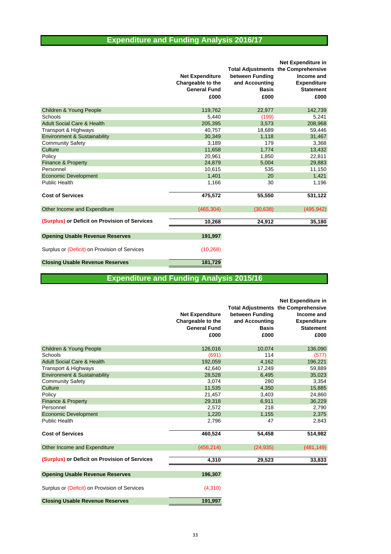## **Expenditure and Funding Analysis 2016/17**

|                                               |                        |                 | <b>Net Expenditure in</b>                  |
|-----------------------------------------------|------------------------|-----------------|--------------------------------------------|
|                                               |                        |                 | <b>Total Adjustments the Comprehensive</b> |
|                                               | <b>Net Expenditure</b> | between Funding | Income and                                 |
|                                               | Chargeable to the      | and Accounting  | <b>Expenditure</b>                         |
|                                               | <b>General Fund</b>    | <b>Basis</b>    | <b>Statement</b>                           |
|                                               | £000                   | £000            | £000                                       |
| Children & Young People                       | 119,762                | 22,977          | 142,739                                    |
| Schools                                       | 5.440                  | (199)           | 5,241                                      |
| <b>Adult Social Care &amp; Health</b>         | 205,395                | 3,573           | 208,968                                    |
| Transport & Highways                          | 40,757                 | 18,689          | 59,446                                     |
| <b>Environment &amp; Sustainability</b>       | 30,349                 | 1,118           | 31,467                                     |
| <b>Community Safety</b>                       | 3,189                  | 179             | 3,368                                      |
| Culture                                       | 11,658                 | 1,774           | 13,432                                     |
| Policy                                        | 20,961                 | 1,850           | 22,811                                     |
| Finance & Property                            | 24,879                 | 5,004           | 29,883                                     |
| Personnel                                     | 10,615                 | 535             | 11,150                                     |
| <b>Economic Development</b>                   | 1.401                  | 20              | 1,421                                      |
| Public Health                                 | 1.166                  | 30              | 1,196                                      |
| <b>Cost of Services</b>                       | 475,572                | 55,550          | 531,122                                    |
| Other Income and Expenditure                  | (465, 304)             | (30, 638)       | (495, 942)                                 |
| (Surplus) or Deficit on Provision of Services | 10,268                 | 24,912          | 35,180                                     |
| <b>Opening Usable Revenue Reserves</b>        | 191,997                |                 |                                            |
| Surplus or (Deficit) on Provision of Services | (10, 268)              |                 |                                            |
| <b>Closing Usable Revenue Reserves</b>        | 181,729                |                 |                                            |

## **Expenditure and Funding Analysis 2015/16**

|                                               | <b>Net Expenditure</b><br>Chargeable to the<br><b>General Fund</b><br>£000 | between Funding<br>and Accounting<br><b>Basis</b><br>£000 | <b>Net Expenditure in</b><br><b>Total Adjustments the Comprehensive</b><br>Income and<br><b>Expenditure</b><br><b>Statement</b><br>£000 |
|-----------------------------------------------|----------------------------------------------------------------------------|-----------------------------------------------------------|-----------------------------------------------------------------------------------------------------------------------------------------|
| Children & Young People                       | 126,016                                                                    | 10,074                                                    | 136,090                                                                                                                                 |
| Schools                                       | (691)                                                                      | 114                                                       | (577)                                                                                                                                   |
| <b>Adult Social Care &amp; Health</b>         | 192,059                                                                    | 4,162                                                     | 196,221                                                                                                                                 |
| Transport & Highways                          | 42,640                                                                     | 17,249                                                    | 59,889                                                                                                                                  |
| <b>Environment &amp; Sustainability</b>       | 28,528                                                                     | 6,495                                                     | 35,023                                                                                                                                  |
| <b>Community Safety</b>                       | 3,074                                                                      | 280                                                       | 3,354                                                                                                                                   |
| Culture                                       | 11.535                                                                     | 4.350                                                     | 15,885                                                                                                                                  |
| Policy                                        | 21,457                                                                     | 3,403                                                     | 24,860                                                                                                                                  |
| <b>Finance &amp; Property</b>                 | 29,318                                                                     | 6,911                                                     | 36,229                                                                                                                                  |
| Personnel                                     | 2,572                                                                      | 218                                                       | 2,790                                                                                                                                   |
| <b>Economic Development</b>                   | 1,220                                                                      | 1,155                                                     | 2,375                                                                                                                                   |
| Public Health                                 | 2,796                                                                      | 47                                                        | 2,843                                                                                                                                   |
| <b>Cost of Services</b>                       | 460,524                                                                    | 54,458                                                    | 514,982                                                                                                                                 |
| Other Income and Expenditure                  | (456, 214)                                                                 | (24, 935)                                                 | (481, 149)                                                                                                                              |
| (Surplus) or Deficit on Provision of Services | 4,310                                                                      | 29,523                                                    | 33,833                                                                                                                                  |
| <b>Opening Usable Revenue Reserves</b>        | 196,307                                                                    |                                                           |                                                                                                                                         |
| Surplus or (Deficit) on Provision of Services | (4,310)                                                                    |                                                           |                                                                                                                                         |
| <b>Closing Usable Revenue Reserves</b>        | 191,997                                                                    |                                                           |                                                                                                                                         |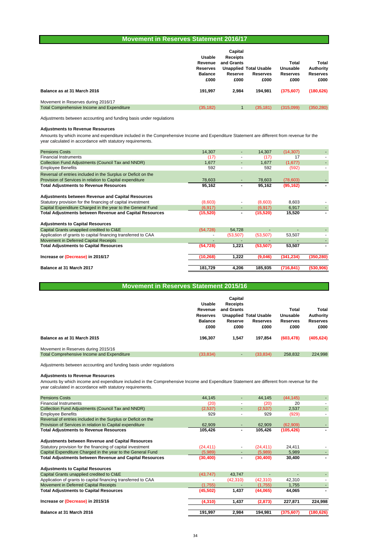#### **Movement in Reserves Statement 2016/17**

| Balance as at 31 March 2016                | <b>Usable</b><br>Revenue<br><b>Reserves</b><br><b>Balance</b><br>£000<br>191.997 | Capital<br><b>Receipts</b><br>and Grants<br>Reserve<br>£000<br>2.984 | <b>Unapplied Total Usable</b><br>Reserves<br>£000<br>194.981 | Total<br>Unusable<br><b>Reserves</b><br>£000<br>(375, 607) | Total<br>Authority<br><b>Reserves</b><br>£000<br>(180, 626) |
|--------------------------------------------|----------------------------------------------------------------------------------|----------------------------------------------------------------------|--------------------------------------------------------------|------------------------------------------------------------|-------------------------------------------------------------|
| Movement in Reserves during 2016/17        |                                                                                  |                                                                      |                                                              |                                                            |                                                             |
| Total Comprehensive Income and Expenditure | (35, 182)                                                                        |                                                                      | (35, 181)                                                    | (315,099)                                                  | (350, 280)                                                  |

Adjustments between accounting and funding basis under regulations

#### **Adjustments to Revenue Resources**

Amounts by which income and expenditure included in the Comprehensive Income and Expenditure Statement are different from revenue for the year calculated in accordance with statutory requirements.

| <b>Pensions Costs</b>                                          | 14.307    |           | 14.307    | (14, 307)  |            |
|----------------------------------------------------------------|-----------|-----------|-----------|------------|------------|
| <b>Financial Instruments</b>                                   | (17)      |           | (17)      | 17         |            |
| Collection Fund Adjustments (Council Tax and NNDR)             | 1,677     | ٠         | 1,677     | (1,677)    |            |
| <b>Employee Benefits</b>                                       | 592       |           | 592       | (592)      |            |
| Reversal of entries included in the Surplus or Deficit on the  |           |           |           |            |            |
| Provision of Services in relation to Capital expenditure       | 78,603    |           | 78,603    | (78,603)   |            |
| <b>Total Adjustments to Revenue Resources</b>                  | 95,162    |           | 95,162    | (95, 162)  |            |
| <b>Adjustments between Revenue and Capital Resources</b>       |           |           |           |            |            |
| Statutory provision for the financing of capital investment    | (8,603)   |           | (8,603)   | 8,603      |            |
| Capital Expenditure Charged in the year to the General Fund    | (6, 917)  |           | (6, 917)  | 6,917      |            |
| <b>Total Adjustments between Revenue and Capital Resources</b> | (15, 520) |           | (15, 520) | 15,520     |            |
| <b>Adjustments to Capital Resources</b>                        |           |           |           |            |            |
| Capital Grants unapplied credited to CI&E                      | (54, 728) | 54,728    |           |            |            |
| Application of grants to capital financing transferred to CAA  |           | (53, 507) | (53, 507) | 53,507     |            |
| Movement in Deferred Capital Receipts                          |           |           |           |            |            |
| <b>Total Adjustments to Capital Resources</b>                  | (54, 728) | 1,221     | (53, 507) | 53,507     |            |
| Increase or (Decrease) in 2016/17                              | (10, 268) | 1,222     | (9,046)   | (341, 234) | (350, 280) |
| Balance at 31 March 2017                                       | 181,729   | 4,206     | 185,935   | (716, 841) | (530, 906) |
|                                                                |           |           |           |            |            |

| <b>Movement in Reserves Statement 2015/16</b> |  |  |  |
|-----------------------------------------------|--|--|--|
|-----------------------------------------------|--|--|--|

|                                                   | Usable                     | Capital<br><b>Receipts</b> |                               |                   |                    |
|---------------------------------------------------|----------------------------|----------------------------|-------------------------------|-------------------|--------------------|
|                                                   | Revenue<br><b>Reserves</b> | and Grants                 | <b>Unapplied Total Usable</b> | Total<br>Unusable | Total<br>Authority |
|                                                   | <b>Balance</b>             | Reserve                    | <b>Reserves</b>               | <b>Reserves</b>   | <b>Reserves</b>    |
|                                                   | £000                       | £000                       | £000                          | £000              | £000               |
| Balance as at 31 March 2015                       | 196.307                    | 1.547                      | 197.854                       | (603, 478)        | (405, 624)         |
| Movement in Reserves during 2015/16               |                            |                            |                               |                   |                    |
| <b>Total Comprehensive Income and Expenditure</b> | (33, 834)                  | ۰                          | (33, 834)                     | 258.832           | 224.998            |

Adjustments between accounting and funding basis under regulations

#### **Adjustments to Revenue Resources**

Amounts by which income and expenditure included in the Comprehensive Income and Expenditure Statement are different from revenue for the year calculated in accordance with statutory requirements.

| <b>Pensions Costs</b>                                          | 44.145    | ٠                        | 44.145    | (44, 145)  |            |
|----------------------------------------------------------------|-----------|--------------------------|-----------|------------|------------|
| <b>Financial Instruments</b>                                   | (20)      | $\overline{\phantom{a}}$ | (20)      | 20         |            |
| Collection Fund Adjustments (Council Tax and NNDR)             | (2,537)   | ٠                        | (2,537)   | 2,537      |            |
| <b>Employee Benefits</b>                                       | 929       | ٠                        | 929       | (929)      |            |
| Reversal of entries included in the Surplus or Deficit on the  |           |                          |           |            |            |
| Provision of Services in relation to Capital expenditure       | 62,909    |                          | 62,909    | (62,909)   |            |
| <b>Total Adjustments to Revenue Resources</b>                  | 105,426   | ۰                        | 105,426   | (105, 426) |            |
| <b>Adjustments between Revenue and Capital Resources</b>       |           |                          |           |            |            |
| Statutory provision for the financing of capital investment    | (24, 411) | ٠                        | (24, 411) | 24,411     |            |
| Capital Expenditure Charged in the year to the General Fund    | (5,989)   |                          | (5,989)   | 5,989      |            |
| <b>Total Adjustments between Revenue and Capital Resources</b> | (30, 400) |                          | (30, 400) | 30,400     |            |
| <b>Adjustments to Capital Resources</b>                        |           |                          |           |            |            |
| Capital Grants unapplied credited to CI&E                      | (43, 747) | 43,747                   | ٠         |            |            |
| Application of grants to capital financing transferred to CAA  |           | (42, 310)                | (42, 310) | 42,310     |            |
| Movement in Deferred Capital Receipts                          | (1,755)   |                          | (1,755)   | 1.755      |            |
| <b>Total Adjustments to Capital Resources</b>                  | (45, 502) | 1,437                    | (44,065)  | 44,065     |            |
| Increase or (Decrease) in 2015/16                              | (4, 310)  | 1,437                    | (2, 873)  | 227,871    | 224,998    |
| Balance at 31 March 2016                                       | 191,997   | 2,984                    | 194,981   | (375, 607) | (180, 626) |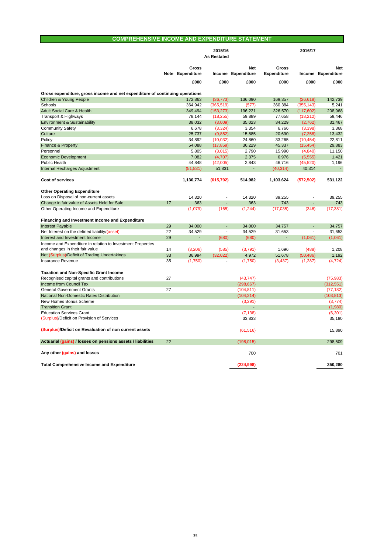#### **COMPREHENSIVE INCOME AND EXPENDITURE STATEMENT**

|                                                                              |    |                           | 2015/16<br><b>As Restated</b> |                           |                             | 2016/17                  |                                  |
|------------------------------------------------------------------------------|----|---------------------------|-------------------------------|---------------------------|-----------------------------|--------------------------|----------------------------------|
|                                                                              |    |                           |                               |                           |                             |                          |                                  |
|                                                                              |    | Gross<br>Note Expenditure |                               | Net<br>Income Expenditure | Gross<br><b>Expenditure</b> |                          | <b>Net</b><br>Income Expenditure |
|                                                                              |    | £000                      | £000                          | £000                      | £000                        | £000                     | £000                             |
| Gross expenditure, gross income and net expenditure of continuing operations |    |                           |                               |                           |                             |                          |                                  |
| <b>Children &amp; Young People</b>                                           |    | 172,863                   | (36, 773)                     | 136,090                   | 169,357                     | (26, 618)                | 142.739                          |
| Schools                                                                      |    | 364,942                   | (365, 519)                    | (577)                     | 360,384                     | (355, 143)               | 5,241                            |
| <b>Adult Social Care &amp; Health</b>                                        |    | 349,494                   | (153, 273)                    | 196,221                   | 326,570                     | (117, 602)               | 208,968                          |
| Transport & Highways                                                         |    | 78,144                    | (18, 255)                     | 59,889                    | 77,658                      | (18, 212)                | 59,446                           |
| <b>Environment &amp; Sustainability</b>                                      |    | 38,032                    | (3,009)                       | 35,023                    | 34,229                      | (2,762)                  | 31,467                           |
| <b>Community Safety</b>                                                      |    | 6,678                     | (3,324)                       | 3,354                     | 6,766                       | (3, 398)                 | 3,368                            |
| Culture                                                                      |    | 25,737                    | (9, 852)                      | 15,885                    | 20,690                      | (7, 258)                 | 13,432                           |
| Policy                                                                       |    | 34,892                    | (10, 032)                     | 24,860                    | 33,265                      | (10, 454)                | 22,811                           |
| Finance & Property                                                           |    | 54,088                    | (17, 859)                     | 36,229                    | 45,337                      | (15, 454)                | 29,883                           |
| Personnel                                                                    |    | 5,805                     | (3,015)                       | 2,790                     | 15,990                      | (4,840)                  | 11,150                           |
| <b>Economic Development</b>                                                  |    | 7,082                     | (4,707)                       | 2,375                     | 6,976                       | (5, 555)                 | 1,421                            |
| Public Health                                                                |    | 44,848                    | (42,005)                      | 2,843                     | 46,716                      | (45, 520)                | 1,196                            |
| Internal Recharges Adjustment                                                |    | (51, 831)                 | 51,831                        | ä,                        | (40, 314)                   | 40,314                   | $\Box$                           |
|                                                                              |    |                           |                               |                           |                             |                          |                                  |
| <b>Cost of services</b>                                                      |    | 1,130,774                 | (615, 792)                    | 514,982                   | 1,103,624                   | (572, 502)               | 531,122                          |
| <b>Other Operating Expenditure</b>                                           |    |                           |                               |                           |                             |                          |                                  |
| Loss on Disposal of non-current assets                                       |    | 14,320                    | $\overline{a}$                | 14,320                    | 39,255                      | $\blacksquare$           | 39,255                           |
| Change in fair value of Assets Held for Sale                                 | 17 | 363                       |                               | 363                       | 743                         | Ξ                        | 743                              |
| Other Operating Income and Expenditure                                       |    | (1,079)                   | (165)                         | (1, 244)                  | (17,035)                    | (346)                    | (17, 381)                        |
| <b>Financing and Investment Income and Expenditure</b>                       |    |                           |                               |                           |                             |                          |                                  |
| <b>Interest Payable</b>                                                      | 29 | 34,000                    |                               | 34,000                    | 34,757                      |                          | 34,757                           |
| Net Interest on the defined liability/(asset)                                | 22 | 34,529                    | $\blacksquare$                | 34,529                    | 31,653                      | $\overline{\phantom{a}}$ | 31,653                           |
| Interest and Investment Income                                               | 29 | ÷,                        | (680)                         | (680)                     | $\overline{a}$              | (1,061)                  | (1,061)                          |
| Income and Expenditure in relation to Investment Properties                  |    |                           |                               |                           |                             |                          |                                  |
| and changes in their fair value                                              | 14 | (3,206)                   | (585)                         | (3,791)                   | 1.696                       | (488)                    | 1,208                            |
| Net (Surplus)/Deficit of Trading Undertakings                                | 33 | 36,994                    | (32,022)                      | 4,972                     | 51,678                      | (50, 486)                | 1,192                            |
| Insurance Revenue                                                            | 35 | (1,750)                   |                               | (1,750)                   | (3, 437)                    | (1, 287)                 | (4, 724)                         |
|                                                                              |    |                           |                               |                           |                             |                          |                                  |
| <b>Taxation and Non-Specific Grant Income</b>                                | 27 |                           |                               |                           |                             |                          | (75, 983)                        |
| Recognised capital grants and contributions<br>Income from Council Tax       |    |                           |                               | (43, 747)                 |                             |                          |                                  |
| <b>General Government Grants</b>                                             | 27 |                           |                               | (298, 667)                |                             |                          | (312, 551)                       |
| National Non-Domestic Rates Distribution                                     |    |                           |                               | (104, 811)<br>(104, 214)  |                             |                          | (77, 182)<br>(103, 813)          |
| New Homes Bonus Scheme                                                       |    |                           |                               | (3,291)                   |                             |                          | (3,774)                          |
| <b>Transition Grant</b>                                                      |    |                           |                               |                           |                             |                          | (1,980)                          |
| <b>Education Services Grant</b>                                              |    |                           |                               | (7, 138)                  |                             |                          | (6, 301)                         |
| (Surplus)/Deficit on Provision of Services                                   |    |                           |                               | 33,833                    |                             |                          | 35,180                           |
| (Surplus)/Deficit on Revaluation of non current assets                       |    |                           |                               | (61, 516)                 |                             |                          | 15.890                           |
|                                                                              | 22 |                           |                               |                           |                             |                          |                                  |
| Actuarial (gains) / losses on pensions assets / liabilities                  |    |                           |                               | (198, 015)                |                             |                          | 298,509                          |
| Any other (gains) and losses                                                 |    |                           |                               | 700                       |                             |                          | 701                              |
| <b>Total Comprehensive Income and Expenditure</b>                            |    |                           |                               | (224.998)                 |                             |                          | 350.280                          |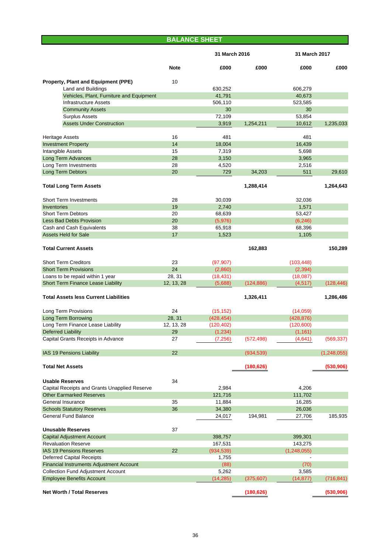| <b>BALANCE SHEET</b>                                            |             |               |            |               |               |
|-----------------------------------------------------------------|-------------|---------------|------------|---------------|---------------|
|                                                                 |             | 31 March 2016 |            | 31 March 2017 |               |
|                                                                 | <b>Note</b> | £000          | £000       | £000          | £000          |
| Property, Plant and Equipment (PPE)                             | 10          |               |            |               |               |
| <b>Land and Buildings</b>                                       |             | 630,252       |            | 606,279       |               |
| Vehicles, Plant, Furniture and Equipment                        |             | 41,791        |            | 40,673        |               |
| <b>Infrastructure Assets</b>                                    |             | 506,110       |            | 523,585       |               |
| <b>Community Assets</b>                                         |             | 30            |            | 30            |               |
| <b>Surplus Assets</b>                                           |             | 72,109        |            | 53,854        |               |
| <b>Assets Under Construction</b>                                |             | 3,919         | 1,254,211  | 10,612        | 1,235,033     |
| <b>Heritage Assets</b>                                          | 16          | 481           |            | 481           |               |
| <b>Investment Property</b>                                      | 14          | 18,004        |            | 16,439        |               |
| Intangible Assets                                               | 15          | 7,319         |            | 5,698         |               |
| Long Term Advances                                              | 28          | 3,150         |            | 3,965         |               |
| Long Term Investments                                           | 28          | 4,520         |            | 2,516         |               |
| Long Term Debtors                                               | 20          | 729           | 34,203     | 511           | 29,610        |
| <b>Total Long Term Assets</b>                                   |             |               | 1,288,414  |               | 1,264,643     |
| <b>Short Term Investments</b>                                   | 28          | 30,039        |            | 32,036        |               |
| <b>Inventories</b>                                              | 19          | 2,740         |            | 1,571         |               |
| <b>Short Term Debtors</b>                                       | 20          | 68,639        |            | 53,427        |               |
| <b>Less Bad Debts Provision</b>                                 | 20          | (5,976)       |            | (6, 246)      |               |
| Cash and Cash Equivalents                                       | 38          | 65,918        |            | 68,396        |               |
| <b>Assets Held for Sale</b>                                     | 17          | 1,523         |            | 1,105         |               |
| <b>Total Current Assets</b>                                     |             |               | 162,883    |               | 150,289       |
| <b>Short Term Creditors</b>                                     | 23          | (97, 907)     |            | (103, 448)    |               |
| <b>Short Term Provisions</b>                                    | 24          | (2,860)       |            | (2, 394)      |               |
| Loans to be repaid within 1 year                                | 28, 31      | (18, 431)     |            | (18,087)      |               |
| Short Term Finance Lease Liability                              | 12, 13, 28  | (5,688)       | (124, 886) | (4, 517)      | (128, 446)    |
|                                                                 |             |               |            |               |               |
| <b>Total Assets less Current Liabilities</b>                    |             |               | 1,326,411  |               | 1,286,486     |
| Long Term Provisions                                            | 24          | (15, 152)     |            | (14,059)      |               |
| Long Term Borrowing                                             | 28, 31      | (428, 454)    |            | (428, 876)    |               |
| Long Term Finance Lease Liability                               | 12, 13, 28  | (120, 402)    |            | (120,600)     |               |
| <b>Deferred Liability</b>                                       | 29          | (1, 234)      |            | (1, 161)      |               |
| Capital Grants Receipts in Advance                              | 27          | (7, 256)      | (572, 498) | (4,641)       | (569, 337)    |
| IAS 19 Pensions Liability                                       | 22          |               | (934, 539) |               | (1, 248, 055) |
|                                                                 |             |               |            |               |               |
| <b>Total Net Assets</b>                                         |             |               | (180, 626) |               | (530, 906)    |
| <b>Usable Reserves</b>                                          | 34          |               |            |               |               |
| Capital Receipts and Grants Unapplied Reserve                   |             | 2,984         |            | 4,206         |               |
| <b>Other Earmarked Reserves</b>                                 |             | 121,716       |            | 111,702       |               |
| General Insurance                                               | 35          | 11,884        |            | 16,285        |               |
| <b>Schools Statutory Reserves</b>                               | 36          | 34,380        |            | 26,036        |               |
| <b>General Fund Balance</b>                                     |             | 24,017        | 194,981    | 27,706        | 185,935       |
|                                                                 |             |               |            |               |               |
| <b>Unusable Reserves</b>                                        | 37          |               |            |               |               |
| <b>Capital Adjustment Account</b><br><b>Revaluation Reserve</b> |             | 398,757       |            | 399,301       |               |
| <b>IAS 19 Pensions Reserves</b>                                 | 22          | 167,531       |            | 143,275       |               |
|                                                                 |             | (934, 539)    |            | (1,248,055)   |               |
| <b>Deferred Capital Receipts</b>                                |             | 1,755         |            |               |               |
| Financial Instruments Adjustment Account                        |             | (88)          |            | (70)          |               |
| <b>Collection Fund Adjustment Account</b>                       |             | 5,262         |            | 3,585         |               |
| <b>Employee Benefits Account</b>                                |             | (14, 285)     | (375, 607) | (14, 877)     | (716, 841)    |
| <b>Net Worth / Total Reserves</b>                               |             |               | (180, 626) |               | (530, 906)    |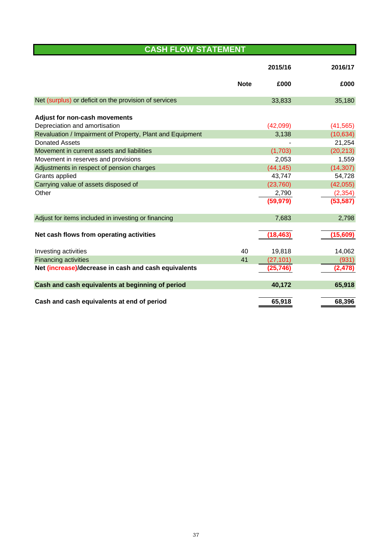# **CASH FLOW STATEMENT**

|                                                           |             | 2015/16   | 2016/17   |
|-----------------------------------------------------------|-------------|-----------|-----------|
|                                                           | <b>Note</b> | £000      | £000      |
| Net (surplus) or deficit on the provision of services     |             | 33,833    | 35,180    |
| <b>Adjust for non-cash movements</b>                      |             |           |           |
| Depreciation and amortisation                             |             | (42,099)  | (41, 565) |
| Revaluation / Impairment of Property, Plant and Equipment |             | 3,138     | (10, 634) |
| <b>Donated Assets</b>                                     |             |           | 21,254    |
| Movement in current assets and liabilities                |             | (1,703)   | (20, 213) |
| Movement in reserves and provisions                       |             | 2,053     | 1,559     |
| Adjustments in respect of pension charges                 |             | (44, 145) | (14, 307) |
| Grants applied                                            |             | 43,747    | 54,728    |
| Carrying value of assets disposed of                      |             | (23, 760) | (42, 055) |
| Other                                                     |             | 2,790     | (2, 354)  |
|                                                           |             | (59, 979) | (53, 587) |
| Adjust for items included in investing or financing       |             | 7,683     | 2,798     |
| Net cash flows from operating activities                  |             | (18, 463) | (15, 609) |
| Investing activities                                      | 40          | 19,818    | 14,062    |
| <b>Financing activities</b>                               | 41          | (27, 101) | (931)     |
| Net (increase)/decrease in cash and cash equivalents      |             | (25,746)  | (2, 478)  |
| Cash and cash equivalents at beginning of period          |             | 40,172    | 65,918    |
| Cash and cash equivalents at end of period                |             | 65,918    | 68,396    |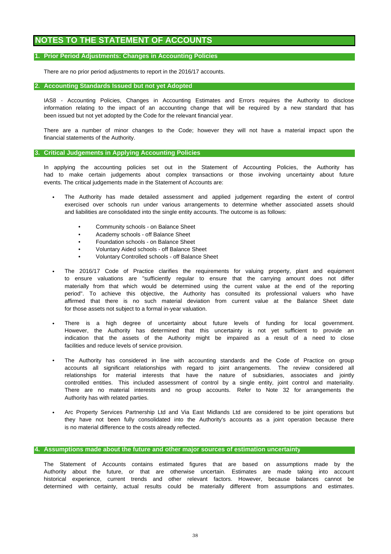# **NOTES TO THE STATEMENT OF ACCOUNTS**

# **1. Prior Period Adjustments: Changes in Accounting Policies**

There are no prior period adjustments to report in the 2016/17 accounts.

# **2. Accounting Standards Issued but not yet Adopted**

been issued but not yet adopted by the Code for the relevant financial year. information relating to the impact of an accounting change that will be required by a new standard that has IAS8 - Accounting Policies, Changes in Accounting Estimates and Errors requires the Authority to disclose

There are a number of minor changes to the Code; however they will not have a material impact upon the financial statements of the Authority.

# **3. Critical Judgements in Applying Accounting Policies**

events. The critical judgements made in the Statement of Accounts are: In applying the accounting policies set out in the Statement of Accounting Policies, the Authority has had to make certain judgements about complex transactions or those involving uncertainty about future

- and liabilities are consolidated into the single entity accounts. The outcome is as follows: exercised over schools run under various arrangements to determine whether associated assets should The Authority has made detailed assessment and applied judgement regarding the extent of control
	- Community schools on Balance Sheet
	- Academy schools off Balance Sheet
	- Foundation schools on Balance Sheet
	- Voluntary Aided schools off Balance Sheet
	- Voluntary Controlled schools off Balance Sheet
- The 2016/17 Code of Practice clarifies the requirements for valuing property, plant and equipment to ensure valuations are "sufficiently regular to ensure that the carrying amount does not differ materially from that which would be determined using the current value at the end of the reporting period". To achieve this objective, the Authority has consulted its professional valuers who have affirmed that there is no such material deviation from current value at the Balance Sheet date for those assets not subject to a formal in-year valuation.
- facilities and reduce levels of service provision. There is a high degree of uncertainty about future levels of funding for local government. However, the Authority has determined that this uncertainty is not yet sufficient to provide an indication that the assets of the Authority might be impaired as a result of a need to close
- Authority has with related parties. The Authority has considered in line with accounting standards and the Code of Practice on group accounts all significant relationships with regard to joint arrangements. The review considered all relationships for material interests that have the nature of subsidiaries, associates and jointly controlled entities. This included assessment of control by a single entity, joint control and materiality. There are no material interests and no group accounts. Refer to Note 32 for arrangements the
- Arc Property Services Partnership Ltd and Via East Midlands Ltd are considered to be joint operations but they have not been fully consolidated into the Authority's accounts as a joint operation because there is no material difference to the costs already reflected.

# **4. Assumptions made about the future and other major sources of estimation uncertainty**

The Statement of Accounts contains estimated figures that are based on assumptions made by the Authority about the future, or that are otherwise uncertain. Estimates are made taking into account determined with certainty, actual results could be materially different from assumptions and estimates. historical experience, current trends and other relevant factors. However, because balances cannot be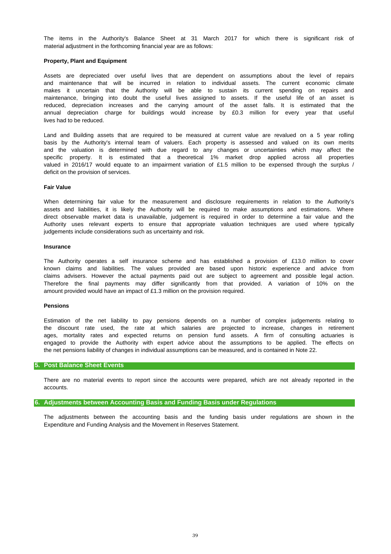material adjustment in the forthcoming financial year are as follows: The items in the Authority's Balance Sheet at 31 March 2017 for which there is significant risk of

# **Property, Plant and Equipment**

lives had to be reduced. reduced, depreciation increases and the carrying amount of the asset falls. It is estimated that the annual depreciation charge for buildings would increase by £0.3 million for every year that useful Assets are depreciated over useful lives that are dependent on assumptions about the level of repairs and maintenance that will be incurred in relation to individual assets. The current economic climate makes it uncertain that the Authority will be able to sustain its current spending on repairs and maintenance, bringing into doubt the useful lives assigned to assets. If the useful life of an asset is

basis by the Authority's internal team of valuers. Each property is assessed and valued on its own merits and the valuation is determined with due regard to any changes or uncertainties which may affect the specific property. It is estimated that a theoretical 1% market drop applied across all properties valued in 2016/17 would equate to an impairment variation of £1.5 million to be expensed through the surplus / Land and Building assets that are required to be measured at current value are revalued on a 5 year rolling deficit on the provision of services.

#### **Fair Value**

judgements include considerations such as uncertainty and risk. direct observable market data is unavailable, judgement is required in order to determine a fair value and the When determining fair value for the measurement and disclosure requirements in relation to the Authority's assets and liabilities, it is likely the Authority will be required to make assumptions and estimations. Where Authority uses relevant experts to ensure that appropriate valuation techniques are used where typically

#### **Insurance**

known claims and liabilities. The values provided are based upon historic experience and advice from amount provided would have an impact of £1.3 million on the provision required. claims advisers. However the actual payments paid out are subject to agreement and possible legal action. The Authority operates a self insurance scheme and has established a provision of £13.0 million to cover Therefore the final payments may differ significantly from that provided. A variation of 10% on the

#### **Pensions**

engaged to provide the Authority with expert advice about the assumptions to be applied. The effects on Estimation of the net liability to pay pensions depends on a number of complex judgements relating to the discount rate used, the rate at which salaries are projected to increase, changes in retirement ages, mortality rates and expected returns on pension fund assets. A firm of consulting actuaries is the net pensions liability of changes in individual assumptions can be measured, and is contained in Note 22.

# **5. Post Balance Sheet Events**

accounts. There are no material events to report since the accounts were prepared, which are not already reported in the

#### **6. Adjustments between Accounting Basis and Funding Basis under Regulations**

Expenditure and Funding Analysis and the Movement in Reserves Statement. The adjustments between the accounting basis and the funding basis under regulations are shown in the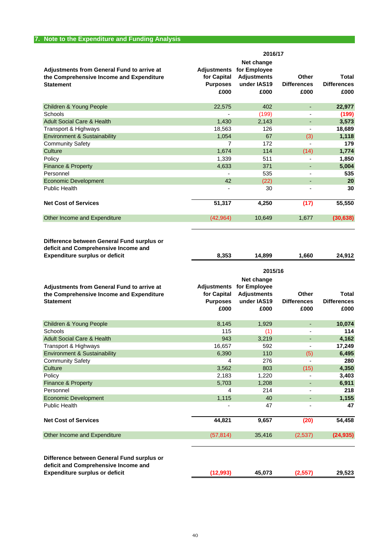|                                                                                                                   |                                                              | 2016/17                                                                 |                                     |                                     |
|-------------------------------------------------------------------------------------------------------------------|--------------------------------------------------------------|-------------------------------------------------------------------------|-------------------------------------|-------------------------------------|
| <b>Adjustments from General Fund to arrive at</b><br>the Comprehensive Income and Expenditure<br><b>Statement</b> | <b>Adjustments</b><br>for Capital<br><b>Purposes</b><br>£000 | Net change<br>for Employee<br><b>Adjustments</b><br>under IAS19<br>£000 | Other<br><b>Differences</b><br>£000 | Total<br><b>Differences</b><br>£000 |
| Children & Young People                                                                                           | 22,575                                                       | 402                                                                     |                                     | 22,977                              |
| Schools                                                                                                           |                                                              | (199)                                                                   |                                     | (199)                               |
| <b>Adult Social Care &amp; Health</b>                                                                             | 1,430                                                        | 2,143                                                                   |                                     | 3,573                               |
| Transport & Highways                                                                                              | 18,563                                                       | 126                                                                     | ٠                                   | 18,689                              |
| <b>Environment &amp; Sustainability</b>                                                                           | 1,054                                                        | 67                                                                      | (3)                                 | 1,118                               |
| <b>Community Safety</b>                                                                                           | 7                                                            | 172                                                                     |                                     | 179                                 |
| Culture                                                                                                           | 1,674                                                        | 114                                                                     | (14)                                | 1,774                               |
| Policy                                                                                                            | 1,339                                                        | 511                                                                     |                                     | 1,850                               |
| <b>Finance &amp; Property</b>                                                                                     | 4,633                                                        | 371                                                                     |                                     | 5,004                               |
| Personnel                                                                                                         |                                                              | 535                                                                     |                                     | 535                                 |
| <b>Economic Development</b>                                                                                       | 42                                                           | (22)                                                                    |                                     | 20                                  |
| <b>Public Health</b>                                                                                              | ٠                                                            | 30                                                                      |                                     | 30                                  |
| <b>Net Cost of Services</b>                                                                                       | 51,317                                                       | 4,250                                                                   | (17)                                | 55,550                              |
| Other Income and Expenditure                                                                                      | (42,964)                                                     | 10,649                                                                  | 1,677                               | (30, 638)                           |

**Difference between General Fund surplus or deficit and Comprehensive Income and Expenditure surplus or deficit**

|                                                                                                                             | 2015/16                                                      |                                                                         |                                     |                                            |  |  |  |
|-----------------------------------------------------------------------------------------------------------------------------|--------------------------------------------------------------|-------------------------------------------------------------------------|-------------------------------------|--------------------------------------------|--|--|--|
| <b>Adjustments from General Fund to arrive at</b><br>the Comprehensive Income and Expenditure<br><b>Statement</b>           | <b>Adjustments</b><br>for Capital<br><b>Purposes</b><br>£000 | Net change<br>for Employee<br><b>Adjustments</b><br>under IAS19<br>£000 | Other<br><b>Differences</b><br>£000 | <b>Total</b><br><b>Differences</b><br>£000 |  |  |  |
| <b>Children &amp; Young People</b>                                                                                          | 8,145                                                        | 1,929                                                                   |                                     | 10,074                                     |  |  |  |
| Schools                                                                                                                     | 115                                                          | (1)                                                                     |                                     | 114                                        |  |  |  |
| <b>Adult Social Care &amp; Health</b>                                                                                       | 943                                                          | 3,219                                                                   | ٠                                   | 4,162                                      |  |  |  |
| Transport & Highways                                                                                                        | 16,657                                                       | 592                                                                     |                                     | 17,249                                     |  |  |  |
| <b>Environment &amp; Sustainability</b>                                                                                     | 6,390                                                        | 110                                                                     | (5)                                 | 6,495                                      |  |  |  |
| <b>Community Safety</b>                                                                                                     | 4                                                            | 276                                                                     |                                     | 280                                        |  |  |  |
| Culture                                                                                                                     | 3,562                                                        | 803                                                                     | (15)                                | 4,350                                      |  |  |  |
| Policy                                                                                                                      | 2,183                                                        | 1,220                                                                   |                                     | 3,403                                      |  |  |  |
| <b>Finance &amp; Property</b>                                                                                               | 5,703                                                        | 1,208                                                                   |                                     | 6,911                                      |  |  |  |
| Personnel                                                                                                                   | 4                                                            | 214                                                                     |                                     | 218                                        |  |  |  |
| <b>Economic Development</b>                                                                                                 | 1,115                                                        | 40                                                                      |                                     | 1,155                                      |  |  |  |
| <b>Public Health</b>                                                                                                        |                                                              | 47                                                                      |                                     | 47                                         |  |  |  |
| <b>Net Cost of Services</b>                                                                                                 | 44,821                                                       | 9,657                                                                   | (20)                                | 54,458                                     |  |  |  |
| Other Income and Expenditure                                                                                                | (57, 814)                                                    | 35,416                                                                  | (2,537)                             | (24, 935)                                  |  |  |  |
| Difference between General Fund surplus or<br>deficit and Comprehensive Income and<br><b>Expenditure surplus or deficit</b> | (12,993)                                                     | 45,073                                                                  | (2, 557)                            | 29.523                                     |  |  |  |

**8,353 14,899 1,660 24,912**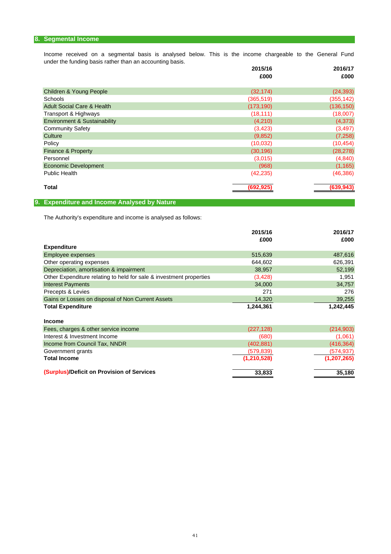# **8. Segmental Income**

under the funding basis rather than an accounting basis. Income received on a segmental basis is analysed below. This is the income chargeable to the General Fund

|                                       | 2015/16    | 2016/17    |
|---------------------------------------|------------|------------|
|                                       | £000       | £000       |
| Children & Young People               | (32, 174)  | (24, 393)  |
| Schools                               | (365, 519) | (355, 142) |
| <b>Adult Social Care &amp; Health</b> | (173, 190) | (136, 150) |
| Transport & Highways                  | (18, 111)  | (18,007)   |
| Environment & Sustainability          | (4,210)    | (4,373)    |
| <b>Community Safety</b>               | (3, 423)   | (3, 497)   |
| Culture                               | (9,852)    | (7, 258)   |
| Policy                                | (10,032)   | (10, 454)  |
| <b>Finance &amp; Property</b>         | (30, 196)  | (28, 278)  |
| Personnel                             | (3,015)    | (4, 840)   |
| <b>Economic Development</b>           | (968)      | (1, 165)   |
| <b>Public Health</b>                  | (42, 235)  | (46, 386)  |
| <b>Total</b>                          | (692, 925) | (639, 943) |
|                                       |            |            |

# **9. Expenditure and Income Analysed by Nature**

The Authority's expenditure and income is analysed as follows:

|                                                                     | 2015/16<br>£000 | 2016/17<br>£000 |
|---------------------------------------------------------------------|-----------------|-----------------|
| <b>Expenditure</b>                                                  |                 |                 |
| Employee expenses                                                   | 515,639         | 487,616         |
| Other operating expenses                                            | 644,602         | 626,391         |
| Depreciation, amortisation & impairment                             | 38,957          | 52,199          |
| Other Expenditure relating to held for sale & investment properties | (3,428)         | 1,951           |
| <b>Interest Payments</b>                                            | 34,000          | 34.757          |
| Precepts & Levies                                                   | 271             | 276             |
| Gains or Losses on disposal of Non Current Assets                   | 14,320          | 39,255          |
| <b>Total Expenditure</b>                                            | 1,244,361       | 1,242,445       |
| <b>Income</b>                                                       |                 |                 |
| Fees, charges & other service income                                | (227, 128)      | (214, 903)      |
| Interest & Investment Income                                        | (680)           | (1,061)         |
| Income from Council Tax, NNDR                                       | (402, 881)      | (416, 364)      |
| Government grants                                                   | (579,839)       | (574, 937)      |
| <b>Total Income</b>                                                 | (1, 210, 528)   | (1, 207, 265)   |

| (Surplus)/Deficit on Provision of Services | 33.833 | 35,180 |
|--------------------------------------------|--------|--------|
|                                            |        |        |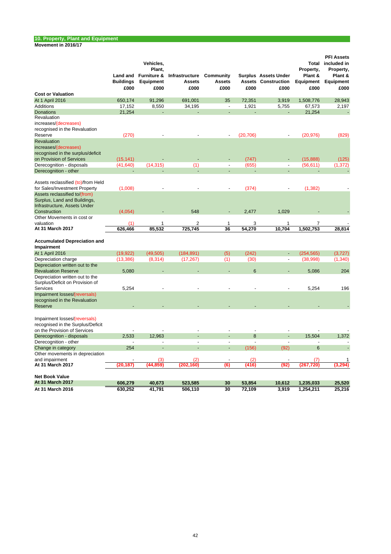# **10. Property, Plant and Equipment**

**Movement in 2016/17**

|                                                                                                    | Land and<br><b>Buildings</b> | Vehicles,<br>Plant,<br>Furniture &<br><b>Equipment</b> | Infrastructure<br><b>Assets</b> | Community<br><b>Assets</b>     |             | <b>Surplus</b> Assets Under<br><b>Assets Construction</b> | Total<br>Property,<br>Plant &<br>Equipment | <b>PFI Assets</b><br>included in<br>Property,<br>Plant &<br>Equipment |
|----------------------------------------------------------------------------------------------------|------------------------------|--------------------------------------------------------|---------------------------------|--------------------------------|-------------|-----------------------------------------------------------|--------------------------------------------|-----------------------------------------------------------------------|
| <b>Cost or Valuation</b>                                                                           | £000                         | £000                                                   | £000                            | £000                           | £000        | £000                                                      | £000                                       | £000                                                                  |
|                                                                                                    |                              |                                                        |                                 |                                |             |                                                           |                                            |                                                                       |
| At 1 April 2016                                                                                    | 650,174                      | 91,296                                                 | 691,001                         | 35<br>$\overline{\phantom{a}}$ | 72,351      | 3,919                                                     | 1,508,776                                  | 28,943                                                                |
| <b>Additions</b><br>Donations                                                                      | 17,152                       | 8,550                                                  | 34,195                          |                                | 1,921       | 5,755                                                     | 67,573                                     | 2,197                                                                 |
| Revaluation                                                                                        | 21,254                       |                                                        |                                 |                                |             |                                                           | 21,254                                     |                                                                       |
| increases/(decreases)                                                                              |                              |                                                        |                                 |                                |             |                                                           |                                            |                                                                       |
| recognised in the Revaluation                                                                      |                              |                                                        |                                 |                                |             |                                                           |                                            |                                                                       |
| Reserve                                                                                            | (270)                        |                                                        |                                 |                                | (20, 706)   |                                                           | (20, 976)                                  | (829)                                                                 |
| Revaluation<br>increases/(decreases)                                                               |                              |                                                        |                                 |                                |             |                                                           |                                            |                                                                       |
| recognised in the surplus/deficit                                                                  |                              |                                                        |                                 |                                |             |                                                           |                                            |                                                                       |
| on Provision of Services                                                                           | (15, 141)                    |                                                        |                                 |                                | (747)       |                                                           | (15, 888)                                  | (125)                                                                 |
| Derecognition - disposals                                                                          | (41, 640)                    | (14, 315)                                              | (1)                             | $\blacksquare$                 | (655)       | $\overline{\phantom{a}}$                                  | (56, 611)                                  | (1, 372)                                                              |
| Derecognition - other                                                                              |                              |                                                        |                                 |                                |             |                                                           |                                            |                                                                       |
| Assets reclassified (to)/from Held<br>for Sales/Investment Property                                | (1,008)                      |                                                        | $\overline{a}$                  |                                | (374)       |                                                           | (1, 382)                                   |                                                                       |
| Assets reclassified to/(from)<br>Surplus, Land and Buildings,<br>Infrastructure, Assets Under      |                              |                                                        |                                 |                                |             |                                                           |                                            |                                                                       |
| Construction                                                                                       | (4,054)                      |                                                        | 548                             | $\overline{a}$                 | 2,477       | 1,029                                                     |                                            |                                                                       |
| Other Movements in cost or                                                                         |                              |                                                        |                                 |                                |             |                                                           |                                            |                                                                       |
| valuation<br>At 31 March 2017                                                                      | (1)                          | 1                                                      | $\overline{2}$<br>725,745       | $\mathbf{1}$                   | 3<br>54,270 | 1<br>10,704                                               | 7                                          |                                                                       |
|                                                                                                    | 626,466                      | 85,532                                                 |                                 | 36                             |             |                                                           | 1,502,753                                  | 28,814                                                                |
| <b>Accumulated Depreciation and</b><br>Impairment                                                  |                              |                                                        |                                 |                                |             |                                                           |                                            |                                                                       |
| At 1 April 2016                                                                                    | (19, 922)                    | (49, 505)                                              | (184, 891)                      | (5)                            | (242)       | $\overline{\phantom{a}}$                                  | (254, 565)                                 | (3,727)                                                               |
| Depreciation charge                                                                                | (13, 386)                    | (8, 314)                                               | (17, 267)                       | (1)                            | (30)        | $\overline{\phantom{a}}$                                  | (38,998)                                   | (1, 340)                                                              |
| Depreciation written out to the                                                                    |                              |                                                        |                                 |                                |             |                                                           |                                            |                                                                       |
| <b>Revaluation Reserve</b>                                                                         | 5,080                        |                                                        |                                 |                                | 6           |                                                           | 5,086                                      | 204                                                                   |
| Depreciation written out to the<br>Surplus/Deficit on Provision of                                 |                              |                                                        |                                 |                                |             |                                                           |                                            |                                                                       |
| Services                                                                                           | 5,254                        |                                                        |                                 |                                | L           |                                                           | 5,254                                      | 196                                                                   |
| Impairment losses/(reversals)<br>recognised in the Revaluation<br>Reserve                          |                              |                                                        |                                 |                                |             |                                                           |                                            |                                                                       |
|                                                                                                    |                              |                                                        |                                 |                                |             |                                                           |                                            |                                                                       |
| Impairment losses/(reversals)<br>recognised in the Surplus/Deficit<br>on the Provision of Services |                              |                                                        | $\overline{a}$                  |                                |             |                                                           |                                            |                                                                       |
| Derecognition - disposals                                                                          | 2,533                        | 12,963                                                 |                                 |                                | 8           |                                                           | 15,504                                     | 1,372                                                                 |
| Derecognition - other                                                                              |                              | L,                                                     | $\overline{a}$                  | $\overline{a}$                 |             |                                                           | $\overline{a}$                             |                                                                       |
| Change in category                                                                                 | 254                          | L,                                                     |                                 | L,                             | (156)       | (92)                                                      | 6                                          |                                                                       |
| Other movements in depreciation                                                                    |                              |                                                        |                                 |                                |             |                                                           |                                            |                                                                       |
| and impairment                                                                                     |                              | (3)                                                    | (2)                             | $\overline{a}$                 | (2)         | $\overline{\phantom{a}}$                                  | (7)                                        | 1                                                                     |
| At 31 March 2017                                                                                   | (20,187)                     | (44, 859)                                              | (202,160)                       | (6)                            | (416)       | (92)                                                      | (267<br>,720                               | (3.294)                                                               |
| <b>Net Book Value</b>                                                                              |                              |                                                        |                                 |                                |             |                                                           |                                            |                                                                       |
| At 31 March 2017                                                                                   | 606,279                      | 40,673                                                 | 523,585                         | 30                             | 53,854      | 10,612                                                    | 1,235,033                                  | 25,520                                                                |
| At 31 March 2016                                                                                   | 630,252                      | 41,791                                                 | 506,110                         | $\overline{30}$                | 72,109      | 3,919                                                     | 1,254,211                                  | 25,216                                                                |
|                                                                                                    |                              |                                                        |                                 |                                |             |                                                           |                                            |                                                                       |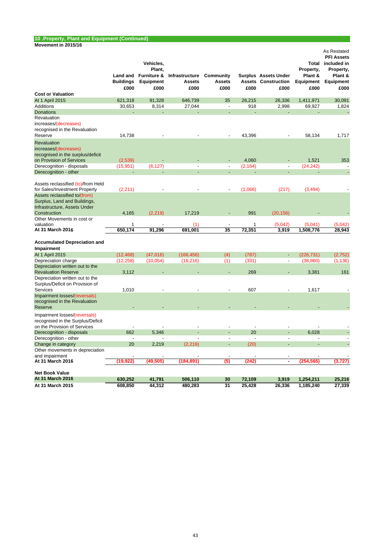# **10 .Property, Plant and Equipment (Continued)**

#### **Movement in 2015/16**

|                                                                                                    |                  | Vehicles,<br>Plant,  |                |                          |          |                             | Property,      | As Restated<br><b>PFI Assets</b><br>Total included in<br>Property, |
|----------------------------------------------------------------------------------------------------|------------------|----------------------|----------------|--------------------------|----------|-----------------------------|----------------|--------------------------------------------------------------------|
|                                                                                                    |                  | Land and Furniture & | Infrastructure | Community                |          | <b>Surplus</b> Assets Under | Plant &        | Plant &                                                            |
|                                                                                                    | <b>Buildings</b> | Equipment            | <b>Assets</b>  | Assets                   |          | <b>Assets Construction</b>  | Equipment      | Equipment                                                          |
|                                                                                                    | £000             | £000                 | £000           | £000                     | £000     | £000                        | £000           | £000                                                               |
| <b>Cost or Valuation</b>                                                                           |                  |                      |                |                          |          |                             |                |                                                                    |
| At 1 April 2015                                                                                    | 621,318          | 91,328               | 646,739        | 35                       | 26,215   | 26,336                      | 1,411,971      | 30.091                                                             |
| Additions                                                                                          | 30,653           | 8,314                | 27,044         | $\overline{\phantom{a}}$ | 918      | 2,998                       | 69,927         | 1,824                                                              |
| <b>Donations</b>                                                                                   |                  |                      |                | $\overline{a}$           |          |                             |                |                                                                    |
| Revaluation<br>increases/(decreases)<br>recognised in the Revaluation                              |                  |                      |                |                          |          |                             |                |                                                                    |
| Reserve                                                                                            | 14,738           |                      |                | $\overline{a}$           | 43,396   |                             | 58,134         | 1,717                                                              |
| Revaluation<br>increases/(decreases)<br>recognised in the surplus/deficit                          |                  |                      |                |                          |          |                             |                |                                                                    |
| on Provision of Services                                                                           | (2,539)          |                      |                |                          | 4,060    | ÷,                          | 1,521          | 353                                                                |
| Derecognition - disposals                                                                          | (15, 951)        | (6, 127)             | $\overline{a}$ | $\overline{a}$           | (2, 164) | $\overline{a}$              | (24, 242)      |                                                                    |
| Derecognition - other                                                                              |                  |                      |                |                          |          |                             |                |                                                                    |
| Assets reclassified (to)/from Held<br>for Sales/Investment Property                                | (2, 211)         |                      |                |                          | (1,066)  | (217)                       | (3, 494)       |                                                                    |
| Assets reclassified to/(from)<br>Surplus, Land and Buildings,<br>Infrastructure, Assets Under      |                  |                      |                |                          |          |                             |                |                                                                    |
| Construction                                                                                       | 4,165            | (2, 219)             | 17,219         |                          | 991      | (20, 156)                   |                |                                                                    |
| Other Movements in cost or<br>valuation                                                            | 1                |                      | (1)            |                          | 1        | (5,042)                     | (5,041)        | (5,042)                                                            |
| At 31 March 2016                                                                                   | 650.174          | 91,296               | 691.001        | 35                       | 72,351   | 3,919                       | 1,508,776      | 28,943                                                             |
| <b>Accumulated Depreciation and</b><br>Impairment                                                  |                  |                      |                |                          |          |                             |                |                                                                    |
| At 1 April 2015                                                                                    | (12, 468)        | (47,016)             | (166, 456)     | (4)                      | (787)    |                             | (226, 731)     | (2,752)                                                            |
| Depreciation charge                                                                                | (12, 258)        | (10,054)             | (16, 216)      | (1)                      | (331)    | $\blacksquare$              | (38, 860)      | (1, 136)                                                           |
| Depreciation written out to the<br><b>Revaluation Reserve</b>                                      | 3,112            |                      |                |                          | 269      |                             | 3.381          | 161                                                                |
| Depreciation written out to the<br>Surplus/Deficit on Provision of<br>Services                     | 1,010            |                      |                |                          | 607      |                             | 1,617          |                                                                    |
| Impairment losses/(reversals)                                                                      |                  |                      |                |                          |          |                             |                |                                                                    |
| recognised in the Revaluation<br>Reserve                                                           |                  |                      |                |                          |          |                             |                |                                                                    |
| Impairment losses/(reversals)<br>recognised in the Surplus/Deficit<br>on the Provision of Services | $\overline{a}$   |                      |                |                          |          |                             |                |                                                                    |
| Derecognition - disposals                                                                          | 662              | 5,346                |                |                          | 20       |                             | 6,028          |                                                                    |
| Derecognition - other                                                                              | $\overline{a}$   |                      |                | $\overline{a}$           |          | $\overline{a}$              | $\overline{a}$ |                                                                    |
| Change in category                                                                                 | 20               | 2,219                | (2, 219)       | ÷,                       | (20)     | L.                          |                |                                                                    |
| Other movements in depreciation<br>and impairment                                                  |                  |                      |                |                          |          | $\overline{a}$              |                |                                                                    |
| At 31 March 2016                                                                                   | (19,922)         | (49, 505)            | (184, 891)     | (5)                      | (242)    | $\blacksquare$              | (254, 565)     | (3,727)                                                            |
| <b>Net Book Value</b>                                                                              |                  |                      |                |                          |          |                             |                |                                                                    |
| At 31 March 2016                                                                                   | 630,252          | 41,791               | 506,110        | 30                       | 72,109   | 3,919                       | 1,254,211      | 25,216                                                             |
| At 31 March 2015                                                                                   | 608,850          | 44,312               | 480,283        | $\overline{31}$          | 25,428   | 26,336                      | 1,185,240      | 27,339                                                             |
|                                                                                                    |                  |                      |                |                          |          |                             |                |                                                                    |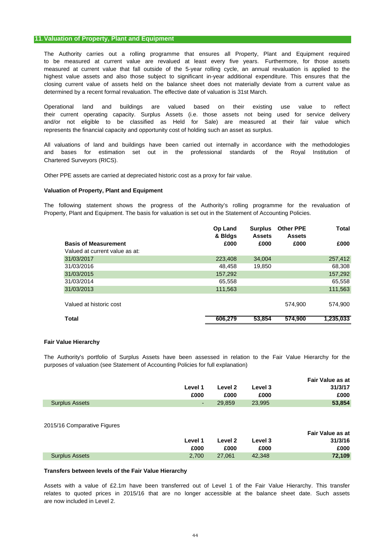# **11.Valuation of Property, Plant and Equipment**

The Authority carries out a rolling programme that ensures all Property, Plant and Equipment required measured at current value that fall outside of the 5-year rolling cycle, an annual revaluation is applied to the highest value assets and also those subject to significant in-year additional expenditure. This ensures that the to be measured at current value are revalued at least every five years. Furthermore, for those assets closing current value of assets held on the balance sheet does not materially deviate from a current value as determined by a recent formal revaluation. The effective date of valuation is 31st March.

Operational land and buildings are valued based on their existing use value to reflect their current operating capacity. Surplus Assets (i.e. those assets not being used for service delivery and/or not eligible to be classified as Held for Sale) are measured at their fair value which represents the financial capacity and opportunity cost of holding such an asset as surplus.

All valuations of land and buildings have been carried out internally in accordance with the methodologies Chartered Surveyors (RICS). and bases for estimation set out in the professional standards of the Royal Institution of

Other PPE assets are carried at depreciated historic cost as a proxy for fair value.

# **Valuation of Property, Plant and Equipment**

The following statement shows the progress of the Authority's rolling programme for the revaluation of Property, Plant and Equipment. The basis for valuation is set out in the Statement of Accounting Policies.

|                                | Op Land<br>& Bldgs | <b>Surplus</b><br><b>Assets</b> | <b>Other PPE</b><br><b>Assets</b> | <b>Total</b> |
|--------------------------------|--------------------|---------------------------------|-----------------------------------|--------------|
| <b>Basis of Measurement</b>    | £000               | £000                            | £000                              | £000         |
| Valued at current value as at: |                    |                                 |                                   |              |
| 31/03/2017                     | 223,408            | 34.004                          |                                   | 257,412      |
| 31/03/2016                     | 48.458             | 19,850                          |                                   | 68,308       |
| 31/03/2015                     | 157.292            |                                 |                                   | 157,292      |
| 31/03/2014                     | 65.558             |                                 |                                   | 65,558       |
| 31/03/2013                     | 111,563            |                                 |                                   | 111,563      |
|                                |                    |                                 |                                   |              |
| Valued at historic cost        |                    |                                 | 574,900                           | 574.900      |
|                                |                    |                                 |                                   |              |
| <b>Total</b>                   | 606,279            | 53,854                          | 574,900                           | 1,235,033    |

# **Fair Value Hierarchy**

The Authority's portfolio of Surplus Assets have been assessed in relation to the Fair Value Hierarchy for the purposes of valuation (see Statement of Accounting Policies for full explanation)

|                       |            |         |         | Fair Value as at |
|-----------------------|------------|---------|---------|------------------|
|                       | Level 1    | Level 2 | Level 3 | 31/3/17          |
|                       | £000       | £000    | £000    | £000             |
| <b>Surplus Assets</b> | $\sim 100$ | 29.859  | 23.995  | 53,854           |
|                       |            |         |         |                  |

#### 2015/16 Comparative Figures

|                       |         |         |         | Fair Value as at |
|-----------------------|---------|---------|---------|------------------|
|                       | Level 1 | Level 2 | Level 3 | 31/3/16          |
|                       | £000    | £000    | £000    | £000             |
| <b>Surplus Assets</b> | 2.700   | 27.061  | 42.348  | 72.109           |

# **Transfers between levels of the Fair Value Hierarchy**

are now included in Level 2. Assets with a value of £2.1m have been transferred out of Level 1 of the Fair Value Hierarchy. This transfer relates to quoted prices in 2015/16 that are no longer accessible at the balance sheet date. Such assets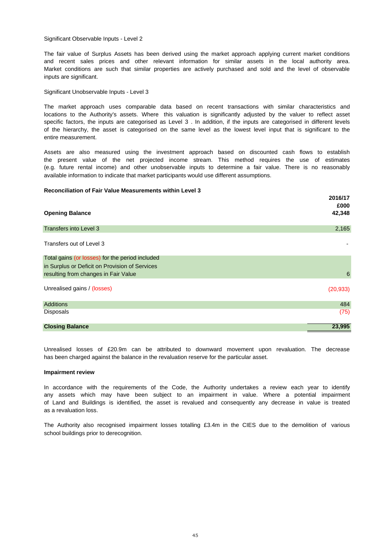Significant Observable Inputs - Level 2

The fair value of Surplus Assets has been derived using the market approach applying current market conditions and recent sales prices and other relevant information for similar assets in the local authority area. Market conditions are such that similar properties are actively purchased and sold and the level of observable inputs are significant.

#### Significant Unobservable Inputs - Level 3

The market approach uses comparable data based on recent transactions with similar characteristics and locations to the Authority's assets. Where this valuation is significantly adjusted by the valuer to reflect asset specific factors, the inputs are categorised as Level 3, In addition, if the inputs are categorised in different levels of the hierarchy, the asset is categorised on the same level as the lowest level input that is significant to the entire measurement.

Assets are also measured using the investment approach based on discounted cash flows to establish the present value of the net projected income stream. This method requires the use of estimates (e.g. future rental income) and other unobservable inputs to determine a fair value. There is no reasonably available information to indicate that market participants would use different assumptions.

### **Reconciliation of Fair Value Measurements within Level 3**

|                                                 | 2016/17   |
|-------------------------------------------------|-----------|
|                                                 | £000      |
| <b>Opening Balance</b>                          | 42,348    |
|                                                 |           |
| <b>Transfers into Level 3</b>                   | 2,165     |
|                                                 |           |
| Transfers out of Level 3                        |           |
|                                                 |           |
| Total gains (or losses) for the period included |           |
| in Surplus or Deficit on Provision of Services  |           |
| resulting from changes in Fair Value            | $\,6$     |
|                                                 |           |
| Unrealised gains / (losses)                     | (20, 933) |
| <b>Additions</b>                                | 484       |
|                                                 |           |
| <b>Disposals</b>                                | (75)      |
| <b>Closing Balance</b>                          | 23,995    |
|                                                 |           |

Unrealised losses of £20.9m can be attributed to downward movement upon revaluation. The decrease has been charged against the balance in the revaluation reserve for the particular asset.

#### **Impairment review**

as a revaluation loss. of Land and Buildings is identified, the asset is revalued and consequently any decrease in value is treated In accordance with the requirements of the Code, the Authority undertakes a review each year to identify any assets which may have been subject to an impairment in value. Where a potential impairment

school buildings prior to derecognition. The Authority also recognised impairment losses totalling £3.4m in the CIES due to the demolition of various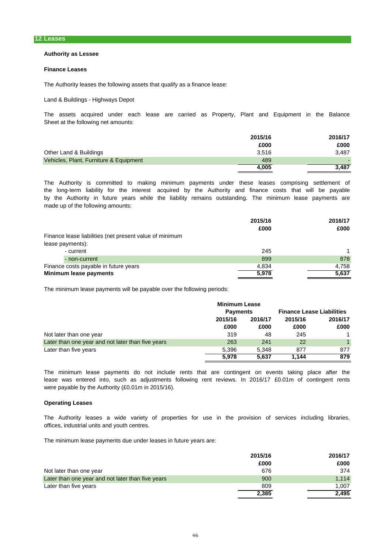# **Authority as Lessee**

#### **Finance Leases**

The Authority leases the following assets that qualify as a finance lease:

Land & Buildings - Highways Depot

The assets acquired under each lease are carried as Property, Plant and Equipment in the Balance Sheet at the following net amounts:

|                                        | 2015/16 | 2016/17 |
|----------------------------------------|---------|---------|
|                                        | £000    | £000    |
| Other Land & Buildings                 | 3.516   | 3.487   |
| Vehicles, Plant, Furniture & Equipment | 489     |         |
|                                        | 4,005   | 3.487   |

made up of the following amounts: by the Authority in future years while the liability remains outstanding. The minimum lease payments are the long-term liability for the interest acquired by the Authority and finance costs that will be payable The Authority is committed to making minimum payments under these leases comprising settlement of

|                                                         | 2015/16<br>£000 | 2016/17<br>£000 |
|---------------------------------------------------------|-----------------|-----------------|
| Finance lease liabilities (net present value of minimum |                 |                 |
| lease payments):                                        |                 |                 |
| - current                                               | 245             |                 |
| - non-current                                           | 899             | 878             |
| Finance costs payable in future years                   | 4,834           | 4.758           |
| Minimum lease payments                                  | 5,978           | 5,637           |

The minimum lease payments will be payable over the following periods:

|                                                   | <b>Minimum Lease</b> |                 |         |                                  |         |
|---------------------------------------------------|----------------------|-----------------|---------|----------------------------------|---------|
|                                                   |                      | <b>Payments</b> |         | <b>Finance Lease Liabilities</b> |         |
|                                                   | 2015/16              | 2016/17         | 2015/16 |                                  | 2016/17 |
|                                                   | £000                 | £000            | £000    | £000                             |         |
| Not later than one year                           | 319                  | 48              | 245     | $\mathbf 1$                      |         |
| Later than one year and not later than five years | 263                  | 241             | 22      | $\mathbf 1$                      |         |
| Later than five years                             | 5.396                | 5.348           | 877     | 877                              |         |
|                                                   | 5.978                | 5.637           | 1.144   | 879                              |         |

were payable by the Authority (£0.01m in 2015/16). The minimum lease payments do not include rents that are contingent on events taking place after the lease was entered into, such as adjustments following rent reviews. In 2016/17 £0.01m of contingent rents

# **Operating Leases**

offices, industrial units and youth centres. The Authority leases a wide variety of properties for use in the provision of services including libraries,

The minimum lease payments due under leases in future years are:

|                                                   | 2015/16 | 2016/17 |
|---------------------------------------------------|---------|---------|
|                                                   | £000    | £000    |
| Not later than one year                           | 676     | 374     |
| Later than one year and not later than five years | 900     | 1.114   |
| Later than five years                             | 809     | 1.007   |
|                                                   | 2,385   | 2,495   |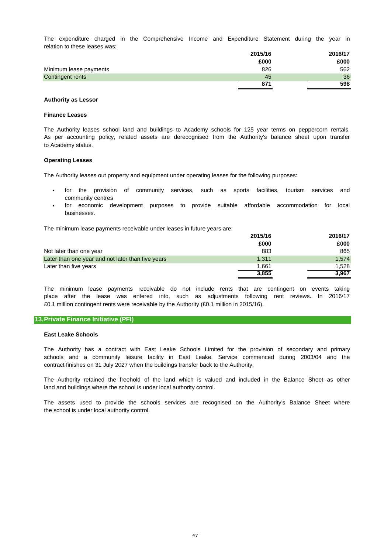relation to these leases was: The expenditure charged in the Comprehensive Income and Expenditure Statement during the year in

|                        | 2015/16 | 2016/17 |
|------------------------|---------|---------|
|                        | £000    | £000    |
| Minimum lease payments | 826     | 562     |
| Contingent rents       | 45      | 36      |
|                        | 871     | 598     |

### **Authority as Lessor**

#### **Finance Leases**

to Academy status. The Authority leases school land and buildings to Academy schools for 125 year terms on peppercorn rentals. As per accounting policy, related assets are derecognised from the Authority's balance sheet upon transfer

#### **Operating Leases**

The Authority leases out property and equipment under operating leases for the following purposes:

- community centres for the provision of community services, such as sports facilities, tourism services and
- businesses. for economic development purposes to provide suitable affordable accommodation for local

The minimum lease payments receivable under leases in future years are:

|                                                   | 2015/16 | 2016/17 |
|---------------------------------------------------|---------|---------|
|                                                   | £000    | £000    |
| Not later than one year                           | 883     | 865     |
| Later than one year and not later than five years | 1.311   | 1.574   |
| Later than five years                             | 1.661   | 1.528   |
|                                                   | 3,855   | 3.967   |

£0.1 million contingent rents were receivable by the Authority (£0.1 million in 2015/16). The minimum lease payments receivable do not include rents that are contingent on events taking place after the lease was entered into, such as adjustments following rent reviews. In 2016/17

# **13.Private Finance Initiative (PFI)**

#### **East Leake Schools**

contract finishes on 31 July 2027 when the buildings transfer back to the Authority. The Authority has a contract with East Leake Schools Limited for the provision of secondary and primary schools and a community leisure facility in East Leake. Service commenced during 2003/04 and the

land and buildings where the school is under local authority control. The Authority retained the freehold of the land which is valued and included in the Balance Sheet as other

the school is under local authority control. The assets used to provide the schools services are recognised on the Authority's Balance Sheet where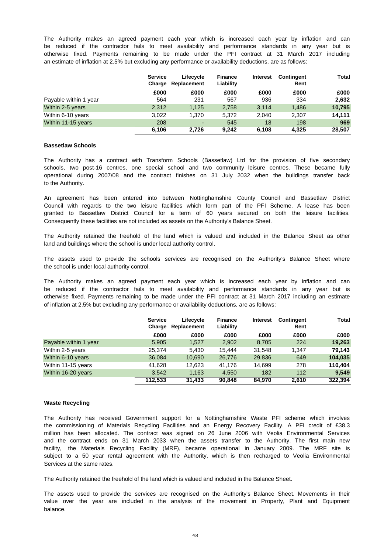an estimate of inflation at 2.5% but excluding any performance or availability deductions, are as follows: be reduced if the contractor fails to meet availability and performance standards in any year but is The Authority makes an agreed payment each year which is increased each year by inflation and can otherwise fixed. Payments remaining to be made under the PFI contract at 31 March 2017 including

|                       | <b>Service</b><br>Charge | Lifecycle<br>Replacement | <b>Finance</b><br>Liability | <b>Interest</b> | <b>Contingent</b><br>Rent | Total  |
|-----------------------|--------------------------|--------------------------|-----------------------------|-----------------|---------------------------|--------|
|                       | £000                     | £000                     | £000                        | £000            | £000                      | £000   |
| Payable within 1 year | 564                      | 231                      | 567                         | 936             | 334                       | 2,632  |
| Within 2-5 years      | 2.312                    | 1.125                    | 2.758                       | 3.114           | 1,486                     | 10,795 |
| Within 6-10 years     | 3.022                    | 1.370                    | 5.372                       | 2.040           | 2.307                     | 14.111 |
| Within 11-15 years    | 208                      | $\overline{a}$           | 545                         | 18              | 198                       | 969    |
|                       | 6.106                    | 2.726                    | 9.242                       | 6.108           | 4.325                     | 28,507 |

#### **Bassetlaw Schools**

to the Authority. The Authority has a contract with Transform Schools (Bassetlaw) Ltd for the provision of five secondary schools, two post-16 centres, one special school and two community leisure centres. These became fully operational during 2007/08 and the contract finishes on 31 July 2032 when the buildings transfer back

An agreement has been entered into between Nottinghamshire County Council and Bassetlaw District Council with regards to the two leisure facilities which form part of the PFI Scheme. A lease has been granted to Bassetlaw District Council for a term of 60 years secured on both the leisure facilities. Consequently these facilities are not included as assets on the Authority's Balance Sheet.

land and buildings where the school is under local authority control. The Authority retained the freehold of the land which is valued and included in the Balance Sheet as other

the school is under local authority control. The assets used to provide the schools services are recognised on the Authority's Balance Sheet where

The Authority makes an agreed payment each year which is increased each year by inflation and can be reduced if the contractor fails to meet availability and performance standards in any year but is of inflation at 2.5% but excluding any performance or availability deductions, are as follows: otherwise fixed. Payments remaining to be made under the PFI contract at 31 March 2017 including an estimate

|                       | <b>Service</b><br>Charge | Lifecycle<br>Replacement | <b>Finance</b><br>Liability | <b>Interest</b> | <b>Contingent</b><br>Rent | Total   |
|-----------------------|--------------------------|--------------------------|-----------------------------|-----------------|---------------------------|---------|
|                       | £000                     | £000                     | £000                        | £000            | £000                      | £000    |
| Payable within 1 year | 5,905                    | 1,527                    | 2,902                       | 8,705           | 224                       | 19,263  |
| Within 2-5 years      | 25,374                   | 5,430                    | 15.444                      | 31.548          | 1.347                     | 79.143  |
| Within 6-10 years     | 36,084                   | 10,690                   | 26,776                      | 29,836          | 649                       | 104,035 |
| Within 11-15 years    | 41.628                   | 12.623                   | 41.176                      | 14.699          | 278                       | 110.404 |
| Within 16-20 years    | 3.542                    | 1,163                    | 4,550                       | 182             | 112                       | 9,549   |
|                       | 112,533                  | 31,433                   | 90,848                      | 84.970          | 2.610                     | 322,394 |

# **Waste Recycling**

Services at the same rates. the commissioning of Materials Recycling Facilities and an Energy Recovery Facility. A PFI credit of £38.3 facility, the Materials Recycling Facility (MRF), became operational in January 2009. The MRF site is subject to a 50 year rental agreement with the Authority, which is then recharged to Veolia Environmental The Authority has received Government support for a Nottinghamshire Waste PFI scheme which involves million has been allocated. The contract was signed on 26 June 2006 with Veolia Environmental Services and the contract ends on 31 March 2033 when the assets transfer to the Authority. The first main new

The Authority retained the freehold of the land which is valued and included in the Balance Sheet.

balance. The assets used to provide the services are recognised on the Authority's Balance Sheet. Movements in their value over the year are included in the analysis of the movement in Property, Plant and Equipment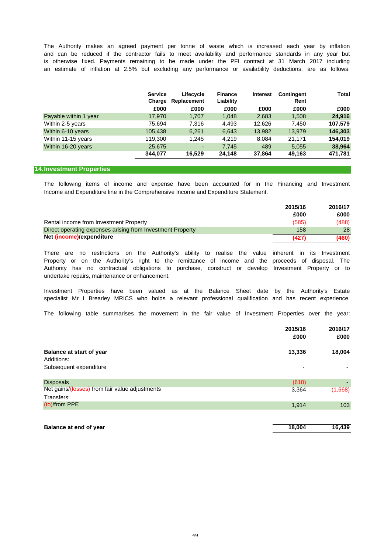is otherwise fixed. Payments remaining to be made under the PFI contract at 31 March 2017 including The Authority makes an agreed payment per tonne of waste which is increased each year by inflation and can be reduced if the contractor fails to meet availability and performance standards in any year but an estimate of inflation at 2.5% but excluding any performance or availability deductions, are as follows:

|                       | <b>Service</b><br>Charge | Lifecycle<br>Replacement | <b>Finance</b><br>Liability | <b>Interest</b> | <b>Contingent</b><br>Rent | Total   |
|-----------------------|--------------------------|--------------------------|-----------------------------|-----------------|---------------------------|---------|
|                       | £000                     | £000                     | £000                        | £000            | £000                      | £000    |
| Payable within 1 year | 17,970                   | 1.707                    | 1,048                       | 2,683           | 1,508                     | 24,916  |
| Within 2-5 years      | 75.694                   | 7.316                    | 4.493                       | 12.626          | 7.450                     | 107,579 |
| Within 6-10 years     | 105.438                  | 6,261                    | 6,643                       | 13,982          | 13.979                    | 146,303 |
| Within 11-15 years    | 119,300                  | 1.245                    | 4.219                       | 8.084           | 21.171                    | 154,019 |
| Within 16-20 years    | 25,675                   | ۰                        | 7.745                       | 489             | 5,055                     | 38,964  |
|                       | 344.077                  | 16.529                   | 24.148                      | 37.864          | 49.163                    | 471.781 |

# **14.Investment Properties**

Income and Expenditure line in the Comprehensive Income and Expenditure Statement. The following items of income and expense have been accounted for in the Financing and Investment

|                                                            | 2015/16 | 2016/17 |
|------------------------------------------------------------|---------|---------|
|                                                            | £000    | £000    |
| Rental income from Investment Property                     | (585)   | (488)   |
| Direct operating expenses arising from Investment Property | 158     | 28      |
| Net (income)/expenditure                                   | (427)   | (460)   |

undertake repairs, maintenance or enhancement. Property or on the Authority's right to the remittance of income and the proceeds of disposal. The Authority has no contractual obligations to purchase, construct or develop Investment Property or to There are no restrictions on the Authority's ability to realise the value inherent in its Investment

specialist Mr I Brearley MRICS who holds a relevant professional qualification and has recent experience. Investment Properties have been valued as at the Balance Sheet date by the Authority's Estate

The following table summarises the movement in the fair value of Investment Properties over the year:

|                                                | 2015/16 | 2016/17 |
|------------------------------------------------|---------|---------|
|                                                | £000    | £000    |
| <b>Balance at start of year</b>                | 13,336  | 18,004  |
| Additions:                                     |         |         |
| Subsequent expenditure                         | -       |         |
| <b>Disposals</b>                               | (610)   |         |
| Net gains/(losses) from fair value adjustments | 3,364   | (1,668) |
| Transfers:                                     |         |         |
| (to)/from PPE                                  | 1,914   | 103     |
|                                                |         |         |
|                                                |         |         |

| <b>Balance at end of year</b> | 18.004 | 16,439 |
|-------------------------------|--------|--------|
|                               |        |        |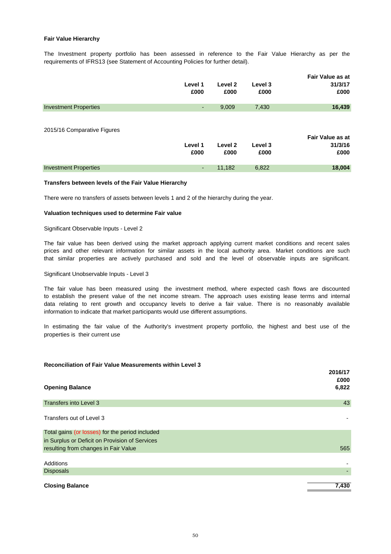# **Fair Value Hierarchy**

The Investment property portfolio has been assessed in reference to the Fair Value Hierarchy as per the requirements of IFRS13 (see Statement of Accounting Policies for further detail).

|                              | Level 1<br>£000          | Level 2<br>£000 | Level 3<br>£000 | <b>Fair Value as at</b><br>31/3/17<br>£000 |
|------------------------------|--------------------------|-----------------|-----------------|--------------------------------------------|
| <b>Investment Properties</b> | $\overline{\phantom{a}}$ | 9,009           | 7,430           | 16,439                                     |
| 2015/16 Comparative Figures  | Level 1<br>£000          | Level 2<br>£000 | Level 3<br>£000 | Fair Value as at<br>31/3/16<br>£000        |
| <b>Investment Properties</b> | ٠                        | 11,182          | 6,822           | 18,004                                     |

# **Transfers between levels of the Fair Value Hierarchy**

There were no transfers of assets between levels 1 and 2 of the hierarchy during the year.

### **Valuation techniques used to determine Fair value**

Significant Observable Inputs - Level 2

that similar properties are actively purchased and sold and the level of observable inputs are significant. The fair value has been derived using the market approach applying current market conditions and recent sales prices and other relevant information for similar assets in the local authority area. Market conditions are such

Significant Unobservable Inputs - Level 3

The fair value has been measured using the investment method, where expected cash flows are discounted to establish the present value of the net income stream. The approach uses existing lease terms and internal data relating to rent growth and occupancy levels to derive a fair value. There is no reasonably available information to indicate that market participants would use different assumptions.

In estimating the fair value of the Authority's investment property portfolio, the highest and best use of the properties is their current use

#### **Reconciliation of Fair Value Measurements within Level 3**

|                                                 | 2016/17 |
|-------------------------------------------------|---------|
|                                                 | £000    |
| <b>Opening Balance</b>                          | 6,822   |
|                                                 |         |
| <b>Transfers into Level 3</b>                   | 43      |
|                                                 |         |
| Transfers out of Level 3                        |         |
|                                                 |         |
| Total gains (or losses) for the period included |         |
| in Surplus or Deficit on Provision of Services  |         |
| resulting from changes in Fair Value            | 565     |
|                                                 |         |
| Additions                                       |         |
| <b>Disposals</b>                                |         |
|                                                 |         |
| <b>Closing Balance</b>                          | 7,430   |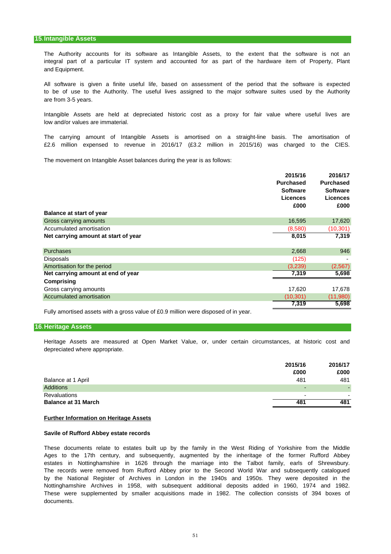and Equipment. The Authority accounts for its software as Intangible Assets, to the extent that the software is not an integral part of a particular IT system and accounted for as part of the hardware item of Property, Plant

are from 3-5 years. All software is given a finite useful life, based on assessment of the period that the software is expected to be of use to the Authority. The useful lives assigned to the major software suites used by the Authority

low and/or values are immaterial. Intangible Assets are held at depreciated historic cost as a proxy for fair value where useful lives are

£2.6 million expensed to revenue in 2016/17 (£3.2 million in 2015/16) was charged to the CIES. The carrying amount of Intangible Assets is amortised on a straight-line basis. The amortisation of

The movement on Intangible Asset balances during the year is as follows:

|                                      | 2015/16          | 2016/17          |
|--------------------------------------|------------------|------------------|
|                                      | <b>Purchased</b> | <b>Purchased</b> |
|                                      | <b>Software</b>  | <b>Software</b>  |
|                                      | <b>Licences</b>  | <b>Licences</b>  |
|                                      | £000             | £000             |
| <b>Balance at start of year</b>      |                  |                  |
| Gross carrying amounts               | 16,595           | 17,620           |
| Accumulated amortisation             | (8,580)          | (10, 301)        |
| Net carrying amount at start of year | 8,015            | 7,319            |
| <b>Purchases</b>                     | 2,668            | 946              |
| Disposals                            | (125)            |                  |
| Amortisation for the period          | (3,239)          | (2, 567)         |
| Net carrying amount at end of year   | 7,319            | 5,698            |
| Comprising                           |                  |                  |
| Gross carrying amounts               | 17,620           | 17,678           |
| Accumulated amortisation             | (10, 301)        | (11,980)         |
|                                      | 7,319            | 5,698            |

Fully amortised assets with a gross value of £0.9 million were disposed of in year.

### **16.Heritage Assets**

Heritage Assets are measured at Open Market Value, or, under certain circumstances, at historic cost and depreciated where appropriate.

|                            | 2015/16<br>£000          | 2016/17<br>£000 |
|----------------------------|--------------------------|-----------------|
| Balance at 1 April         | 481                      | 481             |
| <b>Additions</b>           | -                        |                 |
| <b>Revaluations</b>        | $\overline{\phantom{a}}$ |                 |
| <b>Balance at 31 March</b> | 481                      | 481             |

#### **Further Information on Heritage Assets**

#### **Savile of Rufford Abbey estate records**

by the National Register of Archives in London in the 1940s and 1950s. They were deposited in the These documents relate to estates built up by the family in the West Riding of Yorkshire from the Middle Ages to the 17th century, and subsequently, augmented by the inheritage of the former Rufford Abbey estates in Nottinghamshire in 1626 through the marriage into the Talbot family, earls of Shrewsbury. The records were removed from Rufford Abbey prior to the Second World War and subsequently catalogued Nottinghamshire Archives in 1958, with subsequent additional deposits added in 1960, 1974 and 1982. These were supplemented by smaller acquisitions made in 1982. The collection consists of 394 boxes of documents.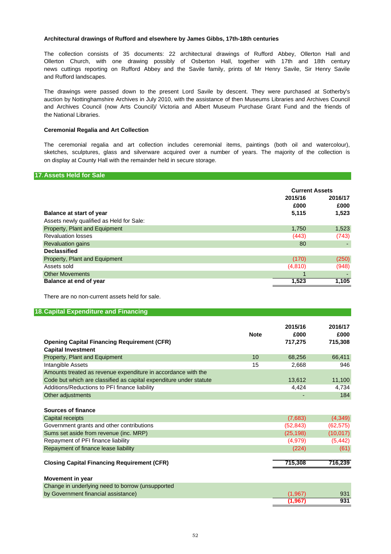# **Architectural drawings of Rufford and elsewhere by James Gibbs, 17th-18th centuries**

The collection consists of 35 documents: 22 architectural drawings of Rufford Abbey, Ollerton Hall and Ollerton Church, with one drawing possibly of Osberton Hall, together with 17th and 18th century news cuttings reporting on Rufford Abbey and the Savile family, prints of Mr Henry Savile, Sir Henry Savile and Rufford landscapes.

The drawings were passed down to the present Lord Savile by descent. They were purchased at Sotherby's the National Libraries. and Archives Council (now Arts Council)/ Victoria and Albert Museum Purchase Grant Fund and the friends of auction by Nottinghamshire Archives in July 2010, with the assistance of then Museums Libraries and Archives Council

# **Ceremonial Regalia and Art Collection**

The ceremonial regalia and art collection includes ceremonial items, paintings (both oil and watercolour), sketches, sculptures, glass and silverware acquired over a number of years. The majority of the collection is on display at County Hall with the remainder held in secure storage.

#### **17.Assets Held for Sale**

|                                          |         | <b>Current Assets</b> |  |
|------------------------------------------|---------|-----------------------|--|
|                                          | 2015/16 | 2016/17               |  |
|                                          | £000    | £000                  |  |
| <b>Balance at start of year</b>          | 5,115   | 1,523                 |  |
| Assets newly qualified as Held for Sale: |         |                       |  |
| Property, Plant and Equipment            | 1,750   | 1,523                 |  |
| <b>Revaluation losses</b>                | (443)   | (743)                 |  |
| <b>Revaluation gains</b>                 | 80      |                       |  |
| <b>Declassified</b>                      |         |                       |  |
| Property, Plant and Equipment            | (170)   | (250)                 |  |
| Assets sold                              | (4,810) | (948)                 |  |
| <b>Other Movements</b>                   |         |                       |  |
| Balance at end of year                   | 1,523   | 1,105                 |  |

There are no non-current assets held for sale.

# **18.Capital Expenditure and Financing**

|                                                                    |             | 2015/16   | 2016/17   |
|--------------------------------------------------------------------|-------------|-----------|-----------|
|                                                                    | <b>Note</b> | £000      | £000      |
| <b>Opening Capital Financing Requirement (CFR)</b>                 |             | 717,275   | 715,308   |
| <b>Capital Investment</b>                                          |             |           |           |
| Property, Plant and Equipment                                      | 10          | 68,256    | 66,411    |
| Intangible Assets                                                  | 15          | 2,668     | 946       |
| Amounts treated as revenue expenditure in accordance with the      |             |           |           |
| Code but which are classified as capital expenditure under statute |             | 13,612    | 11,100    |
| Additions/Reductions to PFI finance liability                      |             | 4,424     | 4,734     |
| Other adjustments                                                  |             |           | 184       |
|                                                                    |             |           |           |
| <b>Sources of finance</b>                                          |             |           |           |
| Capital receipts                                                   |             | (7,683)   | (4, 349)  |
| Government grants and other contributions                          |             | (52, 843) | (62, 575) |
| Sums set aside from revenue (inc. MRP)                             |             | (25, 198) | (10, 017) |
| Repayment of PFI finance liability                                 |             | (4,979)   | (5, 442)  |
| Repayment of finance lease liability                               |             | (224)     | (61)      |
|                                                                    |             |           |           |
| <b>Closing Capital Financing Requirement (CFR)</b>                 |             | 715,308   | 716,239   |
|                                                                    |             |           |           |
| <b>Movement in year</b>                                            |             |           |           |
| Change in underlying need to borrow (unsupported                   |             |           |           |
| by Government financial assistance)                                |             | (1,967)   | 931       |
|                                                                    |             | (1.967)   | 931       |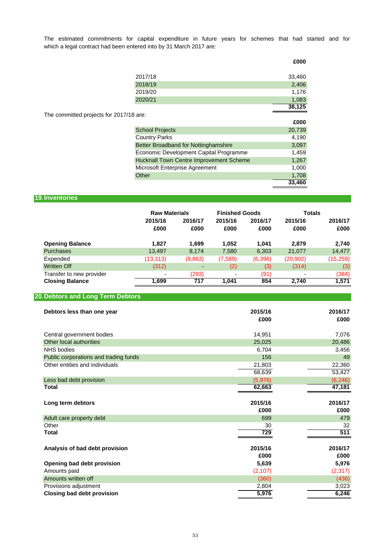which a legal contract had been entered into by 31 March 2017 are: The estimated commitments for capital expenditure in future years for schemes that had started and for

|                                                | £000   |
|------------------------------------------------|--------|
| 2017/18                                        | 33,460 |
| 2018/19                                        | 2,406  |
| 2019/20                                        | 1,176  |
| 2020/21                                        | 1,083  |
|                                                | 38,125 |
| The committed projects for 2017/18 are:        |        |
|                                                | £000   |
| <b>School Projects</b>                         | 20,739 |
| <b>Country Parks</b>                           | 4,190  |
| Better Broadband for Nottinghamshire           | 3,097  |
| Economic Development Capital Programme         | 1,459  |
| <b>Hucknall Town Centre Improvement Scheme</b> | 1,267  |
| Microsoft Enterprise Agreement                 | 1,000  |
| Other                                          | 1,708  |
|                                                | 33,460 |

# **19.Inventories**

|                          | <b>Raw Materials</b> |                          | <b>Finished Goods</b> |                 | <b>Totals</b>   |                 |
|--------------------------|----------------------|--------------------------|-----------------------|-----------------|-----------------|-----------------|
|                          | 2015/16<br>£000      | 2016/17<br>£000          | 2015/16<br>£000       | 2016/17<br>£000 | 2015/16<br>£000 | 2016/17<br>£000 |
| <b>Opening Balance</b>   | 1.827                | 1,699                    | 1,052                 | 1.041           | 2,879           | 2,740           |
| Purchases                | 13,497               | 8.174                    | 7,580                 | 6,303           | 21,077          | 14,477          |
| Expended                 | (13,313)             | (8,863)                  | (7,589)               | (6,396)         | (20, 902)       | (15,259)        |
| <b>Written Off</b>       | (312)                | $\overline{\phantom{0}}$ | (2)                   | (3)             | (314)           | (3)             |
| Transfer to new provider | ٠                    | (293)                    | ٠                     | (91)            | ۰               | (384)           |
| <b>Closing Balance</b>   | 1.699                | 717                      | 1.041                 | 854             | 2.740           | 1,571           |

# **20.Debtors and Long Term Debtors**

| Debtors less than one year            | 2015/16<br>£000 | 2016/17<br>£000 |
|---------------------------------------|-----------------|-----------------|
| Central government bodies             | 14,951          | 7,076           |
| Other local authorities               | 25,025          | 20,486          |
| <b>NHS</b> bodies                     | 6,704           | 3,456           |
| Public corporations and trading funds | 156             | 49              |
| Other entities and individuals        | 21,803          | 22,360          |
|                                       | 68,639          | 53,427          |
| Less bad debt provision               | (5,976)         | (6, 246)        |
| Total                                 | 62,663          | 47,181          |
|                                       |                 |                 |
| Long term debtors                     | 2015/16         | 2016/17         |
|                                       | £000            | £000            |
| Adult care property debt              | 699             | 479             |
| Other                                 | 30              | 32              |
| <b>Total</b>                          | 729             | 511             |
|                                       |                 |                 |
| Analysis of bad debt provision        | 2015/16         | 2016/17         |
|                                       | £000            | £000            |
| Opening bad debt provision            | 5,639           | 5,976           |
| Amounts paid                          | (2, 107)        | (2, 317)        |
| Amounts written off                   | (360)           | (436)           |
| Provisions adjustment                 | 2,804           | 3,023           |
| <b>Closing bad debt provision</b>     | 5,976           | 6,246           |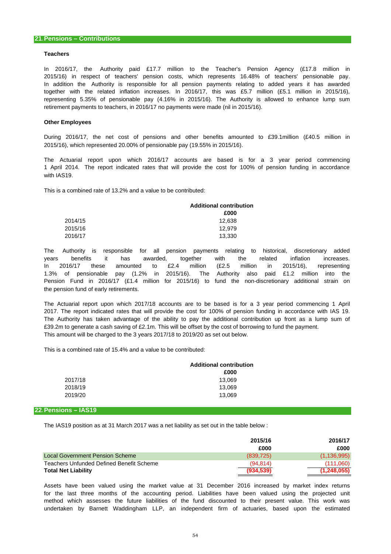#### **Teachers**

In addition the Authority is responsible for all pension payments relating to added years it has awarded together with the related inflation increases. In 2016/17, this was £5.7 million (£5.1 million in 2015/16), 2015/16) in respect of teachers' pension costs, which represents 16.48% of teachers' pensionable pay. In 2016/17, the Authority paid £17.7 million to the Teacher's Pension Agency (£17.8 million in representing 5.35% of pensionable pay (4.16% in 2015/16). The Authority is allowed to enhance lump sum retirement payments to teachers, in 2016/17 no payments were made (nil in 2015/16).

#### **Other Employees**

During 2016/17, the net cost of pensions and other benefits amounted to £39.1million (£40.5 million in 2015/16), which represented 20.00% of pensionable pay (19.55% in 2015/16).

1 April 2014. The report indicated rates that will provide the cost for 100% of pension funding in accordance The Actuarial report upon which 2016/17 accounts are based is for a 3 year period commencing with IAS19.

This is a combined rate of 13.2% and a value to be contributed:

| <b>Additional contribution</b> |  |
|--------------------------------|--|
| £000                           |  |
| 12.638                         |  |
| 12.979                         |  |
| 13.330                         |  |
|                                |  |

the pension fund of early retirements. The Authority is responsible for all pension payments relating to historical, discretionary added 1.3% of pensionable pay (1.2% in 2015/16). The Authority also paid £1.2 million into the Pension Fund in 2016/17 (£1.4 million for 2015/16) to fund the non-discretionary additional strain on years benefits it has awarded, together with the related inflation increases. In 2016/17 these amounted to £2.4 million (£2.5 million in 2015/16), representing

This amount will be charged to the 3 years 2017/18 to 2019/20 as set out below. The Actuarial report upon which 2017/18 accounts are to be based is for a 3 year period commencing 1 April 2017. The report indicated rates that will provide the cost for 100% of pension funding in accordance with IAS 19. The Authority has taken advantage of the ability to pay the additional contribution up front as a lump sum of £39.2m to generate a cash saving of £2.1m. This will be offset by the cost of borrowing to fund the payment.

This is a combined rate of 15.4% and a value to be contributed:

|         | <b>Additional contribution</b> |  |
|---------|--------------------------------|--|
|         | £000                           |  |
| 2017/18 | 13.069                         |  |
| 2018/19 | 13.069                         |  |
| 2019/20 | 13.069                         |  |

#### **22.Pensions – IAS19**

The IAS19 position as at 31 March 2017 was a net liability as set out in the table below :

|                                          | 2015/16<br>£000 | 2016/17<br>£000 |
|------------------------------------------|-----------------|-----------------|
| Local Government Pension Scheme          | (839, 725)      | (1, 136, 995)   |
| Teachers Unfunded Defined Benefit Scheme | (94.814)        | (111.060)       |
| <b>Total Net Liability</b>               | (934, 539)      | (1, 248, 055)   |

Assets have been valued using the market value at 31 December 2016 increased by market index returns for the last three months of the accounting period. Liabilities have been valued using the projected unit method which assesses the future liabilities of the fund discounted to their present value. This work was undertaken by Barnett Waddingham LLP, an independent firm of actuaries, based upon the estimated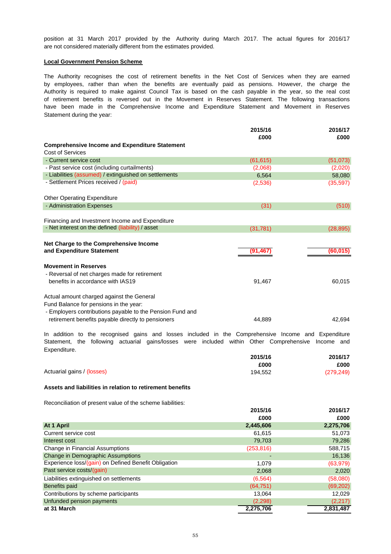are not considered materially different from the estimates provided. position at 31 March 2017 provided by the Authority during March 2017. The actual figures for 2016/17

### **Local Government Pension Scheme**

Statement during the year: of retirement benefits is reversed out in the Movement in Reserves Statement. The following transactions The Authority recognises the cost of retirement benefits in the Net Cost of Services when they are earned Authority is required to make against Council Tax is based on the cash payable in the year, so the real cost have been made in the Comprehensive Income and Expenditure Statement and Movement in Reserves by employees, rather than when the benefits are eventually paid as pensions. However, the charge the

|                                                                                                                                                           | 2015/16<br>£000 | 2016/17<br>£000 |
|-----------------------------------------------------------------------------------------------------------------------------------------------------------|-----------------|-----------------|
| <b>Comprehensive Income and Expenditure Statement</b>                                                                                                     |                 |                 |
| <b>Cost of Services</b>                                                                                                                                   |                 |                 |
| - Current service cost                                                                                                                                    | (61, 615)       | (51, 073)       |
| - Past service cost (including curtailments)                                                                                                              | (2,068)         | (2,020)         |
| - Liabilities (assumed) / extinguished on settlements                                                                                                     | 6,564           | 58,080          |
| - Settlement Prices received / (paid)                                                                                                                     | (2,536)         | (35, 597)       |
| <b>Other Operating Expenditure</b>                                                                                                                        |                 |                 |
| - Administration Expenses                                                                                                                                 | (31)            | (510)           |
| Financing and Investment Income and Expenditure<br>- Net interest on the defined (liability) / asset                                                      | (31, 781)       | (28, 895)       |
| Net Charge to the Comprehensive Income<br>and Expenditure Statement                                                                                       | (91, 467)       | (60, 015)       |
| <b>Movement in Reserves</b><br>- Reversal of net charges made for retirement<br>benefits in accordance with IAS19                                         | 91,467          | 60,015          |
| Actual amount charged against the General                                                                                                                 |                 |                 |
| Fund Balance for pensions in the year:<br>- Employers contributions payable to the Pension Fund and<br>retirement benefits payable directly to pensioners | 44.889          | 42.694          |

Expenditure. In addition to the recognised gains and losses included in the Comprehensive Income and Expenditure Statement, the following actuarial gains/losses were included within Other Comprehensive Income and

|                            | 2015/16 | 2016/17    |
|----------------------------|---------|------------|
|                            | £000    | £000       |
| Actuarial gains / (losses) | 194.552 | (279, 249) |

# **Assets and liabilities in relation to retirement benefits**

Reconciliation of present value of the scheme liabilities:

|                                                      | 2015/16    | 2016/17   |
|------------------------------------------------------|------------|-----------|
|                                                      | £000       | £000      |
| At 1 April                                           | 2,445,606  | 2,275,706 |
| Current service cost                                 | 61,615     | 51,073    |
| Interest cost                                        | 79,703     | 79,286    |
| <b>Change in Financial Assumptions</b>               | (253, 816) | 588,715   |
| Change in Demographic Assumptions                    |            | 16,136    |
| Experience loss/(gain) on Defined Benefit Obligation | 1,079      | (63, 979) |
| Past service costs/(gain)                            | 2,068      | 2,020     |
| Liabilities extinguished on settlements              | (6, 564)   | (58,080)  |
| Benefits paid                                        | (64, 751)  | (69, 202) |
| Contributions by scheme participants                 | 13.064     | 12,029    |
| Unfunded pension payments                            | (2,298)    | (2,217)   |
| at 31 March                                          | 2,275,706  | 2,831,487 |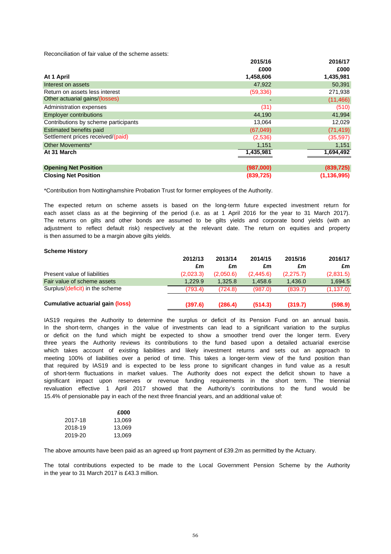Reconciliation of fair value of the scheme assets:

|                                      | 2015/16    | 2016/17       |
|--------------------------------------|------------|---------------|
|                                      | £000       | £000          |
| At 1 April                           | 1,458,606  | 1,435,981     |
| Interest on assets                   | 47,922     | 50,391        |
| Return on assets less interest       | (59, 336)  | 271,938       |
| Other actuarial gains/(losses)       |            | (11, 466)     |
| Administration expenses              | (31)       | (510)         |
| <b>Employer contributions</b>        | 44,190     | 41,994        |
| Contributions by scheme participants | 13,064     | 12,029        |
| <b>Estimated benefits paid</b>       | (67, 049)  | (71, 419)     |
| Settlement prices received/(paid)    | (2,536)    | (35, 597)     |
| Other Movements*                     | 1,151      | 1,151         |
| At 31 March                          | 1,435,981  | 1,694,492     |
|                                      |            |               |
| <b>Opening Net Position</b>          | (987,000)  | (839, 725)    |
| <b>Closing Net Position</b>          | (839, 725) | (1, 136, 995) |

\*Contribution from Nottinghamshire Probation Trust for former employees of the Authority.

is then assumed to be a margin above gilts yields. each asset class as at the beginning of the period (i.e. as at 1 April 2016 for the year to 31 March 2017). The returns on gilts and other bonds are assumed to be gilts yields and corporate bond yields (with an The expected return on scheme assets is based on the long-term future expected investment return for adjustment to reflect default risk) respectively at the relevant date. The return on equities and property

#### **Scheme History**

|                                         | 2012/13   | 2013/14   | 2014/15   | 2015/16   | 2016/17    |
|-----------------------------------------|-----------|-----------|-----------|-----------|------------|
|                                         | £m        | £m        | £m        | £m        | £m         |
| Present value of liabilities            | (2,023.3) | (2,050.6) | (2.445.6) | (2,275.7) | (2,831.5)  |
| Fair value of scheme assets             | 1.229.9   | 1.325.8   | 1.458.6   | 1.436.0   | 1.694.5    |
| Surplus/(deficit) in the scheme         | (793.4)   | (724.8)   | (987.0)   | (839.7)   | (1, 137.0) |
| <b>Cumulative actuarial gain (loss)</b> | (397.6)   | (286.4)   | (514.3)   | (319.7)   | (598.9)    |

revaluation effective 1 April 2017 showed that the Authority's contributions to the fund would be which takes account of existing liabilities and likely investment returns and sets out an approach to that required by IAS19 and is expected to be less prone to significant changes in fund value as a result significant impact upon reserves or revenue funding requirements in the short term. The triennial of short-term fluctuations in market values. The Authority does not expect the deficit shown to have a meeting 100% of liabilities over a period of time. This takes a longer-term view of the fund position than three years the Authority reviews its contributions to the fund based upon a detailed actuarial exercise IAS19 requires the Authority to determine the surplus or deficit of its Pension Fund on an annual basis. or deficit on the fund which might be expected to show a smoother trend over the longer term. Every 15.4% of pensionable pay in each of the next three financial years, and an additional value of: In the short-term, changes in the value of investments can lead to a significant variation to the surplus

|         | £000   |
|---------|--------|
| 2017-18 | 13.069 |
| 2018-19 | 13.069 |
| 2019-20 | 13,069 |

The above amounts have been paid as an agreed up front payment of £39.2m as permitted by the Actuary.

in the year to 31 March 2017 is £43.3 million. The total contributions expected to be made to the Local Government Pension Scheme by the Authority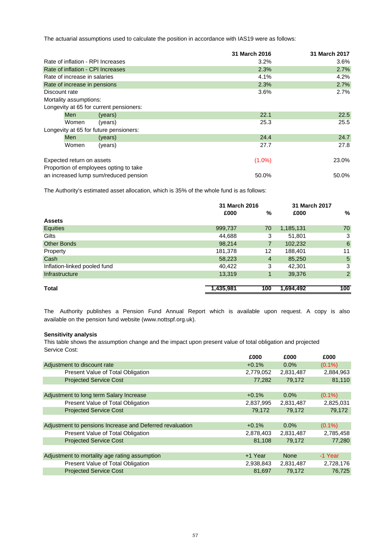The actuarial assumptions used to calculate the position in accordance with IAS19 were as follows:

|               |                              |                                         | 31 March 2016 | 31 March 2017 |
|---------------|------------------------------|-----------------------------------------|---------------|---------------|
|               |                              | Rate of inflation - RPI Increases       | 3.2%          | $3.6\%$       |
|               |                              | Rate of inflation - CPI Increases       | 2.3%          | 2.7%          |
|               | Rate of increase in salaries |                                         | 4.1%          | 4.2%          |
|               | Rate of increase in pensions |                                         | 2.3%          | 2.7%          |
| Discount rate |                              |                                         | 3.6%          | 2.7%          |
|               | Mortality assumptions:       |                                         |               |               |
|               |                              | Longevity at 65 for current pensioners: |               |               |
|               | <b>Men</b>                   | (years)                                 | 22.1          | 22.5          |
|               | Women                        | (years)                                 | 25.3          | 25.5          |
|               |                              | Longevity at 65 for future pensioners:  |               |               |
|               | <b>Men</b>                   | (years)                                 | 24.4          | 24.7          |
|               | Women                        | (years)                                 | 27.7          | 27.8          |
|               | Expected return on assets    |                                         | $(1.0\%)$     | 23.0%         |
|               |                              | Proportion of employees opting to take  |               |               |
|               |                              | an increased lump sum/reduced pension   | 50.0%         | 50.0%         |

The Authority's estimated asset allocation, which is 35% of the whole fund is as follows:

|                              | 31 March 2016 |                | 31 March 2017 |                |
|------------------------------|---------------|----------------|---------------|----------------|
|                              | £000          | %              | £000          | %              |
| <b>Assets</b>                |               |                |               |                |
| Equities                     | 999,737       | 70             | 1,185,131     | 70             |
| Gilts                        | 44,688        | 3              | 51,801        | 3              |
| <b>Other Bonds</b>           | 98,214        | 7              | 102,232       | 6              |
| Property                     | 181,378       | 12             | 188,401       | 11             |
| Cash                         | 58,223        | $\overline{4}$ | 85,250        | $\overline{5}$ |
| Inflation-linked pooled fund | 40,422        | 3              | 42,301        | 3              |
| Infrastructure               | 13,319        |                | 39,376        | $\overline{2}$ |
|                              |               |                |               |                |
| Total                        | 1,435,981     | 100            | 1,694,492     | 100            |

available on the pension fund website (www.nottspf.org.uk). The Authority publishes a Pension Fund Annual Report which is available upon request. A copy is also

# **Sensitivity analysis**

This table shows the assumption change and the impact upon present value of total obligation and projected Service Cost:

|                                                          | £000      | £000        | £000      |
|----------------------------------------------------------|-----------|-------------|-----------|
| Adjustment to discount rate                              | $+0.1%$   | $0.0\%$     | $(0.1\%)$ |
| Present Value of Total Obligation                        | 2,779,052 | 2,831,487   | 2,884,963 |
| <b>Projected Service Cost</b>                            | 77,282    | 79.172      | 81,110    |
|                                                          |           |             |           |
| Adjustment to long term Salary Increase                  | $+0.1%$   | $0.0\%$     | $(0.1\%)$ |
| Present Value of Total Obligation                        | 2,837,995 | 2,831,487   | 2,825,031 |
| <b>Projected Service Cost</b>                            | 79,172    | 79.172      | 79,172    |
|                                                          |           |             |           |
| Adjustment to pensions Increase and Deferred revaluation | $+0.1%$   | $0.0\%$     | $(0.1\%)$ |
| Present Value of Total Obligation                        | 2,878,403 | 2,831,487   | 2,785,458 |
| <b>Projected Service Cost</b>                            | 81,108    | 79,172      | 77,280    |
|                                                          |           |             |           |
| Adjustment to mortality age rating assumption            | +1 Year   | <b>None</b> | -1 Year   |
| Present Value of Total Obligation                        | 2,938,843 | 2,831,487   | 2,728,176 |
| <b>Projected Service Cost</b>                            | 81,697    | 79,172      | 76.725    |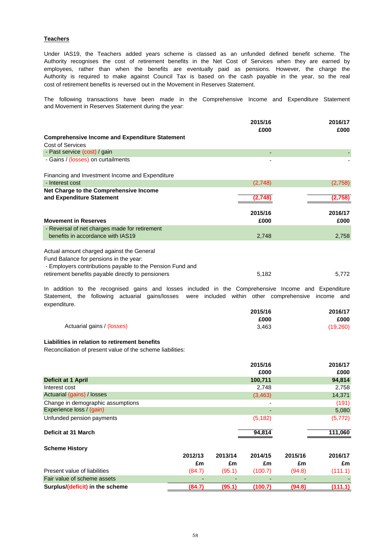# **Teachers**

cost of retirement benefits is reversed out in the Movement in Reserves Statement. Under IAS19, the Teachers added years scheme is classed as an unfunded defined benefit scheme. The employees, rather than when the benefits are eventually paid as pensions. However, the charge the Authority is required to make against Council Tax is based on the cash payable in the year, so the real Authority recognises the cost of retirement benefits in the Net Cost of Services when they are earned by

and Movement in Reserves Statement during the year: The following transactions have been made in the Comprehensive Income and Expenditure Statement

| 2015/16 | 2016/17<br>£000 |
|---------|-----------------|
|         |                 |
|         |                 |
|         |                 |
|         |                 |
|         |                 |
| (2,748) | (2,758)         |
|         |                 |
| (2,748  | (2,758)         |
|         |                 |
| 2015/16 | 2016/17         |
| £000    | £000            |
|         |                 |
| 2,748   | 2,758           |
|         |                 |
|         |                 |
|         |                 |
|         | 5,772           |
|         | £000<br>5,182   |

expenditure. In addition to the recognised gains and losses included in the Comprehensive Income and Expenditure Statement, the following actuarial gains/losses were included within other comprehensive income and

|                            | 2015/16 | 2016/17   |
|----------------------------|---------|-----------|
|                            | £000    | £000      |
| Actuarial gains / (losses) | 3.463   | (19, 260) |

# **Liabilities in relation to retirement benefits**

Reconciliation of present value of the scheme liabilities:

| 2015/16  | 2016/17            |
|----------|--------------------|
| £000     | £000               |
| 100,711  | 94,814             |
| 2,748    | 2,758              |
| (3,463)  | 14,371             |
| -        | (191)              |
| -        | 5,080              |
| (5, 182) | (5, 772)           |
| 94,814   | 111,060            |
|          | 2015/16<br>2016/17 |
|          | 2013/14<br>2014/15 |

|                                 | 2012/13                  | 2013/14                  | 2014/15 | 2015/16 | 2016/17 |
|---------------------------------|--------------------------|--------------------------|---------|---------|---------|
|                                 | £m                       | £m                       | £m      | £m      | £m      |
| Present value of liabilities    | (84.7)                   | (95.1)                   | (100.7) | (94.8)  | (111.1) |
| Fair value of scheme assets     | $\overline{\phantom{0}}$ | $\overline{\phantom{0}}$ |         | -       |         |
| Surplus/(deficit) in the scheme | (84.7)                   | (95.1'                   | (100.7) | (94.8)  |         |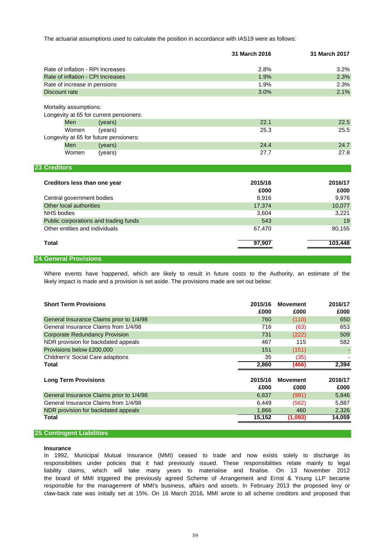The actuarial assumptions used to calculate the position in accordance with IAS19 were as follows:

|                                                                   | 31 March 2016 | 31 March 2017 |
|-------------------------------------------------------------------|---------------|---------------|
| Rate of inflation - RPI Increases                                 | 2.8%          | 3.2%          |
| Rate of inflation - CPI Increases                                 | 1.9%          | 2.3%          |
| Rate of increase in pensions                                      | 1.9%          | 2.3%          |
| <b>Discount rate</b>                                              | 3.0%          | 2.1%          |
| Mortality assumptions:<br>Longevity at 65 for current pensioners: |               |               |
| <b>Men</b><br>(years)                                             | 22.1          | 22.5          |
| (years)<br>Women                                                  | 25.3          | 25.5          |
| Longevity at 65 for future pensioners:                            |               |               |
| Men<br>(years)                                                    | 24.4          | 24.7          |
| Women<br>(years)                                                  | 27.7          | 27.8          |
| 23. Creditors                                                     |               |               |
| Creditors less than one year                                      | 2015/16       | 2016/17       |
|                                                                   | £000          | £000          |
| Central government bodies                                         | 8,916         | 9,976         |
| Other local authorities                                           | 17,374        | 10,077        |
| <b>NHS</b> bodies                                                 | 3,604         | 3,221         |
| Public corporations and trading funds                             | 543           | 19            |
| Other entities and individuals                                    | 67,470        | 80,155        |
| <b>Total</b>                                                      | 97,907        | 103,448       |

# **24.General Provisions**

likely impact is made and a provision is set aside. The provisions made are set out below: Where events have happened, which are likely to result in future costs to the Authority, an estimate of the

| <b>Short Term Provisions</b>             | 2015/16<br>£000 | <b>Movement</b><br>£000 | 2016/17<br>£000 |
|------------------------------------------|-----------------|-------------------------|-----------------|
| General Insurance Claims prior to 1/4/98 | 760             | (110)                   | 650             |
| General Insurance Claims from 1/4/98     | 716             | (63)                    | 653             |
| <b>Corporate Redundancy Provision</b>    | 731             | (222)                   | 509             |
| NDR provision for backdated appeals      | 467             | 115                     | 582             |
| Provisions below £200,000                | 151             | (151)                   |                 |
| Children's' Social Care adaptions        | 35              | (35)                    |                 |
| Total                                    | 2,860           | (466)                   | 2,394           |
| <b>Long Term Provisions</b>              | 2015/16         | <b>Movement</b>         | 2016/17         |
|                                          | £000            | £000                    | £000            |
| General Insurance Claims prior to 1/4/98 | 6,837           | (991)                   | 5,846           |
| General Insurance Claims from 1/4/98     | 6,449           | (562)                   | 5,887           |
| NDR provision for backdated appeals      | 1,866           | 460                     | 2,326           |
| Total                                    | 15,152          | (1,093)                 | 14,059          |
|                                          |                 |                         |                 |

# **25.Contingent Liabilities**

#### **Insurance**

claw-back rate was initially set at 15%. On 16 March 2016, MMI wrote to all scheme creditors and proposed that In 1992, Municipal Mutual Insurance (MMI) ceased to trade and now exists solely to discharge its responsibilities under policies that it had previously issued. These responsibilities relate mainly to legal responsible for the management of MMI's business, affairs and assets. In February 2013 the proposed levy or the board of MMI triggered the previously agreed Scheme of Arrangement and Ernst & Young LLP became liability claims, which will take many years to materialise and finalise. On 13 November 2012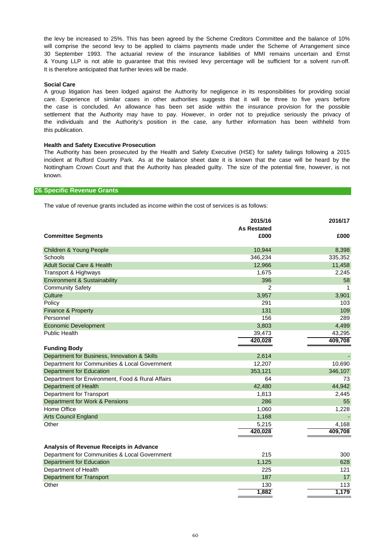will comprise the second levy to be applied to claims payments made under the Scheme of Arrangement since the levy be increased to 25%. This has been agreed by the Scheme Creditors Committee and the balance of 10% It is therefore anticipated that further levies will be made. & Young LLP is not able to guarantee that this revised levy percentage will be sufficient for a solvent run-off. 30 September 1993. The actuarial review of the insurance liabilities of MMI remains uncertain and Ernst

# **Social Care**

this publication. A group litigation has been lodged against the Authority for negligence in its responsibilities for providing social the case is concluded. An allowance has been set aside within the insurance provision for the possible settlement that the Authority may have to pay. However, in order not to prejudice seriously the privacy of the individuals and the Authority's position in the case, any further information has been withheld from care. Experience of similar cases in other authorities suggests that it will be three to five years before

#### **Health and Safety Executive Prosecution**

known. The Authority has been prosecuted by the Health and Safety Executive (HSE) for safety failings following a 2015 incident at Rufford Country Park. As at the balance sheet date it is known that the case will be heard by the Nottingham Crown Court and that the Authority has pleaded guilty. The size of the potential fine, however, is not

### **26.Specific Revenue Grants**

The value of revenue grants included as income within the cost of services is as follows:

|                                                  | 2015/16<br><b>As Restated</b> | 2016/17 |
|--------------------------------------------------|-------------------------------|---------|
| <b>Committee Segments</b>                        | £000                          | £000    |
| <b>Children &amp; Young People</b>               | 10,944                        | 8,398   |
| Schools                                          | 346,234                       | 335,352 |
| <b>Adult Social Care &amp; Health</b>            | 12,966                        | 11,458  |
| Transport & Highways                             | 1,675                         | 2,245   |
| <b>Environment &amp; Sustainability</b>          | 396                           | 58      |
| <b>Community Safety</b>                          | 2                             | -1      |
| Culture                                          | 3,957                         | 3,901   |
| Policy                                           | 291                           | 103     |
| Finance & Property                               | 131                           | 109     |
| Personnel                                        | 156                           | 289     |
| <b>Economic Development</b>                      | 3,803                         | 4,499   |
| <b>Public Health</b>                             | 39,473                        | 43,295  |
|                                                  | 420,028                       | 409,708 |
| <b>Funding Body</b>                              |                               |         |
| Department for Business, Innovation & Skills     | 2,614                         |         |
| Department for Communities & Local Government    | 12,207                        | 10,690  |
| <b>Department for Education</b>                  | 353,121                       | 346,107 |
| Department for Environment, Food & Rural Affairs | 64                            | 73      |
| Department of Health                             | 42,480                        | 44,942  |
| <b>Department for Transport</b>                  | 1,813                         | 2,445   |
| Department for Work & Pensions                   | 286                           | 55      |
| Home Office                                      | 1,060                         | 1,228   |
| <b>Arts Council England</b>                      | 1,168                         |         |
| Other                                            | 5,215                         | 4,168   |
|                                                  | 420,028                       | 409,708 |
|                                                  |                               |         |
| Analysis of Revenue Receipts in Advance          |                               |         |
| Department for Communities & Local Government    | 215                           | 300     |
| <b>Department for Education</b>                  | 1,125                         | 628     |
| Department of Health                             | 225                           | 121     |
| <b>Department for Transport</b>                  | 187                           | 17      |
| Other                                            | 130                           | 113     |
|                                                  | 1,882                         | 1,179   |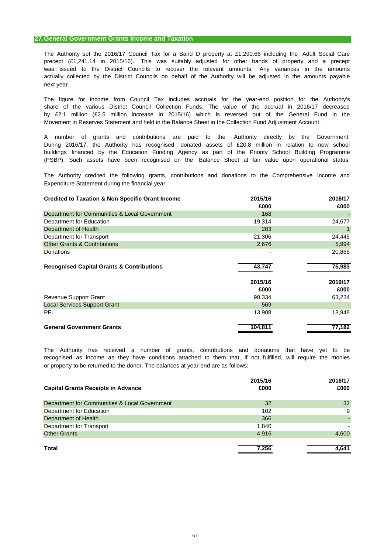# **27.General Government Grants Income and Taxation**

actually collected by the District Councils on behalf of the Authority will be adjusted in the amounts payable next year. The Authority set the 2016/17 Council Tax for a Band D property at £1,290.66 including the Adult Social Care was issued to the District Councils to recover the relevant amounts. Any variances in the amounts precept (£1,241.14 in 2015/16). This was suitably adjusted for other bands of property and a precept

Movement in Reserves Statement and held in the Balance Sheet in the Collection Fund Adjustment Account. by £2.1 million (£2.5 million increase in 2015/16) which is reversed out of the General Fund in the share of the various District Council Collection Funds. The value of the accrual in 2016/17 decreased The figure for income from Council Tax includes accruals for the year-end position for the Authority's

buildings financed by the Education Funding Agency as part of the Priority School Building Programme (PSBP). Such assets have been recognised on the Balance Sheet at fair value upon operational status. During 2016/17, the Authority has recognised donated assets of £20.8 million in relation to new school A number of grants and contributions are paid to the Authority directly by the Government.

Expenditure Statement during the financial year: The Authority credited the following grants, contributions and donations to the Comprehensive Income and

| <b>Credited to Taxation &amp; Non Specific Grant Income</b> | 2015/16<br>£000 | 2016/17<br>£000 |
|-------------------------------------------------------------|-----------------|-----------------|
| Department for Communities & Local Government               | 168             |                 |
| Department for Education                                    | 19,314          | 24,677          |
| Department of Health                                        | 283             |                 |
| Department for Transport                                    | 21,306          | 24,445          |
| <b>Other Grants &amp; Contributions</b>                     | 2,676           | 5,994           |
| Donations                                                   |                 | 20,866          |
| <b>Recognised Capital Grants &amp; Contributions</b>        | 43.747          | 75,983          |
|                                                             | 2015/16         | 2016/17         |
|                                                             | £000            | £000            |
| <b>Revenue Support Grant</b>                                | 90,334          | 63,234          |
| <b>Local Services Support Grant</b>                         | 569             |                 |
| PFI                                                         | 13,908          | 13,948          |
| <b>General Government Grants</b>                            | 104,811         | 77,182          |

or property to be returned to the donor. The balances at year-end are as follows: recognised as income as they have conditions attached to them that, if not fulfilled, will require the monies The Authority has received a number of grants, contributions and donations that have yet to be

| <b>Capital Grants Receipts in Advance</b>     | 2015/16<br>£000 | 2016/17<br>£000 |
|-----------------------------------------------|-----------------|-----------------|
| Department for Communities & Local Government | 32              | 32              |
| Department for Education                      | 102             | 9               |
| Department of Health                          | 366             |                 |
| Department for Transport                      | 1.840           |                 |
| <b>Other Grants</b>                           | 4,916           | 4,600           |
| Total                                         | 7.256           | 4.641           |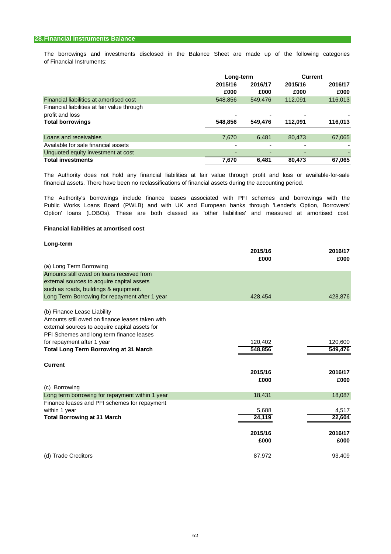# **28.Financial Instruments Balance**

of Financial Instruments: The borrowings and investments disclosed in the Balance Sheet are made up of the following categories

|                                                                |                 | Long-term       |                          | <b>Current</b>  |
|----------------------------------------------------------------|-----------------|-----------------|--------------------------|-----------------|
|                                                                | 2015/16<br>£000 | 2016/17<br>£000 | 2015/16<br>£000          | 2016/17<br>£000 |
| Financial liabilities at amortised cost                        | 548,856         | 549,476         | 112,091                  | 116,013         |
| Financial liabilities at fair value through<br>profit and loss |                 |                 |                          |                 |
| <b>Total borrowings</b>                                        | 548,856         | 549,476         | 112.091                  | 116,013         |
|                                                                |                 |                 |                          |                 |
| Loans and receivables                                          | 7,670           | 6.481           | 80,473                   | 67,065          |
| Available for sale financial assets                            | $\overline{a}$  |                 | $\overline{\phantom{a}}$ |                 |
| Unquoted equity investment at cost                             |                 |                 |                          |                 |
| <b>Total investments</b>                                       | 7,670           | 6,481           | 80,473                   | 67,065          |

financial assets. There have been no reclassifications of financial assets during the accounting period. The Authority does not hold any financial liabilities at fair value through profit and loss or available-for-sale

Option' loans (LOBOs). These are both classed as 'other liabilities' and measured at amortised cost. The Authority's borrowings include finance leases associated with PFI schemes and borrowings with the Public Works Loans Board (PWLB) and with UK and European banks through 'Lender's Option, Borrowers'

# **Financial liabilities at amortised cost**

| Long-term                                       | 2015/16<br>£000 | 2016/17<br>£000 |
|-------------------------------------------------|-----------------|-----------------|
| (a) Long Term Borrowing                         |                 |                 |
| Amounts still owed on loans received from       |                 |                 |
| external sources to acquire capital assets      |                 |                 |
| such as roads, buildings & equipment.           |                 |                 |
| Long Term Borrowing for repayment after 1 year  | 428,454         | 428,876         |
| (b) Finance Lease Liability                     |                 |                 |
| Amounts still owed on finance leases taken with |                 |                 |
| external sources to acquire capital assets for  |                 |                 |
| PFI Schemes and long term finance leases        |                 |                 |
| for repayment after 1 year                      | 120,402         | 120,600         |
| <b>Total Long Term Borrowing at 31 March</b>    | 548,856         | 549,476         |
| <b>Current</b>                                  |                 |                 |
|                                                 | 2015/16         | 2016/17         |
|                                                 | £000            | £000            |
| (c) Borrowing                                   |                 |                 |
| Long term borrowing for repayment within 1 year | 18,431          | 18,087          |
| Finance leases and PFI schemes for repayment    |                 |                 |
| within 1 year                                   | 5,688           | 4,517           |
| <b>Total Borrowing at 31 March</b>              | 24,119          | 22,604          |
|                                                 | 2015/16         | 2016/17         |
|                                                 | £000            | £000            |
| (d) Trade Creditors                             | 87,972          | 93.409          |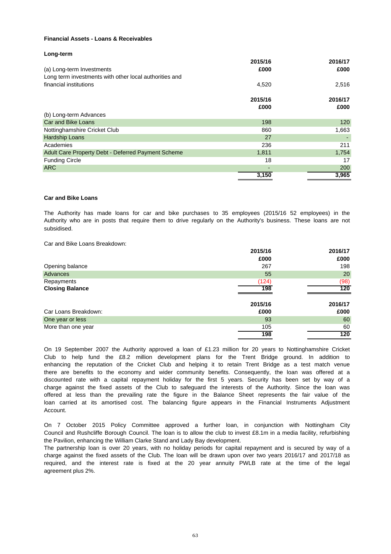# **Financial Assets - Loans & Receivables**

# **Long-term 2015/16 2016/17** (a) Long-term Investments **£000 £000** Long term investments with other local authorities and financial institutions 4,520 2,516 **2015/16 2016/17 £000 £000** (b) Long-term Advances Car and Bike Loans 198 120 Nottinghamshire Cricket Club 860 1,663 Hardship Loans 27 - Academies 236 211 Adult Care Property Debt - Deferred Payment Scheme 1,611 1,811 1,754 Funding Circle 2012 2013 17 No. 2014 2022 2023 18 17 No. 2022 2023 18 17 No. 2022 2023 18 17 No. 2022 2023 18 17 ARC  $\qquad \qquad 200$ **3,150 3,965**

# **Car and Bike Loans**

subsidised. Authority who are in posts that require them to drive regularly on the Authority's business. These loans are not The Authority has made loans for car and bike purchases to 35 employees (2015/16 52 employees) in the

Car and Bike Loans Breakdown:

| 2015/16 | 2016/17 |
|---------|---------|
| £000    | £000    |
| 267     | 198     |
| 55      | 20      |
| (124)   | (98)    |
| 198     | 120     |
|         |         |
| 2015/16 | 2016/17 |
| £000    | £000    |
| 93      | 60      |
| 105     | 60      |
| 198     | 120     |
|         |         |

Account. loan carried at its amortised cost. The balancing figure appears in the Financial Instruments Adjustment charge against the fixed assets of the Club to safeguard the interests of the Authority. Since the loan was enhancing the reputation of the Cricket Club and helping it to retain Trent Bridge as a test match venue offered at less than the prevailing rate the figure in the Balance Sheet represents the fair value of the On 19 September 2007 the Authority approved a loan of £1.23 million for 20 years to Nottinghamshire Cricket Club to help fund the £8.2 million development plans for the Trent Bridge ground. In addition to discounted rate with a capital repayment holiday for the first 5 years. Security has been set by way of a there are benefits to the economy and wider community benefits. Consequently, the loan was offered at a

Council and Rushcliffe Borough Council. The loan is to allow the club to invest £8.1m in a media facility, refurbishing the Pavilion, enhancing the William Clarke Stand and Lady Bay development. On 7 October 2015 Policy Committee approved a further loan, in conjunction with Nottingham City

The partnership loan is over 20 years, with no holiday periods for capital repayment and is secured by way of a charge against the fixed assets of the Club. The loan will be drawn upon over two years 2016/17 and 2017/18 as required, and the interest rate is fixed at the 20 year annuity PWLB rate at the time of the legal agreement plus 2%.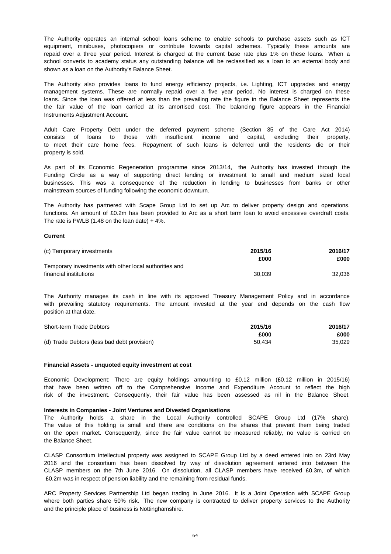shown as a loan on the Authority's Balance Sheet. repaid over a three year period. Interest is charged at the current base rate plus 1% on these loans. When a equipment, minibuses, photocopiers or contribute towards capital schemes. Typically these amounts are The Authority operates an internal school loans scheme to enable schools to purchase assets such as ICT school converts to academy status any outstanding balance will be reclassified as a loan to an external body and

Instruments Adjustment Account. management systems. These are normally repaid over a five year period. No interest is charged on these the fair value of the loan carried at its amortised cost. The balancing figure appears in the Financial The Authority also provides loans to fund energy efficiency projects, i.e. Lighting, ICT upgrades and energy loans. Since the loan was offered at less than the prevailing rate the figure in the Balance Sheet represents the

property is sold. consists of loans to those with insufficient income and capital, excluding their property, Adult Care Property Debt under the deferred payment scheme (Section 35 of the Care Act 2014) to meet their care home fees. Repayment of such loans is deferred until the residents die or their

mainstream sources of funding following the economic downturn. Funding Circle as a way of supporting direct lending or investment to small and medium sized local businesses. This was a consequence of the reduction in lending to businesses from banks or other As part of its Economic Regeneration programme since 2013/14, the Authority has invested through the

The rate is PWLB (1.48 on the loan date)  $+4\%$ . The Authority has partnered with Scape Group Ltd to set up Arc to deliver property design and operations. functions. An amount of £0.2m has been provided to Arc as a short term loan to avoid excessive overdraft costs.

#### **Current**

| (c) Temporary investments                              | 2015/16 | 2016/17 |
|--------------------------------------------------------|---------|---------|
|                                                        | £000    | £000    |
| Temporary investments with other local authorities and |         |         |
| financial institutions                                 | 30.039  | 32.036  |

position at that date. with prevailing statutory requirements. The amount invested at the year end depends on the cash flow The Authority manages its cash in line with its approved Treasury Management Policy and in accordance

| Short-term Trade Debtors                    | 2015/16 | 2016/17 |
|---------------------------------------------|---------|---------|
|                                             | £000    | £000    |
| (d) Trade Debtors (less bad debt provision) | 50.434  | 35.029  |

#### **Financial Assets - unquoted equity investment at cost**

that have been written off to the Comprehensive Income and Expenditure Account to reflect the high risk of the investment. Consequently, their fair value has been assessed as nil in the Balance Sheet. Economic Development: There are equity holdings amounting to £0.12 million (£0.12 million in 2015/16)

#### **Interests in Companies - Joint Ventures and Divested Organisations**

the Balance Sheet. on the open market. Consequently, since the fair value cannot be measured reliably, no value is carried on The value of this holding is small and there are conditions on the shares that prevent them being traded The Authority holds a share in the Local Authority controlled SCAPE Group Ltd (17% share).

 £0.2m was in respect of pension liability and the remaining from residual funds. CLASP Consortium intellectual property was assigned to SCAPE Group Ltd by a deed entered into on 23rd May 2016 and the consortium has been dissolved by way of dissolution agreement entered into between the CLASP members on the 7th June 2016. On dissolution, all CLASP members have received £0.3m, of which

and the principle place of business is Nottinghamshire. where both parties share 50% risk. The new company is contracted to deliver property services to the Authority ARC Property Services Partnership Ltd began trading in June 2016. It is a Joint Operation with SCAPE Group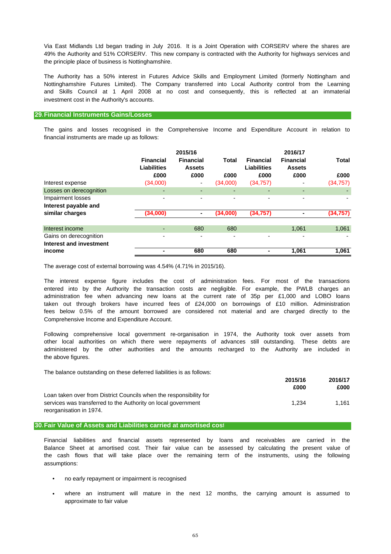the principle place of business is Nottinghamshire. Via East Midlands Ltd began trading in July 2016. It is a Joint Operation with CORSERV where the shares are 49% the Authority and 51% CORSERV. This new company is contracted with the Authority for highways services and

investment cost in the Authority's accounts. The Authority has a 50% interest in Futures Advice Skills and Employment Limited (formerly Nottingham and Nottinghamshire Futures Limited). The Company transferred into Local Authority control from the Learning and Skills Council at 1 April 2008 at no cost and consequently, this is reflected at an immaterial

#### **29.Financial Instruments Gains/Losses**

financial instruments are made up as follows: The gains and losses recognised in the Comprehensive Income and Expenditure Account in relation to

|                                                   |                                        | 2015/16                           |          |                                        | 2016/17                           |              |
|---------------------------------------------------|----------------------------------------|-----------------------------------|----------|----------------------------------------|-----------------------------------|--------------|
|                                                   | <b>Financial</b><br><b>Liabilities</b> | <b>Financial</b><br><b>Assets</b> | Total    | <b>Financial</b><br><b>Liabilities</b> | <b>Financial</b><br><b>Assets</b> | <b>Total</b> |
|                                                   | £000                                   | £000                              | £000     | £000                                   | £000                              | £000         |
| Interest expense                                  | (34,000)                               | ٠                                 | (34,000) | (34,757)                               |                                   | (34, 757)    |
| Losses on derecognition                           | -                                      | ۰                                 | ٠        |                                        |                                   |              |
| Impairment losses                                 | -                                      | ٠                                 | ٠        |                                        |                                   |              |
| Interest payable and                              |                                        |                                   |          |                                        |                                   |              |
| similar charges                                   | (34,000)                               | ٠                                 | (34,000) | (34,757)                               |                                   | (34, 757)    |
| Interest income                                   |                                        | 680                               | 680      |                                        | 1,061                             | 1,061        |
| Gains on derecognition<br>Interest and investment | -                                      | ٠                                 | ٠        |                                        | -                                 |              |
| income                                            |                                        | 680                               | 680      |                                        | 1,061                             | 1,061        |

The average cost of external borrowing was 4.54% (4.71% in 2015/16).

Comprehensive Income and Expenditure Account. entered into by the Authority the transaction costs are negligible. For example, the PWLB charges an fees below 0.5% of the amount borrowed are considered not material and are charged directly to the The interest expense figure includes the cost of administration fees. For most of the transactions taken out through brokers have incurred fees of £24,000 on borrowings of £10 million. Administration administration fee when advancing new loans at the current rate of 35p per £1,000 and LOBO loans

the above figures. Following comprehensive local government re-organisation in 1974, the Authority took over assets from other local authorities on which there were repayments of advances still outstanding. These debts are administered by the other authorities and the amounts recharged to the Authority are included in

The balance outstanding on these deferred liabilities is as follows:

|                                                                    | 2015/16 | 2016/17 |
|--------------------------------------------------------------------|---------|---------|
|                                                                    | £000    | £000    |
| Loan taken over from District Councils when the responsibility for |         |         |
| services was transferred to the Authority on local government      | 1.234   | 1.161   |
| reorganisation in 1974.                                            |         |         |

#### **30.Fair Value of Assets and Liabilities carried at amortised cost**

assumptions: Balance Sheet at amortised cost. Their fair value can be assessed by calculating the present value of the cash flows that will take place over the remaining term of the instruments, using the following Financial liabilities and financial assets represented by loans and receivables are carried in the

- no early repayment or impairment is recognised
- approximate to fair value where an instrument will mature in the next 12 months, the carrying amount is assumed to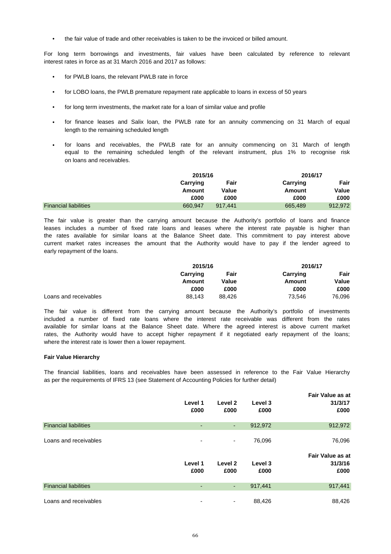• the fair value of trade and other receivables is taken to be the invoiced or billed amount.

interest rates in force as at 31 March 2016 and 2017 as follows: For long term borrowings and investments, fair values have been calculated by reference to relevant

- for PWLB loans, the relevant PWLB rate in force
- for LOBO loans, the PWLB premature repayment rate applicable to loans in excess of 50 years
- for long term investments, the market rate for a loan of similar value and profile
- length to the remaining scheduled length for finance leases and Salix loan, the PWLB rate for an annuity commencing on 31 March of equal
- on loans and receivables. for loans and receivables, the PWLB rate for an annuity commencing on 31 March of length equal to the remaining scheduled length of the relevant instrument, plus 1% to recognise risk

|                              | 2015/16  |         |          | 2016/17 |
|------------------------------|----------|---------|----------|---------|
|                              | Carrying | Fair    | Carrying | Fair    |
|                              | Amount   | Value   | Amount   | Value   |
|                              | £000     | £000    | £000     | £000    |
| <b>Financial liabilities</b> | 660.947  | 917.441 | 665,489  | 912,972 |

early repayment of the loans. leases includes a number of fixed rate loans and leases where the interest rate payable is higher than The fair value is greater than the carrying amount because the Authority's portfolio of loans and finance the rates available for similar loans at the Balance Sheet date. This commitment to pay interest above current market rates increases the amount that the Authority would have to pay if the lender agreed to

|                       | 2015/16  |        | 2016/17  |        |
|-----------------------|----------|--------|----------|--------|
|                       | Carrying | Fair   | Carrying | Fair   |
|                       | Amount   | Value  | Amount   | Value  |
|                       | £000     | £000   | £000     | £000   |
| Loans and receivables | 88,143   | 88.426 | 73,546   | 76.096 |

where the interest rate is lower then a lower repayment. The fair value is different from the carrying amount because the Authority's portfolio of investments available for similar loans at the Balance Sheet date. Where the agreed interest is above current market included a number of fixed rate loans where the interest rate receivable was different from the rates rates, the Authority would have to accept higher repayment if it negotiated early repayment of the loans;

# **Fair Value Hierarchy**

as per the requirements of IFRS 13 (see Statement of Accounting Policies for further detail) The financial liabilities, loans and receivables have been assessed in reference to the Fair Value Hierarchy

|                              | Level 1<br>£000 | Level 2<br>£000          | Level 3<br>£000 | <b>Fair Value as at</b><br>31/3/17<br>£000 |
|------------------------------|-----------------|--------------------------|-----------------|--------------------------------------------|
| <b>Financial liabilities</b> | ٠               | ٠                        | 912,972         | 912,972                                    |
| Loans and receivables        | ٠               | $\overline{\phantom{a}}$ | 76,096          | 76,096                                     |
|                              |                 |                          |                 | <b>Fair Value as at</b>                    |
|                              | Level 1         | Level 2                  | Level 3         | 31/3/16                                    |
|                              | £000            | £000                     | £000            | £000                                       |
| <b>Financial liabilities</b> | ٠               | ٠                        | 917,441         | 917,441                                    |
| Loans and receivables        | ۰               | ٠                        | 88,426          | 88,426                                     |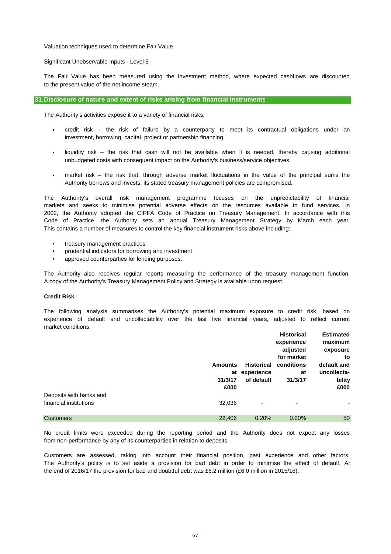Valuation techniques used to determine Fair Value

Significant Unobservable Inputs - Level 3

to the present value of the net income steam. The Fair Value has been measured using the investment method, where expected cashflows are discounted

# **31.Disclosure of nature and extent of risks arising from financial instruments**

The Authority's activities expose it to a variety of financial risks:

- investment, borrowing, capital, project or partnership financing credit risk – the risk of failure by a counterparty to meet its contractual obligations under an
- unbudgeted costs with consequent impact on the Authority's business/service objectives. liquidity risk – the risk that cash will not be available when it is needed, thereby causing additional
- market risk – the risk that, through adverse market fluctuations in the value of the principal sums the Authority borrows and invests, its stated treasury management policies are compromised.

This contains a number of measures to control the key financial instrument risks above including: Code of Practice, the Authority sets an annual Treasury Management Strategy by March each year. The Authority's overall risk management programme focuses on the unpredictability of financial markets and seeks to minimise potential adverse effects on the resources available to fund services. In 2002, the Authority adopted the CIPFA Code of Practice on Treasury Management. In accordance with this

- treasury management practices
- prudential indicators for borrowing and investment
- approved counterparties for lending purposes.

A copy of the Authority's Treasury Management Policy and Strategy is available upon request. The Authority also receives regular reports measuring the performance of the treasury management function.

# **Credit Risk**

market conditions. experience of default and uncollectability over the last five financial years, adjusted to reflect current The following analysis summarises the Authority's potential maximum exposure to credit risk, based on

|                         |                                         |                                               | <b>Historical</b><br>experience<br>adjusted | <b>Estimated</b><br>maximum<br>exposure            |
|-------------------------|-----------------------------------------|-----------------------------------------------|---------------------------------------------|----------------------------------------------------|
|                         | <b>Amounts</b><br>at<br>31/3/17<br>£000 | <b>Historical</b><br>experience<br>of default | for market<br>conditions<br>at<br>31/3/17   | to<br>default and<br>uncollecta-<br>bility<br>£000 |
| Deposits with banks and |                                         |                                               |                                             |                                                    |
| financial institutions  | 32,036                                  | $\overline{\phantom{0}}$                      | ٠                                           | ۰                                                  |
| <b>Customers</b>        | 22,406                                  | 0.20%                                         | 0.20%                                       | 50                                                 |

from non-performance by any of its counterparties in relation to deposits. No credit limits were exceeded during the reporting period and the Authority does not expect any losses

the end of 2016/17 the provision for bad and doubtful debt was £6.2 million (£6.0 million in 2015/16). Customers are assessed, taking into account their financial position, past experience and other factors. The Authority's policy is to set aside a provision for bad debt in order to minimise the effect of default. At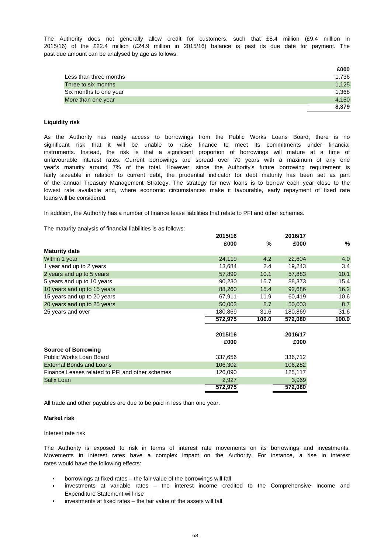past due amount can be analysed by age as follows: 2015/16) of the £22.4 million (£24.9 million in 2015/16) balance is past its due date for payment. The The Authority does not generally allow credit for customers, such that £8.4 million (£9.4 million in

|                        | £000  |
|------------------------|-------|
| Less than three months | 1,736 |
| Three to six months    | 1.125 |
| Six months to one year | 1,368 |
| More than one year     | 4.150 |
|                        | 8,379 |

# **Liquidity risk**

loans will be considered. year's maturity around 7% of the total. However, since the Authority's future borrowing requirement is fairly sizeable in relation to current debt, the prudential indicator for debt maturity has been set as part instruments. Instead, the risk is that a significant proportion of borrowings will mature at a time of significant risk that it will be unable to raise finance to meet its commitments under financial of the annual Treasury Management Strategy. The strategy for new loans is to borrow each year close to the lowest rate available and, where economic circumstances make it favourable, early repayment of fixed rate unfavourable interest rates. Current borrowings are spread over 70 years with a maximum of any one As the Authority has ready access to borrowings from the Public Works Loans Board, there is no

In addition, the Authority has a number of finance lease liabilities that relate to PFI and other schemes.

The maturity analysis of financial liabilities is as follows:

|         |                            | 2016/17 |                 |
|---------|----------------------------|---------|-----------------|
| £000    | $\%$                       | £000    | %               |
|         |                            |         |                 |
| 24,119  | 4.2                        | 22,604  | 4.0             |
| 13,684  | 2.4                        | 19,243  | 3.4             |
| 57,899  | 10.1                       | 57,883  | 10.1            |
| 90,230  | 15.7                       | 88,373  | 15.4            |
| 88,260  | 15.4                       | 92,686  | 16.2            |
| 67,911  | 11.9                       | 60,419  | 10.6            |
| 50,003  | 8.7                        | 50,003  | 8.7             |
| 180,869 | 31.6                       | 180,869 | 31.6            |
| 572,975 | 100.0                      | 572,080 | 100.0           |
|         |                            |         |                 |
|         |                            |         |                 |
|         |                            |         |                 |
|         |                            |         |                 |
| 337,656 |                            | 336,712 |                 |
| 106,302 |                            | 106,282 |                 |
| 126,090 |                            | 125,117 |                 |
| 2,927   |                            | 3,969   |                 |
| 572,975 |                            | 572,080 |                 |
|         | 2015/16<br>2015/16<br>£000 |         | 2016/17<br>£000 |

All trade and other payables are due to be paid in less than one year.

#### **Market risk**

Interest rate risk

rates would have the following effects: The Authority is exposed to risk in terms of interest rate movements on its borrowings and investments. Movements in interest rates have a complex impact on the Authority. For instance, a rise in interest

- borrowings at fixed rates the fair value of the borrowings will fall
- Expenditure Statement will rise investments at variable rates – the interest income credited to the Comprehensive Income and
- investments at fixed rates the fair value of the assets will fall.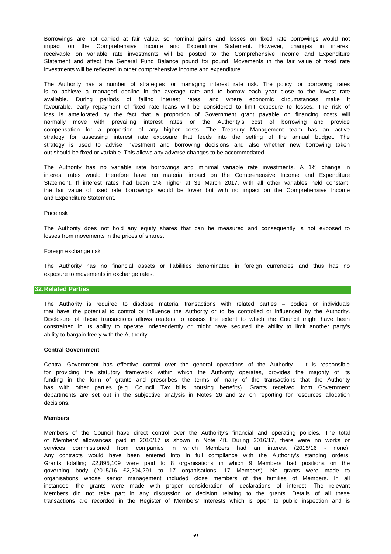investments will be reflected in other comprehensive income and expenditure. receivable on variable rate investments will be posted to the Comprehensive Income and Expenditure impact on the Comprehensive Income and Expenditure Statement. However, changes in interest Statement and affect the General Fund Balance pound for pound. Movements in the fair value of fixed rate Borrowings are not carried at fair value, so nominal gains and losses on fixed rate borrowings would not

out should be fixed or variable. This allows any adverse changes to be accommodated. loss is ameliorated by the fact that a proportion of Government grant payable on financing costs will normally move with prevailing interest rates or the Authority's cost of borrowing and provide compensation for a proportion of any higher costs. The Treasury Management team has an active favourable, early repayment of fixed rate loans will be considered to limit exposure to losses. The risk of available. During periods of falling interest rates, and where economic circumstances make it strategy is used to advise investment and borrowing decisions and also whether new borrowing taken strategy for assessing interest rate exposure that feeds into the setting of the annual budget. The The Authority has a number of strategies for managing interest rate risk. The policy for borrowing rates is to achieve a managed decline in the average rate and to borrow each year close to the lowest rate

and Expenditure Statement. The Authority has no variable rate borrowings and minimal variable rate investments. A 1% change in interest rates would therefore have no material impact on the Comprehensive Income and Expenditure the fair value of fixed rate borrowings would be lower but with no impact on the Comprehensive Income Statement. If interest rates had been 1% higher at 31 March 2017, with all other variables held constant,

#### Price risk

losses from movements in the prices of shares. The Authority does not hold any equity shares that can be measured and consequently is not exposed to

#### Foreign exchange risk

exposure to movements in exchange rates. The Authority has no financial assets or liabilities denominated in foreign currencies and thus has no

# **32.Related Parties**

ability to bargain freely with the Authority. Disclosure of these transactions allows readers to assess the extent to which the Council might have been constrained in its ability to operate independently or might have secured the ability to limit another party's that have the potential to control or influence the Authority or to be controlled or influenced by the Authority. The Authority is required to disclose material transactions with related parties – bodies or individuals

#### **Central Government**

decisions. departments are set out in the subjective analysis in Notes 26 and 27 on reporting for resources allocation for providing the statutory framework within which the Authority operates, provides the majority of its has with other parties (e.g. Council Tax bills, housing benefits). Grants received from Government funding in the form of grants and prescribes the terms of many of the transactions that the Authority Central Government has effective control over the general operations of the Authority – it is responsible

#### **Members**

organisations whose senior management included close members of the families of Members. In all of Members' allowances paid in 2016/17 is shown in Note 48. During 2016/17, there were no works or Members did not take part in any discussion or decision relating to the grants. Details of all these Grants totalling £2,895,109 were paid to 8 organisations in which 9 Members had positions on the services commissioned from companies in which Members had an interest (2015/16 - none). Any contracts would have been entered into in full compliance with the Authority's standing orders. transactions are recorded in the Register of Members' Interests which is open to public inspection and is Members of the Council have direct control over the Authority's financial and operating policies. The total governing body (2015/16 £2,204,291 to 17 organisations, 17 Members). No grants were made to instances, the grants were made with proper consideration of declarations of interest. The relevant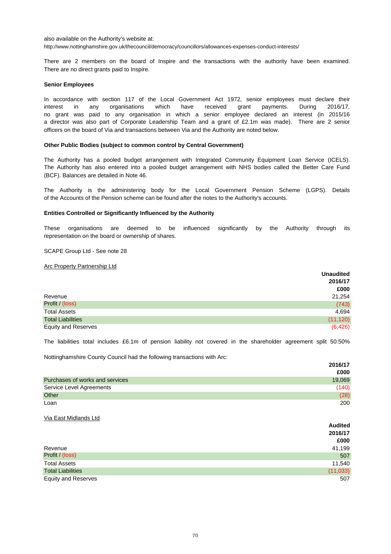also available on the Authority's website at: http://www.nottinghamshire.gov.uk/thecouncil/democracy/councillors/allowances-expenses-conduct-interests/

There are 2 members on the board of Inspire and the transactions with the authority have been examined. There are no direct grants paid to Inspire.

#### **Senior Employees**

In accordance with section 117 of the Local Government Act 1972, senior employees must declare their officers on the board of Via and transactions between Via and the Authority are noted below. a director was also part of Corporate Leadership Team and a grant of £2.1m was made). There are 2 senior interest in any organisations which have received grant payments. During 2016/17, no grant was paid to any organisation in which a senior employee declared an interest (in 2015/16

#### **Other Public Bodies (subject to common control by Central Government)**

(BCF). Balances are detailed in Note 46. The Authority has also entered into a pooled budget arrangement with NHS bodies called the Better Care Fund The Authority has a pooled budget arrangement with Integrated Community Equipment Loan Service (ICELS).

of the Accounts of the Pension scheme can be found after the notes to the Authority's accounts. The Authority is the administering body for the Local Government Pension Scheme (LGPS). Details

# **Entities Controlled or Significantly Influenced by the Authority**

representation on the board or ownership of shares. These organisations are deemed to be influenced significantly by the Authority through its

### SCAPE Group Ltd - See note 28

#### Arc Property Partnership Ltd

|                            | <b>Unaudited</b> |
|----------------------------|------------------|
|                            | 2016/17          |
|                            | £000             |
| Revenue                    | 21,254           |
| Profit / (loss)            | (743)            |
| <b>Total Assets</b>        | 4,694            |
| <b>Total Liabilities</b>   | (11, 120)        |
| <b>Equity and Reserves</b> | (6, 426)         |

The liabilities total includes £6.1m of pension liability not covered in the shareholder agreement split 50:50%

**2016/17**

Nottinghamshire County Council had the following transactions with Arc:

|                                 | ----   |
|---------------------------------|--------|
|                                 | £000   |
| Purchases of works and services | 19,069 |
| Service Level Agreements        | (140)  |
| Other                           | (28)   |
| Loan                            | 200    |

Via East Midlands Ltd

|                            | <b>Audited</b> |
|----------------------------|----------------|
|                            | 2016/17        |
|                            | £000           |
| Revenue                    | 41,199         |
| Profit / (loss)            | 507            |
| <b>Total Assets</b>        | 11,540         |
| <b>Total Liabilities</b>   | (11, 033)      |
| <b>Equity and Reserves</b> | 507            |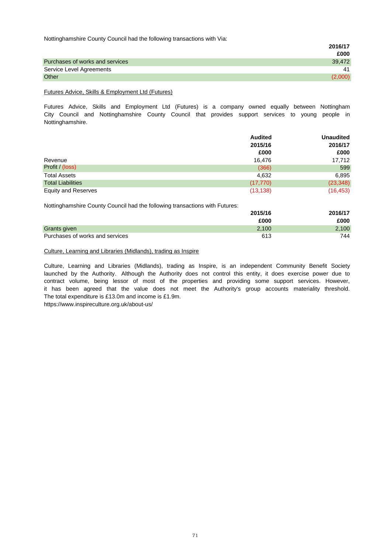Nottinghamshire County Council had the following transactions with Via:

| $\tilde{\phantom{a}}$           | . .<br>2016/17 |
|---------------------------------|----------------|
|                                 | £000           |
| Purchases of works and services | 39.472         |
| Service Level Agreements        | 41             |
| Other                           | (2,000)        |

# Futures Advice, Skills & Employment Ltd (Futures)

Futures Advice, Skills and Employment Ltd (Futures) is a company owned equally between Nottingham City Council and Nottinghamshire County Council that provides support services to young people in Nottinghamshire.

|                            | <b>Audited</b> | <b>Unaudited</b> |
|----------------------------|----------------|------------------|
|                            | 2015/16        | 2016/17          |
|                            | £000           | £000             |
| Revenue                    | 16.476         | 17,712           |
| Profit / (loss)            | (366)          | 599              |
| <b>Total Assets</b>        | 4,632          | 6,895            |
| <b>Total Liabilities</b>   | (17, 770)      | (23, 348)        |
| <b>Equity and Reserves</b> | (13, 138)      | (16, 453)        |

Nottinghamshire County Council had the following transactions with Futures:

|                                 | 2015/16 | 2016/17 |
|---------------------------------|---------|---------|
|                                 | £000    | £000    |
| Grants given                    | 2.100   | 2,100   |
| Purchases of works and services | 613     | 744     |

# Culture, Learning and Libraries (Midlands), trading as Inspire

Culture, Learning and Libraries (Midlands), trading as Inspire, is an independent Community Benefit Society launched by the Authority. Although the Authority does not control this entity, it does exercise power due to contract volume, being lessor of most of the properties and providing some support services. However, The total expenditure is £13.0m and income is £1.9m. it has been agreed that the value does not meet the Authority's group accounts materiality threshold.

https://www.inspireculture.org.uk/about-us/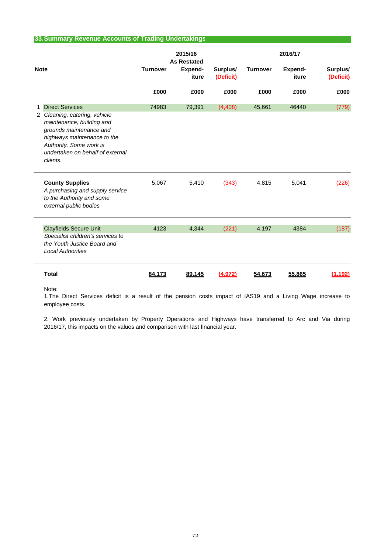# **33.Summary Revenue Accounts of Trading Undertakings**

| <b>Note</b> |                                                                                                                                                                                                 | 2015/16<br><b>As Restated</b> |                  | 2016/17               |                 |                  |                       |
|-------------|-------------------------------------------------------------------------------------------------------------------------------------------------------------------------------------------------|-------------------------------|------------------|-----------------------|-----------------|------------------|-----------------------|
|             |                                                                                                                                                                                                 | <b>Turnover</b>               | Expend-<br>iture | Surplus/<br>(Deficit) | <b>Turnover</b> | Expend-<br>iture | Surplus/<br>(Deficit) |
|             |                                                                                                                                                                                                 | £000                          | £000             | £000                  | £000            | £000             | £000                  |
| 1           | <b>Direct Services</b>                                                                                                                                                                          | 74983                         | 79,391           | (4, 408)              | 45,661          | 46440            | (779)                 |
|             | 2 Cleaning, catering, vehicle<br>maintenance, building and<br>grounds maintenance and<br>highways maintenance to the<br>Authority. Some work is<br>undertaken on behalf of external<br>clients. |                               |                  |                       |                 |                  |                       |
|             | <b>County Supplies</b><br>A purchasing and supply service<br>to the Authority and some<br>external public bodies                                                                                | 5,067                         | 5,410            | (343)                 | 4,815           | 5,041            | (226)                 |
|             | <b>Clayfields Secure Unit</b><br>Specialist children's services to<br>the Youth Justice Board and<br><b>Local Authorities</b>                                                                   | 4123                          | 4,344            | (221)                 | 4,197           | 4384             | (187)                 |
|             | <b>Total</b>                                                                                                                                                                                    | 84.173                        | 89.145           | (4.972)               | 54,673          | 55,865           | (1.192)               |

Note:

employee costs. 1.The Direct Services deficit is a result of the pension costs impact of IAS19 and a Living Wage increase to

2. Work previously undertaken by Property Operations and Highways have transferred to Arc and Via during 2016/17, this impacts on the values and comparison with last financial year.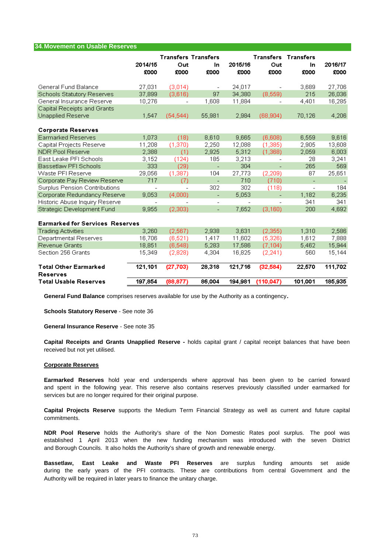| <b>34. Movement on Usable Reserves</b>          |                          |                                           |                          |                          |                          |                                          |                 |
|-------------------------------------------------|--------------------------|-------------------------------------------|--------------------------|--------------------------|--------------------------|------------------------------------------|-----------------|
|                                                 | 2014/15<br>£000          | <b>Transfers Transfers</b><br>Out<br>£000 | In<br>£000               | 2015/16<br>£000          | Out<br>£000              | <b>Transfers Transfers</b><br>In<br>£000 | 2016/17<br>£000 |
| General Fund Balance                            | 27,031                   | (3,014)                                   | $\overline{\phantom{a}}$ | 24,017                   |                          | 3,689                                    | 27,706          |
| Schools Statutory Reserves                      | 37,899                   | (3,616)                                   | 97                       | 34,380                   | (8,559)                  | 215                                      | 26,036          |
| General Insurance Reserve                       | 10,276                   | $\overline{\phantom{a}}$                  | 1,608                    | 11,884                   | $\qquad \qquad -$        | 4,401                                    | 16,285          |
| Capital Receipts and Grants                     |                          |                                           |                          |                          |                          |                                          |                 |
| Unapplied Reserve                               | 1,547                    | (54, 544)                                 | 55,981                   | 2,984                    | (68, 904)                | 70,126                                   | 4,206           |
| <b>Corporate Reserves</b>                       |                          |                                           |                          |                          |                          |                                          |                 |
| Earmarked Reserves                              | 1,073                    | (18)                                      | 8,610                    | 9,665                    | (6,608)                  | 6,559                                    | 9,616           |
| Capital Projects Reserve                        | 11,208                   | (1, 370)                                  | 2,250                    | 12,088                   | (1,385)                  | 2,905                                    | 13,608          |
| <b>NDR Pool Reserve</b>                         | 2,388                    | (1)                                       | 2,925                    | 5,312                    | (1,368)                  | 2,059                                    | 6,003           |
| East Leake PFI Schools                          | 3,152                    | (124)                                     | 185                      | 3,213                    |                          | 28                                       | 3,241           |
| Bassetlaw PFI Schools                           | 333                      | (29)                                      | $\overline{\phantom{a}}$ | 304                      | $\overline{\phantom{a}}$ | 265                                      | 569             |
| Waste PFI Reserve                               | 29,056                   | (1, 387)                                  | 104                      | 27,773                   | (2, 209)                 | 87                                       | 25,651          |
| Corporate Pay Review Reserve                    | 717                      | (7)                                       | $\overline{\phantom{a}}$ | 710                      | (710)                    | ÷,                                       |                 |
| Surplus Pension Contributions                   | $\overline{a}$           |                                           | 302                      | 302                      | (118)                    | $\overline{\phantom{0}}$                 | 184             |
| Corporate Redundancy Reserve                    | 9,053                    | (4.000)                                   | $\blacksquare$           | 5,053                    |                          | 1,182                                    | 6,235           |
| Historic Abuse Inquiry Reserve                  | $\overline{\phantom{0}}$ |                                           | $\overline{\phantom{0}}$ | $\overline{\phantom{a}}$ |                          | 341                                      | 341             |
| Strategic Development Fund                      | 9,955                    | (2,303)                                   | ÷,                       | 7,652                    | (3, 160)                 | 200                                      | 4,692           |
| <b>Earmarked for Services Reserves</b>          |                          |                                           |                          |                          |                          |                                          |                 |
| <b>Trading Activities</b>                       | 3,260                    | (2, 567)                                  | 2,938                    | 3,631                    | (2,355)                  | 1,310                                    | 2,586           |
| Departmental Reserves                           | 16,706                   | (6, 521)                                  | 1,417                    | 11,602                   | (5,326)                  | 1,612                                    | 7,888           |
| Revenue Grants                                  | 18,851                   | (6, 548)                                  | 5,283                    | 17,586                   | (7, 104)                 | 5,462                                    | 15,944          |
| Section 256 Grants                              | 15,349                   | (2,828)                                   | 4,304                    | 16,825                   | (2, 241)                 | 560                                      | 15,144          |
| <b>Total Other Earmarked</b><br><b>Reserves</b> | 121,101                  | (27, 703)                                 | 28,318                   | 121,716                  | (32, 584)                | 22,570                                   | 111,702         |
| <b>Total Usable Reserves</b>                    | 197,854                  | (88, 877)                                 | 86,004                   | 194,981                  | (110, 047)               | 101,001                                  | 185,935         |

**General Fund Balance** comprises reserves available for use by the Authority as a contingency**.**

**Schools Statutory Reserve** - See note 36

**General Insurance Reserve** - See note 35

received but not yet utilised. **Capital Receipts and Grants Unapplied Reserve -** holds capital grant / capital receipt balances that have been

#### **Corporate Reserves**

services but are no longer required for their original purpose. **Earmarked Reserves** hold year end underspends where approval has been given to be carried forward and spent in the following year. This reserve also contains reserves previously classified under earmarked for

commitments. **Capital Projects Reserve** supports the Medium Term Financial Strategy as well as current and future capital

and Borough Councils. It also holds the Authority's share of growth and renewable energy. **NDR Pool Reserve** holds the Authority's share of the Non Domestic Rates pool surplus. The pool was established 1 April 2013 when the new funding mechanism was introduced with the seven District

Authority will be required in later years to finance the unitary charge. **Bassetlaw, East Leake and Waste PFI Reserves** are surplus funding amounts set aside during the early years of the PFI contracts. These are contributions from central Government and the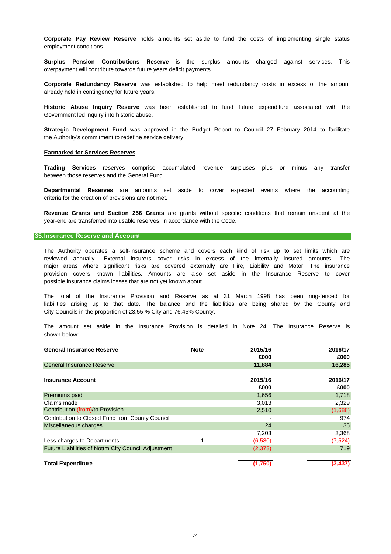employment conditions. **Corporate Pay Review Reserve** holds amounts set aside to fund the costs of implementing single status

**Surplus Pension Contributions Reserve** is the surplus amounts charged against services. This overpayment will contribute towards future years deficit payments.

already held in contingency for future years. **Corporate Redundancy Reserve** was established to help meet redundancy costs in excess of the amount

Government led inquiry into historic abuse. **Historic Abuse Inquiry Reserve** was been established to fund future expenditure associated with the

the Authority's commitment to redefine service delivery. **Strategic Development Fund** was approved in the Budget Report to Council 27 February 2014 to facilitate

#### **Earmarked for Services Reserves**

between those reserves and the General Fund. **Trading Services** reserves comprise accumulated revenue surpluses plus or minus any transfer

criteria for the creation of provisions are not met. **Departmental Reserves** are amounts set aside to cover expected events where the accounting

year-end are transferred into usable reserves, in accordance with the Code. **Revenue Grants and Section 256 Grants** are grants without specific conditions that remain unspent at the

#### **35.Insurance Reserve and Account**

possible insurance claims losses that are not yet known about. provision covers known liabilities. Amounts are also set aside in the Insurance Reserve to cover major areas where significant risks are covered externally are Fire, Liability and Motor. The insurance The Authority operates a self-insurance scheme and covers each kind of risk up to set limits which are reviewed annually. External insurers cover risks in excess of the internally insured amounts. The

City Councils in the proportion of 23.55 % City and 76.45% County. liabilities arising up to that date. The balance and the liabilities are being shared by the County and The total of the Insurance Provision and Reserve as at 31 March 1998 has been ring-fenced for

shown below: The amount set aside in the Insurance Provision is detailed in Note 24. The Insurance Reserve is

| <b>General Insurance Reserve</b>                           | <b>Note</b> | 2015/16         | 2016/17         |
|------------------------------------------------------------|-------------|-----------------|-----------------|
|                                                            |             | £000            | £000            |
| <b>General Insurance Reserve</b>                           |             | 11,884          | 16,285          |
| <b>Insurance Account</b>                                   |             | 2015/16<br>£000 | 2016/17<br>£000 |
| Premiums paid                                              |             | 1,656           | 1,718           |
| Claims made                                                |             | 3,013           | 2,329           |
| Contribution (from)/to Provision                           |             | 2,510           | (1,688)         |
| Contribution to Closed Fund from County Council            |             |                 | 974             |
| Miscellaneous charges                                      |             | 24              | 35              |
|                                                            |             | 7,203           | 3,368           |
| Less charges to Departments                                | 1           | (6,580)         | (7, 524)        |
| <b>Future Liabilities of Nottm City Council Adjustment</b> |             | (2, 373)        | 719             |
| <b>Total Expenditure</b>                                   |             | (1,750)         | (3, 437)        |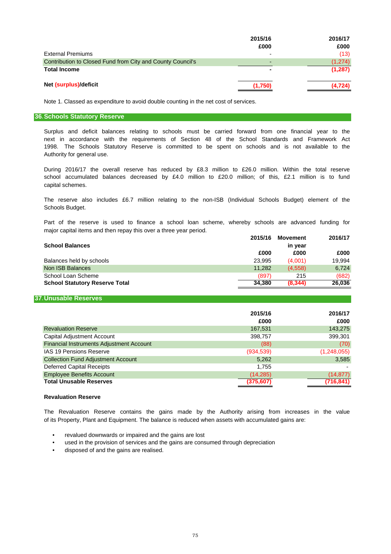|                                                            | 2015/16 | 2016/17  |
|------------------------------------------------------------|---------|----------|
|                                                            | £000    | £000     |
| <b>External Premiums</b>                                   | -       | (13)     |
| Contribution to Closed Fund from City and County Council's |         | (1,274)  |
| <b>Total Income</b>                                        |         | (1, 287) |
|                                                            |         |          |
| Net (surplus)/deficit                                      | (1,750) | (4, 724) |
|                                                            |         |          |

Note 1. Classed as expenditure to avoid double counting in the net cost of services.

#### **36.Schools Statutory Reserve**

Authority for general use. 1998. The Schools Statutory Reserve is committed to be spent on schools and is not available to the next in accordance with the requirements of Section 48 of the School Standards and Framework Act Surplus and deficit balances relating to schools must be carried forward from one financial year to the

During 2016/17 the overall reserve has reduced by £8.3 million to £26.0 million. Within the total reserve school accumulated balances decreased by £4.0 million to £20.0 million; of this, £2.1 million is to fund capital schemes.

Schools Budget. The reserve also includes £6.7 million relating to the non-ISB (Individual Schools Budget) element of the

major capital items and then repay this over a three year period. Part of the reserve is used to finance a school loan scheme, whereby schools are advanced funding for

| <b>School Balances</b>                | 2015/16 | <b>Movement</b><br>in year | 2016/17 |
|---------------------------------------|---------|----------------------------|---------|
|                                       | £000    | £000                       | £000    |
| Balances held by schools              | 23,995  | (4,001)                    | 19,994  |
| Non ISB Balances                      | 11.282  | (4.558)                    | 6.724   |
| School Loan Scheme                    | (897)   | 215                        | (682)   |
| <b>School Statutory Reserve Total</b> | 34.380  | (8.344)                    | 26,036  |

#### **37.Unusable Reserves**

|                                                 | 2015/16<br>£000 | 2016/17<br>£000 |
|-------------------------------------------------|-----------------|-----------------|
| <b>Revaluation Reserve</b>                      | 167,531         | 143,275         |
| <b>Capital Adjustment Account</b>               | 398,757         | 399,301         |
| <b>Financial Instruments Adjustment Account</b> | (88)            | (70)            |
| <b>IAS 19 Pensions Reserve</b>                  | (934, 539)      | (1,248,055)     |
| <b>Collection Fund Adjustment Account</b>       | 5,262           | 3,585           |
| <b>Deferred Capital Receipts</b>                | 1,755           |                 |
| <b>Employee Benefits Account</b>                | (14, 285)       | (14, 877)       |
| <b>Total Unusable Reserves</b>                  | (375, 607)      | (716,841)       |

#### **Revaluation Reserve**

The Revaluation Reserve contains the gains made by the Authority arising from increases in the value of its Property, Plant and Equipment. The balance is reduced when assets with accumulated gains are:

- revalued downwards or impaired and the gains are lost
- used in the provision of services and the gains are consumed through depreciation
- disposed of and the gains are realised.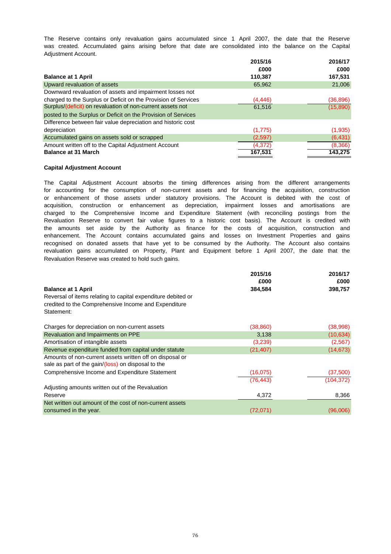was created. Accumulated gains arising before that date are consolidated into the balance on the Capital Adjustment Account. The Reserve contains only revaluation gains accumulated since 1 April 2007, the date that the Reserve

|                                                                | 2015/16  | 2016/17   |
|----------------------------------------------------------------|----------|-----------|
|                                                                | £000     | £000      |
| <b>Balance at 1 April</b>                                      | 110.387  | 167,531   |
| Upward revaluation of assets                                   | 65,962   | 21,006    |
| Downward revaluation of assets and impairment losses not       |          |           |
| charged to the Surplus or Deficit on the Provision of Services | (4, 446) | (36, 896) |
| Surplus/(deficit) on revaluation of non-current assets not     | 61,516   | (15,890)  |
| posted to the Surplus or Deficit on the Provision of Services  |          |           |
| Difference between fair value depreciation and historic cost   |          |           |
| depreciation                                                   | (1,775)  | (1,935)   |
| Accumulated gains on assets sold or scrapped                   | (2,597)  | (6, 431)  |
| Amount written off to the Capital Adjustment Account           | (4,372)  | (8,366)   |
| <b>Balance at 31 March</b>                                     | 167,531  | 143,275   |

#### **Capital Adjustment Account**

The Capital Adjustment Account absorbs the timing differences arising from the different arrangements revaluation gains accumulated on Property, Plant and Equipment before 1 April 2007, the date that the Revaluation Reserve was created to hold such gains. acquisition, construction or enhancement as depreciation, impairment losses and amortisations are charged to the Comprehensive Income and Expenditure Statement (with reconciling postings from the the amounts set aside by the Authority as finance for the costs of acquisition, construction and for accounting for the consumption of non-current assets and for financing the acquisition, construction enhancement. The Account contains accumulated gains and losses on Investment Properties and gains recognised on donated assets that have yet to be consumed by the Authority. The Account also contains Revaluation Reserve to convert fair value figures to a historic cost basis). The Account is credited with or enhancement of those assets under statutory provisions. The Account is debited with the cost of

|                                                                                                                | 2015/16   | 2016/17    |
|----------------------------------------------------------------------------------------------------------------|-----------|------------|
|                                                                                                                | £000      | £000       |
| <b>Balance at 1 April</b>                                                                                      | 384,584   | 398,757    |
| Reversal of items relating to capital expenditure debited or                                                   |           |            |
| credited to the Comprehensive Income and Expenditure                                                           |           |            |
| Statement:                                                                                                     |           |            |
| Charges for depreciation on non-current assets                                                                 | (38, 860) |            |
|                                                                                                                |           | (38,998)   |
| Revaluation and Impairments on PPE                                                                             | 3,138     | (10, 634)  |
| Amortisation of intangible assets                                                                              | (3,239)   | (2,567)    |
| Revenue expenditure funded from capital under statute                                                          | (21, 407) | (14, 673)  |
| Amounts of non-current assets written off on disposal or<br>sale as part of the gain/(loss) on disposal to the |           |            |
| Comprehensive Income and Expenditure Statement                                                                 | (16, 075) | (37,500)   |
|                                                                                                                | (76, 443) | (104, 372) |
| Adjusting amounts written out of the Revaluation                                                               |           |            |
| Reserve                                                                                                        | 4,372     | 8,366      |
| Net written out amount of the cost of non-current assets                                                       |           |            |
| consumed in the year.                                                                                          | (72,071)  | (96,006)   |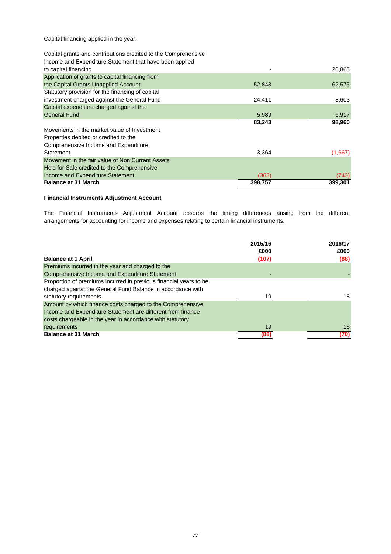Capital financing applied in the year:

## Capital grants and contributions credited to the Comprehensive

## Income and Expenditure Statement that have been applied

| to capital financing                             |         | 20,865  |
|--------------------------------------------------|---------|---------|
| Application of grants to capital financing from  |         |         |
| the Capital Grants Unapplied Account             | 52,843  | 62,575  |
| Statutory provision for the financing of capital |         |         |
| investment charged against the General Fund      | 24,411  | 8,603   |
| Capital expenditure charged against the          |         |         |
| <b>General Fund</b>                              | 5,989   | 6,917   |
|                                                  | 83,243  | 98,960  |
| Movements in the market value of Investment      |         |         |
| Properties debited or credited to the            |         |         |
| Comprehensive Income and Expenditure             |         |         |
| Statement                                        | 3.364   | (1,667) |
| Movement in the fair value of Non Current Assets |         |         |
| Held for Sale credited to the Comprehensive      |         |         |
| Income and Expenditure Statement                 | (363)   | (743)   |
| <b>Balance at 31 March</b>                       | 398,757 | 399,301 |

## **Financial Instruments Adjustment Account**

arrangements for accounting for income and expenses relating to certain financial instruments. The Financial Instruments Adjustment Account absorbs the timing differences arising from the different

|                                                                   | 2015/16<br>£000 | 2016/17<br>£000 |
|-------------------------------------------------------------------|-----------------|-----------------|
| <b>Balance at 1 April</b>                                         | (107)           | (88)            |
| Premiums incurred in the year and charged to the                  |                 |                 |
| Comprehensive Income and Expenditure Statement                    |                 |                 |
| Proportion of premiums incurred in previous financial years to be |                 |                 |
| charged against the General Fund Balance in accordance with       |                 |                 |
| statutory requirements                                            | 19              | 18              |
| Amount by which finance costs charged to the Comprehensive        |                 |                 |
| Income and Expenditure Statement are different from finance       |                 |                 |
| costs chargeable in the year in accordance with statutory         |                 |                 |
| requirements                                                      | 19              | 18              |
| <b>Balance at 31 March</b>                                        | (88)            | (70)            |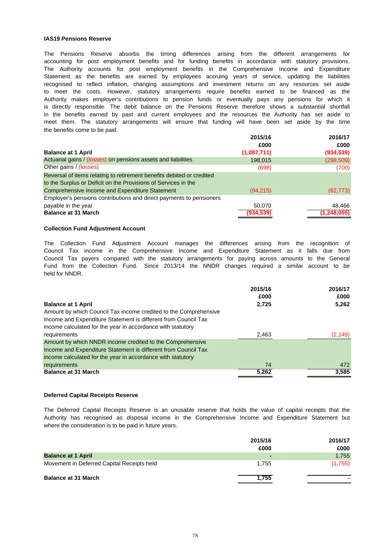#### **IAS19 Pensions Reserve**

the benefits come to be paid. in the benefits earned by past and current employees and the resources the Authority has set aside to The Pensions Reserve absorbs the timing differences arising from the different arrangements for accounting for post employment benefits and for funding benefits in accordance with statutory provisions. The Authority accounts for post employment benefits in the Comprehensive Income and Expenditure Statement as the benefits are earned by employees accruing years of service, updating the liabilities is directly responsible. The debit balance on the Pensions Reserve therefore shows a substantial shortfall recognised to reflect inflation, changing assumptions and investment returns on any resources set aside to meet the costs. However, statutory arrangements require benefits earned to be financed as the meet them. The statutory arrangements will ensure that funding will have been set aside by the time Authority makes employer's contributions to pension funds or eventually pays any pensions for which it

|                                                                       | 2015/16     | 2016/17       |
|-----------------------------------------------------------------------|-------------|---------------|
|                                                                       | £000        | £000          |
| <b>Balance at 1 April</b>                                             | (1,087,711) | (934, 539)    |
| Actuarial gains / (losses) on pensions assets and liabilities         | 198.015     | (298, 509)    |
| Other gains / (losses)                                                | (698)       | (700)         |
| Reversal of items relating to retirement benefits debited or credited |             |               |
| to the Surplus or Deficit on the Provisions of Services in the        |             |               |
| Comprehensive Income and Expenditure Statement                        | (94, 215)   | (62, 773)     |
| Employer's pensions contributions and direct payments to pensioners   |             |               |
| payable in the year                                                   | 50.070      | 48.466        |
| <b>Balance at 31 March</b>                                            | (934, 539)  | (1, 248, 055) |

#### **Collection Fund Adjustment Account**

Fund from the Collection Fund. Since 2013/14 the NNDR changes required a similar account to be held for NNDR. Council Tax income in the Comprehensive Income and Expenditure Statement as it falls due from Council Tax payers compared with the statutory arrangements for paying across amounts to the General The Collection Fund Adjustment Account manages the differences arising from the recognition of

|                                                                  | 2015/16 | 2016/17  |
|------------------------------------------------------------------|---------|----------|
|                                                                  | £000    | £000     |
| <b>Balance at 1 April</b>                                        | 2,725   | 5,262    |
| Amount by which Council Tax income credited to the Comprehensive |         |          |
| Income and Expenditure Statement is different from Council Tax   |         |          |
| income calculated for the year in accordance with statutory      |         |          |
| requirements                                                     | 2,463   | (2, 149) |
| Amount by which NNDR income credited to the Comprehensive        |         |          |
| Income and Expenditure Statement is different from Council Tax   |         |          |
| income calculated for the year in accordance with statutory      |         |          |
| requirements                                                     | 74      | 472      |
| <b>Balance at 31 March</b>                                       | 5,262   | 3,585    |

#### **Deferred Capital Receipts Reserve**

where the consideration is to be paid in future years. The Deferred Capital Receipts Reserve is an unusable reserve that holds the value of capital receipts that the Authority has recognised as disposal income in the Comprehensive Income and Expenditure Statement but

|                                            | 2015/16 | 2016/17 |
|--------------------------------------------|---------|---------|
|                                            | £000    | £000    |
| <b>Balance at 1 April</b>                  |         | 1,755   |
| Movement in Deferred Capital Receipts held | 1.755   | (1,755) |
| <b>Balance at 31 March</b>                 | 1.755   |         |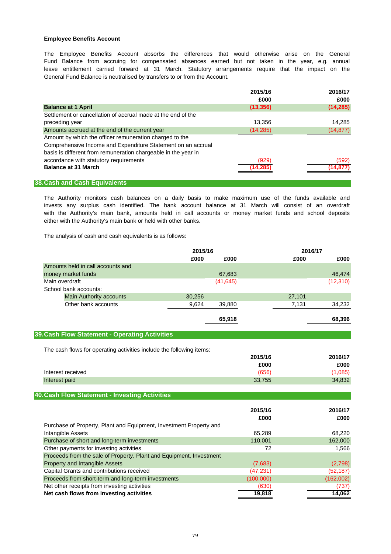#### **Employee Benefits Account**

General Fund Balance is neutralised by transfers to or from the Account. Fund Balance from accruing for compensated absences earned but not taken in the year, e.g. annual leave entitlement carried forward at 31 March. Statutory arrangements require that the impact on the The Employee Benefits Account absorbs the differences that would otherwise arise on the General

|                                                                                                                                                                                           | 2015/16           | 2016/17            |
|-------------------------------------------------------------------------------------------------------------------------------------------------------------------------------------------|-------------------|--------------------|
|                                                                                                                                                                                           | £000              | £000               |
| <b>Balance at 1 April</b>                                                                                                                                                                 | (13, 356)         | (14, 285)          |
| Settlement or cancellation of accrual made at the end of the                                                                                                                              |                   |                    |
| preceding year                                                                                                                                                                            | 13,356            | 14,285             |
| Amounts accrued at the end of the current year                                                                                                                                            | (14, 285)         | (14, 877)          |
| Amount by which the officer remuneration charged to the<br>Comprehensive Income and Expenditure Statement on an accrual<br>basis is different from remuneration chargeable in the year in |                   |                    |
| accordance with statutory requirements<br><b>Balance at 31 March</b>                                                                                                                      | (929)<br>(14,285) | (592)<br>(14, 877) |

#### **38.Cash and Cash Equivalents**

with the Authority's main bank, amounts held in call accounts or money market funds and school deposits invests any surplus cash identified. The bank account balance at 31 March will consist of an overdraft either with the Authority's main bank or held with other banks. The Authority monitors cash balances on a daily basis to make maximum use of the funds available and

The analysis of cash and cash equivalents is as follows:

|                                                                      | 2015/16         |           | 2016/17 |           |
|----------------------------------------------------------------------|-----------------|-----------|---------|-----------|
|                                                                      | £000<br>£000    |           | £000    | £000      |
| Amounts held in call accounts and                                    |                 |           |         |           |
| money market funds                                                   | 67,683          |           |         | 46,474    |
| Main overdraft                                                       | (41, 645)       |           |         | (12, 310) |
| School bank accounts:                                                |                 |           |         |           |
| <b>Main Authority accounts</b>                                       | 30,256          |           | 27,101  |           |
| Other bank accounts                                                  | 9,624<br>39,880 |           | 7,131   | 34,232    |
|                                                                      | 65,918          |           |         | 68,396    |
| 39. Cash Flow Statement - Operating Activities                       |                 |           |         |           |
| The cash flows for operating activities include the following items: |                 |           |         |           |
|                                                                      |                 | 2015/16   |         | 2016/17   |
|                                                                      |                 | £000      |         | £000      |
| Interest received                                                    |                 | (656)     |         | (1,085)   |
| Interest paid                                                        |                 | 33,755    |         | 34,832    |
| 40. Cash Flow Statement - Investing Activities                       |                 |           |         |           |
|                                                                      |                 |           |         |           |
|                                                                      |                 | 2015/16   |         | 2016/17   |
|                                                                      |                 | £000      |         | £000      |
| Purchase of Property, Plant and Equipment, Investment Property and   |                 |           |         |           |
| Intangible Assets                                                    |                 | 65,289    |         | 68,220    |
| Purchase of short and long-term investments                          |                 | 110,001   |         | 162,000   |
| Other payments for investing activities                              |                 | 72        |         | 1,566     |
| Proceeds from the sale of Property, Plant and Equipment, Investment  |                 |           |         |           |
| Property and Intangible Assets                                       |                 | (7,683)   |         | (2,798)   |
| Capital Grants and contributions received                            |                 | (47, 231) |         | (52, 187) |
| Proceeds from short-term and long-term investments                   |                 | (100,000) |         | (162,002) |
| Net other receipts from investing activities                         |                 | (630)     |         | (737)     |
| Net cash flows from investing activities                             |                 | 19,818    |         | 14,062    |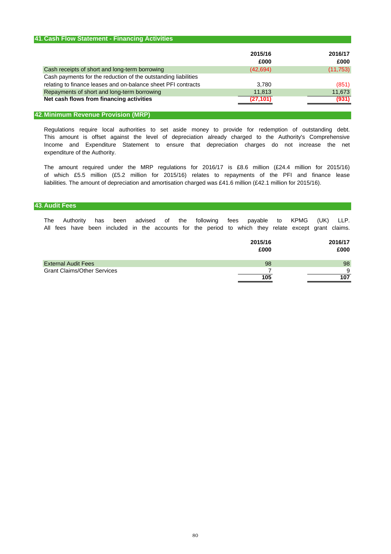| 41. Cash Flow Statement - Financing Activities                                                                                  |                 |                 |
|---------------------------------------------------------------------------------------------------------------------------------|-----------------|-----------------|
|                                                                                                                                 | 2015/16<br>£000 | 2016/17<br>£000 |
| Cash receipts of short and long-term borrowing                                                                                  | (42, 694)       | (11, 753)       |
| Cash payments for the reduction of the outstanding liabilities<br>relating to finance leases and on-balance sheet PFI contracts | 3.780           | (851)           |
| Repayments of short and long-term borrowing                                                                                     | 11,813          | 11,673          |
| Net cash flows from financing activities                                                                                        | (27,101)        | (931)           |

## **42.Minimum Revenue Provision (MRP)**

Regulations require local authorities to set aside money to provide for redemption of outstanding debt. This amount is offset against the level of depreciation already charged to the Authority's Comprehensive Income and Expenditure Statement to ensure that depreciation charges do not increase the net expenditure of the Authority.

liabilities. The amount of depreciation and amortisation charged was £41.6 million (£42.1 million for 2015/16). The amount required under the MRP regulations for 2016/17 is £8.6 million (£24.4 million for 2015/16) of which £5.5 million (£5.2 million for 2015/16) relates to repayments of the PFI and finance lease

#### **43.Audit Fees**

The Authority has been advised of the following fees payable to KPMG (UK) LLP. All fees have been included in the accounts for the period to which they relate except grant claims.

|                                    | 2015/16<br>£000 | 2016/17<br>£000 |
|------------------------------------|-----------------|-----------------|
| <b>External Audit Fees</b>         | 98              | 98              |
| <b>Grant Claims/Other Services</b> |                 | 9               |
|                                    | 105             | 107             |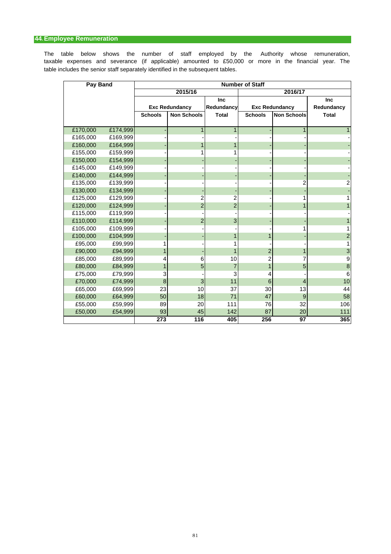## **44.Employee Remuneration**

table includes the senior staff separately identified in the subsequent tables. taxable expenses and severance (if applicable) amounted to £50,000 or more in the financial year. The The table below shows the number of staff employed by the Authority whose remuneration,

| Pay Band |          | <b>Number of Staff</b> |                       |                |                |                       |                  |  |  |
|----------|----------|------------------------|-----------------------|----------------|----------------|-----------------------|------------------|--|--|
|          |          |                        | 2015/16               |                |                | 2016/17               |                  |  |  |
|          |          |                        |                       | Inc            |                |                       | Inc              |  |  |
|          |          |                        | <b>Exc Redundancy</b> | Redundancy     |                | <b>Exc Redundancy</b> | Redundancy       |  |  |
|          |          | <b>Schools</b>         | <b>Non Schools</b>    | <b>Total</b>   | <b>Schools</b> | <b>Non Schools</b>    | <b>Total</b>     |  |  |
|          |          |                        |                       |                |                |                       |                  |  |  |
| £170,000 | £174,999 |                        | 1                     | 1              |                | 1                     |                  |  |  |
| £165,000 | £169,999 |                        |                       |                |                |                       |                  |  |  |
| £160,000 | £164,999 |                        |                       |                |                |                       |                  |  |  |
| £155,000 | £159,999 |                        |                       |                |                |                       |                  |  |  |
| £150,000 | £154,999 |                        |                       |                |                |                       |                  |  |  |
| £145,000 | £149,999 |                        |                       |                |                |                       |                  |  |  |
| £140,000 | £144,999 |                        |                       |                |                |                       |                  |  |  |
| £135,000 | £139,999 |                        |                       |                |                | 2                     | 2                |  |  |
| £130,000 | £134,999 |                        |                       |                |                |                       |                  |  |  |
| £125,000 | £129,999 |                        | 2                     | 2              |                | 1                     |                  |  |  |
| £120,000 | £124,999 |                        | $\overline{2}$        | $\overline{c}$ |                | 1                     |                  |  |  |
| £115,000 | £119,999 |                        |                       |                |                |                       |                  |  |  |
| £110,000 | £114,999 |                        | $\overline{2}$        | 3              |                |                       |                  |  |  |
| £105,000 | £109,999 |                        |                       |                |                |                       |                  |  |  |
| £100,000 | £104,999 |                        |                       |                |                |                       | $\overline{2}$   |  |  |
| £95,000  | £99,999  |                        |                       |                |                |                       |                  |  |  |
| £90,000  | £94,999  | 1                      |                       |                | $\overline{2}$ | 1                     | 3                |  |  |
| £85,000  | £89,999  | 4                      | 6                     | 10             | 2              | 7                     | 9                |  |  |
| £80,000  | £84,999  | 1                      | 5                     | $\overline{7}$ |                | 5                     | $\boldsymbol{8}$ |  |  |
| £75,000  | £79,999  | 3                      |                       | 3              | 4              |                       | 6                |  |  |
| £70,000  | £74,999  | 8                      | 3                     | 11             | 6              | 4                     | 10               |  |  |
| £65,000  | £69,999  | 23                     | 10                    | 37             | 30             | 13                    | 44               |  |  |
| £60,000  | £64,999  | 50                     | 18                    | 71             | 47             | 9                     | 58               |  |  |
| £55,000  | £59,999  | 89                     | 20                    | 111            | 76             | 32                    | 106              |  |  |
| £50,000  | £54,999  | 93                     | 45                    | 142            | 87             | 20                    | 111              |  |  |
|          |          | 273                    | 116                   | 405            | 256            | 97                    | 365              |  |  |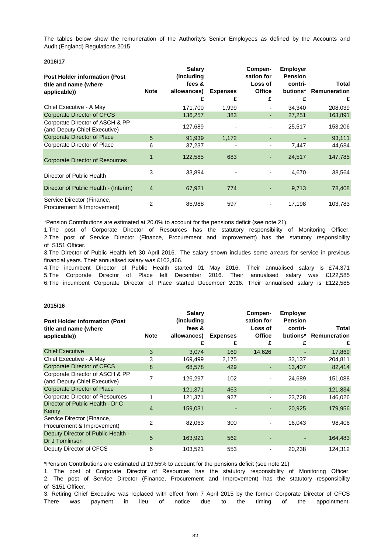The tables below show the remuneration of the Authority's Senior Employees as defined by the Accounts and Audit (England) Regulations 2015.

#### **2016/17**

| <b>Post Holder information (Post</b><br>title and name (where<br>applicable)) | <b>Note</b>    | <b>Salary</b><br>(including<br>fees &<br>allowances)<br>£ | <b>Expenses</b><br>£ | Compen-<br>sation for<br>Loss of<br><b>Office</b><br>£ | <b>Employer</b><br><b>Pension</b><br>contri-<br>butions*<br>£ | Total<br>Remuneration<br>£ |
|-------------------------------------------------------------------------------|----------------|-----------------------------------------------------------|----------------------|--------------------------------------------------------|---------------------------------------------------------------|----------------------------|
| Chief Executive - A May                                                       |                | 171,700                                                   | 1,999                |                                                        | 34,340                                                        | 208,039                    |
| Corporate Director of CFCS                                                    |                | 136,257                                                   | 383                  | ٠                                                      | 27,251                                                        | 163,891                    |
| Corporate Director of ASCH & PP<br>(and Deputy Chief Executive)               |                | 127,689                                                   |                      | -                                                      | 25,517                                                        | 153,206                    |
| <b>Corporate Director of Place</b>                                            | 5              | 91,939                                                    | 1,172                | ٠                                                      |                                                               | 93,111                     |
| Corporate Director of Place                                                   | 6              | 37,237                                                    |                      | ۰                                                      | 7,447                                                         | 44,684                     |
| <b>Corporate Director of Resources</b>                                        |                | 122,585                                                   | 683                  | ۰                                                      | 24,517                                                        | 147,785                    |
| Director of Public Health                                                     | 3              | 33,894                                                    |                      |                                                        | 4,670                                                         | 38,564                     |
| Director of Public Health - (Interim)                                         | $\overline{4}$ | 67,921                                                    | 774                  |                                                        | 9,713                                                         | 78,408                     |
| Service Director (Finance,<br>Procurement & Improvement)                      | 2              | 85,988                                                    | 597                  | ۰.                                                     | 17,198                                                        | 103,783                    |

\*Pension Contributions are estimated at 20.0% to account for the pensions deficit (see note 21).

2.The post of Service Director (Finance, Procurement and Improvement) has the statutory responsibility 1.The post of Corporate Director of Resources has the statutory responsibility of Monitoring Officer. of S151 Officer.

3.The Director of Public Health left 30 April 2016. The salary shown includes some arrears for service in previous financial years. Their annualised salary was £102,466.

4.The incumbent Director of Public Health started 01 May 2016. Their annualised salary is £74,371 5.The Corporate Director of Place left December 2016. Their annualised salary was £122,585 6.The incumbent Corporate Director of Place started December 2016. Their annualised salary is £122,585

#### **2015/16**

| <b>Post Holder information (Post</b><br>title and name (where<br>applicable)) | <b>Note</b> | <b>Salary</b><br>(including<br>fees &<br>allowances)<br>£ | <b>Expenses</b><br>£ | Compen-<br>sation for<br>Loss of<br><b>Office</b><br>£ | <b>Employer</b><br><b>Pension</b><br>contri-<br>£ | Total<br>butions* Remuneration<br>£ |
|-------------------------------------------------------------------------------|-------------|-----------------------------------------------------------|----------------------|--------------------------------------------------------|---------------------------------------------------|-------------------------------------|
| <b>Chief Executive</b>                                                        | 3           | 3,074                                                     | 169                  | 14,626                                                 |                                                   | 17,869                              |
| Chief Executive - A May                                                       | 3           | 169,499                                                   | 2,175                |                                                        | 33,137                                            | 204,811                             |
| <b>Corporate Director of CFCS</b>                                             | 8           | 68,578                                                    | 429                  | ٠                                                      | 13,407                                            | 82,414                              |
| Corporate Director of ASCH & PP<br>(and Deputy Chief Executive)               | 7           | 126,297                                                   | 102                  |                                                        | 24,689                                            | 151,088                             |
| <b>Corporate Director of Place</b>                                            |             | 121,371                                                   | 463                  | ٠                                                      |                                                   | 121,834                             |
| Corporate Director of Resources                                               |             | 121,371                                                   | 927                  |                                                        | 23,728                                            | 146,026                             |
| Director of Public Health - Dr C<br>Kenny                                     | 4           | 159,031                                                   |                      |                                                        | 20,925                                            | 179,956                             |
| Service Director (Finance,<br>Procurement & Improvement)                      | 2           | 82,063                                                    | 300                  |                                                        | 16,043                                            | 98,406                              |
| Deputy Director of Public Health -<br>Dr J Tomlinson                          | 5           | 163,921                                                   | 562                  |                                                        |                                                   | 164,483                             |
| Deputy Director of CFCS                                                       | 6           | 103,521                                                   | 553                  |                                                        | 20,238                                            | 124,312                             |

\*Pension Contributions are estimated at 19.55% to account for the pensions deficit (see note 21)

1. The post of Corporate Director of Resources has the statutory responsibility of Monitoring Officer. 2. The post of Service Director (Finance, Procurement and Improvement) has the statutory responsibility of S151 Officer.

There was payment in lieu of notice due to the timing of the appointment. 3. Retiring Chief Executive was replaced with effect from 7 April 2015 by the former Corporate Director of CFCS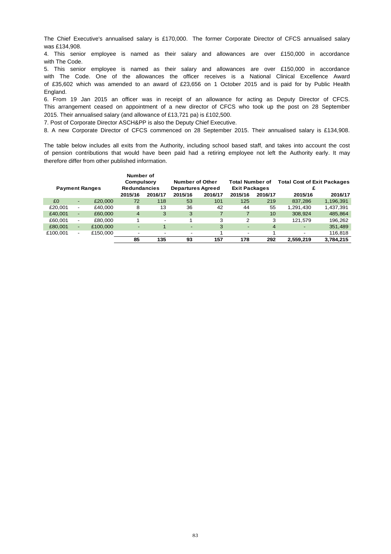The Chief Executive's annualised salary is £170,000. The former Corporate Director of CFCS annualised salary was £134,908.

4. This senior employee is named as their salary and allowances are over £150,000 in accordance with The Code.

5. This senior employee is named as their salary and allowances are over £150,000 in accordance with The Code. One of the allowances the officer receives is a National Clinical Excellence Award of £35,602 which was amended to an award of £23,656 on 1 October 2015 and is paid for by Public Health England.

2015. Their annualised salary (and allowance of £13,721 pa) is £102,500. 6. From 19 Jan 2015 an officer was in receipt of an allowance for acting as Deputy Director of CFCS. This arrangement ceased on appointment of a new director of CFCS who took up the post on 28 September

7. Post of Corporate Director ASCH&PP is also the Deputy Chief Executive.

8. A new Corporate Director of CFCS commenced on 28 September 2015. Their annualised salary is £134,908.

therefore differ from other published information. of pension contributions that would have been paid had a retiring employee not left the Authority early. It may The table below includes all exits from the Authority, including school based staff, and takes into account the cost

| <b>Payment Ranges</b> |                          |          | Number of<br>Compulsory<br><b>Redundancies</b><br>2015/16 | 2016/17                  | 2015/16                  | Number of Other<br><b>Departures Agreed</b><br>2016/17 | <b>Total Number of</b><br><b>Exit Packages</b><br>2015/16 | 2016/17 | <b>Total Cost of Exit Packages</b><br>2015/16 | 2016/17   |
|-----------------------|--------------------------|----------|-----------------------------------------------------------|--------------------------|--------------------------|--------------------------------------------------------|-----------------------------------------------------------|---------|-----------------------------------------------|-----------|
| £0                    | ٠                        | £20,000  | 72                                                        | 118                      | 53                       | 101                                                    | 125                                                       | 219     | 837,286                                       | 1,196,391 |
| £20.001               | $\overline{\phantom{a}}$ | £40.000  | 8                                                         | 13                       | 36                       | 42                                                     | 44                                                        | 55      | 1.291.430                                     | 1,437,391 |
| £40,001               | ٠                        | £60,000  | $\overline{4}$                                            | 3                        | 3                        |                                                        |                                                           | 10      | 308.924                                       | 485,864   |
| £60,001               | $\overline{\phantom{a}}$ | £80,000  |                                                           | $\overline{\phantom{a}}$ |                          | 3                                                      | 2                                                         | 3       | 121.579                                       | 196,262   |
| £80,001               | ۰                        | £100,000 | $\overline{\phantom{0}}$                                  |                          |                          | 3                                                      |                                                           | 4       |                                               | 351,489   |
| £100.001              | $\overline{\phantom{0}}$ | £150,000 | $\overline{\phantom{0}}$                                  | $\overline{\phantom{a}}$ | $\overline{\phantom{0}}$ |                                                        | -                                                         |         | $\overline{\phantom{a}}$                      | 116,818   |
|                       |                          |          | 85                                                        | 135                      | 93                       | 157                                                    | 178                                                       | 292     | 2,559,219                                     | 3,784,215 |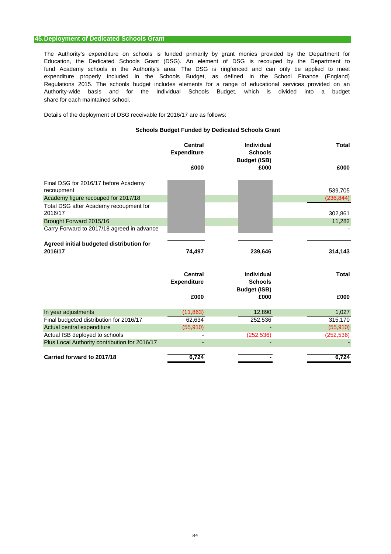#### **45.Deployment of Dedicated Schools Grant**

expenditure properly included in the Schools Budget, as defined in the School Finance (England) fund Academy schools in the Authority's area. The DSG is ringfenced and can only be applied to meet share for each maintained school. Regulations 2015. The schools budget includes elements for a range of educational services provided on an The Authority's expenditure on schools is funded primarily by grant monies provided by the Department for Education, the Dedicated Schools Grant (DSG). An element of DSG is recouped by the Department to Authority-wide basis and for the Individual Schools Budget, which is divided into a budget

Details of the deployment of DSG receivable for 2016/17 are as follows:

#### **Schools Budget Funded by Dedicated Schools Grant**

|                                                     | <b>Central</b><br><b>Expenditure</b> | <b>Individual</b><br><b>Schools</b><br><b>Budget (ISB)</b> | <b>Total</b> |
|-----------------------------------------------------|--------------------------------------|------------------------------------------------------------|--------------|
|                                                     | £000                                 | £000                                                       | £000         |
| Final DSG for 2016/17 before Academy                |                                      |                                                            |              |
| recoupment                                          |                                      |                                                            | 539,705      |
| Academy figure recouped for 2017/18                 |                                      |                                                            | (236, 844)   |
| Total DSG after Academy recoupment for<br>2016/17   |                                      |                                                            | 302,861      |
| Brought Forward 2015/16                             |                                      |                                                            | 11,282       |
| Carry Forward to 2017/18 agreed in advance          |                                      |                                                            |              |
|                                                     |                                      |                                                            |              |
| Agreed initial budgeted distribution for<br>2016/17 | 74,497                               | 239,646                                                    | 314,143      |
|                                                     | <b>Central</b>                       | <b>Individual</b>                                          | <b>Total</b> |
|                                                     | <b>Expenditure</b>                   | <b>Schools</b><br><b>Budget (ISB)</b>                      |              |
|                                                     | £000                                 | £000                                                       | £000         |
| In year adjustments                                 | (11, 863)                            | 12,890                                                     | 1,027        |
| Final budgeted distribution for 2016/17             | 62,634                               | 252,536                                                    | 315,170      |
| Actual central expenditure                          | (55, 910)                            |                                                            | (55, 910)    |
| Actual ISB deployed to schools                      |                                      | (252, 536)                                                 | (252, 536)   |
| Plus Local Authority contribution for 2016/17       |                                      |                                                            |              |
| Carried forward to 2017/18                          | 6,724                                |                                                            | 6,724        |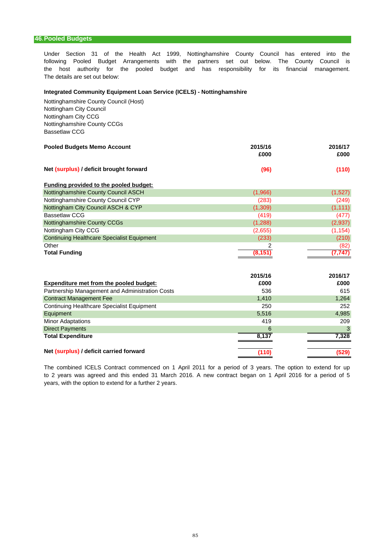#### **46.Pooled Budgets**

Under Section 31 of the Health Act 1999, Nottinghamshire County Council has entered into the the host authority for the pooled budget and has responsibility for its financial management. following Pooled Budget Arrangements with the partners set out below. The County Council is The details are set out below:

#### **Integrated Community Equipment Loan Service (ICELS) - Nottinghamshire**

Nottinghamshire County Council (Host) Nottingham City Council Nottingham City CCG Nottinghamshire County CCGs Bassetlaw CCG

| <b>Pooled Budgets Memo Account</b>      | 2015/16<br>£000 | 2016/17<br>£000 |  |
|-----------------------------------------|-----------------|-----------------|--|
| Net (surplus) / deficit brought forward | (96)            | (110)           |  |

| <b>Funding provided to the pooled budget:</b>     |         |          |
|---------------------------------------------------|---------|----------|
| Nottinghamshire County Council ASCH               | (1,966) | (1,527)  |
| Nottinghamshire County Council CYP                | (283)   | (249)    |
| Nottingham City Council ASCH & CYP                | (1,309) | (1, 111) |
| <b>Bassetlaw CCG</b>                              | (419)   | (477)    |
| Nottinghamshire County CCGs                       | (1,288) | (2,937)  |
| Nottingham City CCG                               | (2,655) | (1, 154) |
| <b>Continuing Healthcare Specialist Equipment</b> | (233)   | (210)    |
| Other                                             | ົ       | (82)     |
| <b>Total Funding</b>                              | (8.151  | (7, 747) |

|                                                 | 2015/16 | 2016/17 |
|-------------------------------------------------|---------|---------|
| Expenditure met from the pooled budget:         | £000    | £000    |
| Partnership Management and Administration Costs | 536     | 615     |
| <b>Contract Management Fee</b>                  | 1,410   | 1,264   |
| Continuing Healthcare Specialist Equipment      | 250     | 252     |
| Equipment                                       | 5,516   | 4,985   |
| <b>Minor Adaptations</b>                        | 419     | 209     |
| <b>Direct Payments</b>                          | 6       | 3       |
| <b>Total Expenditure</b>                        | 8,137   | 7,328   |
|                                                 |         |         |
| Net (surplus) / deficit carried forward         | (110)   | (529)   |

years, with the option to extend for a further 2 years. The combined ICELS Contract commenced on 1 April 2011 for a period of 3 years. The option to extend for up to 2 years was agreed and this ended 31 March 2016. A new contract began on 1 April 2016 for a period of 5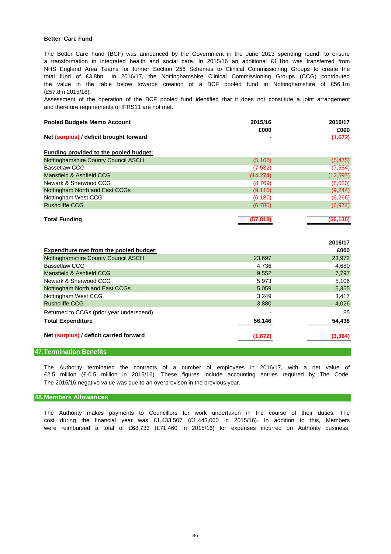#### **Better Care Fund**

the value in the table below towards creation of a BCF pooled fund in Nottinghamshire of £56.1m NHS England Area Teams for former Section 256 Schemes to Clinical Commissioning Groups to create the The Better Care Fund (BCF) was announced by the Government in the June 2013 spending round, to ensure total fund of £3.8bn. In 2016/17, the Nottinghamshire Clinical Commissioning Groups (CCG) contributed a transformation in integrated health and social care. In 2015/16 an additional £1.1bn was transferred from (£57.8m 2015/16).

and therefore requirements of IFRS11 are not met. Assessment of the operation of the BCF pooled fund identified that it does not constitute a joint arrangement

| <b>Pooled Budgets Memo Account</b>             | 2015/16<br>£000 | 2016/17<br>£000 |
|------------------------------------------------|-----------------|-----------------|
| Net (surplus) / deficit brought forward        |                 | (1,672)         |
| Funding provided to the pooled budget:         |                 |                 |
| Nottinghamshire County Council ASCH            | (5, 168)        | (5, 475)        |
| <b>Bassetlaw CCG</b>                           | (7, 532)        | (7, 554)        |
| Mansfield & Ashfield CCG                       | (14, 274)       | (12, 597)       |
| Newark & Sherwood CCG                          | (8,769)         | (8,020)         |
| Nottingham North and East CCGs                 | (9, 115)        | (9, 244)        |
| Nottingham West CCG                            | (6, 180)        | (6, 266)        |
| <b>Rushcliffe CCG</b>                          | (6,780)         | (6, 974)        |
| <b>Total Funding</b>                           | (57, 818)       | (56, 130)       |
|                                                |                 |                 |
|                                                |                 |                 |
|                                                |                 | 2016/17         |
| <b>Expenditure met from the pooled budget:</b> |                 | £000            |
| Nottinghamshire County Council ASCH            | 23,697          | 23,972          |
| <b>Bassetlaw CCG</b>                           | 4,736           | 4,680           |
| Mansfield & Ashfield CCG                       | 9,552           | 7,797           |
| Newark & Sherwood CCG                          | 5,973           | 5,106           |
| Nottingham North and East CCGs                 | 5,059           | 5,355           |
| Nottingham West CCG                            | 3,249           | 3,417           |
| <b>Rushcliffe CCG</b>                          | 3,880           | 4,026           |
| Returned to CCGs (prior year underspend)       |                 | 85              |
| <b>Total Expenditure</b>                       | 56,146          | 54,438          |

#### **47.Termination Benefits**

The 2015/16 negative value was due to an overprovison in the previous year. £2.5 million (£-0.5 million in 2015/16). These figures include accounting entries required by The Code. The Authority terminated the contracts of a number of employees in 2016/17, with a net value of

#### **48.Members Allowances**

cost during the financial year was £1,433,507 (£1,443,060 in 2015/16). In addition to this, Members were reimbursed a total of £68,733 (£71,460 in 2015/16) for expenses incurred on Authority business. The Authority makes payments to Councillors for work undertaken in the course of their duties. The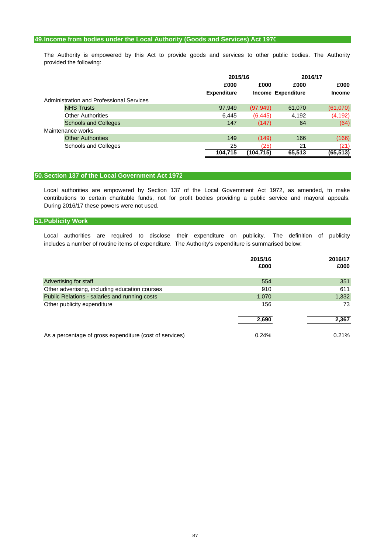## **49.Income from bodies under the Local Authority (Goods and Services) Act 1970**

provided the following: The Authority is empowered by this Act to provide goods and services to other public bodies. The Authority

|                   |                                          |                    | 2015/16   |                           | 2016/17       |
|-------------------|------------------------------------------|--------------------|-----------|---------------------------|---------------|
|                   |                                          | £000               | £000      | £000                      | £000          |
|                   |                                          | <b>Expenditure</b> |           | <b>Income Expenditure</b> | <b>Income</b> |
|                   | Administration and Professional Services |                    |           |                           |               |
|                   | <b>NHS Trusts</b>                        | 97,949             | (97, 949) | 61,070                    | (61,070)      |
|                   | <b>Other Authorities</b>                 | 6,445              | (6, 445)  | 4,192                     | (4, 192)      |
|                   | <b>Schools and Colleges</b>              | 147                | (147)     | 64                        | (64)          |
| Maintenance works |                                          |                    |           |                           |               |
|                   | <b>Other Authorities</b>                 | 149                | (149)     | 166                       | (166)         |
|                   | <b>Schools and Colleges</b>              | 25                 | (25)      | 21                        | (21)          |
|                   |                                          | 104,715            | (104,715) | 65,513                    | (65, 513)     |

#### **50.Section 137 of the Local Government Act 1972**

During 2016/17 these powers were not used. contributions to certain charitable funds, not for profit bodies providing a public service and mayoral appeals. Local authorities are empowered by Section 137 of the Local Government Act 1972, as amended, to make

#### **51.Publicity Work**

Local authorities are required to disclose their expenditure on publicity. The definition of publicity includes a number of routine items of expenditure. The Authority's expenditure is summarised below:

|                                                         | 2015/16<br>£000 | 2016/17<br>£000 |
|---------------------------------------------------------|-----------------|-----------------|
| Advertising for staff                                   | 554             | 351             |
| Other advertising, including education courses          | 910             | 611             |
| Public Relations - salaries and running costs           | 1,070           | 1,332           |
| Other publicity expenditure                             | 156             | 73              |
|                                                         | 2,690           | 2,367           |
| As a percentage of gross expenditure (cost of services) | 0.24%           | 0.21%           |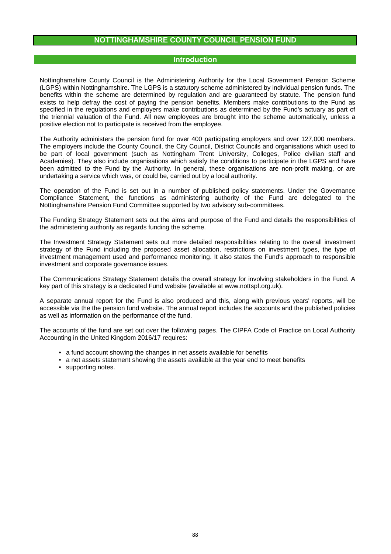## **NOTTINGHAMSHIRE COUNTY COUNCIL PENSION FUND**

## **Introduction**

Nottinghamshire County Council is the Administering Authority for the Local Government Pension Scheme (LGPS) within Nottinghamshire. The LGPS is a statutory scheme administered by individual pension funds. The benefits within the scheme are determined by regulation and are guaranteed by statute. The pension fund exists to help defray the cost of paying the pension benefits. Members make contributions to the Fund as specified in the regulations and employers make contributions as determined by the Fund's actuary as part of the triennial valuation of the Fund. All new employees are brought into the scheme automatically, unless a positive election not to participate is received from the employee.

The Authority administers the pension fund for over 400 participating employers and over 127,000 members. The employers include the County Council, the City Council, District Councils and organisations which used to be part of local government (such as Nottingham Trent University, Colleges, Police civilian staff and Academies). They also include organisations which satisfy the conditions to participate in the LGPS and have been admitted to the Fund by the Authority. In general, these organisations are non-profit making, or are undertaking a service which was, or could be, carried out by a local authority.

The operation of the Fund is set out in a number of published policy statements. Under the Governance Compliance Statement, the functions as administering authority of the Fund are delegated to the Nottinghamshire Pension Fund Committee supported by two advisory sub-committees.

The Funding Strategy Statement sets out the aims and purpose of the Fund and details the responsibilities of the administering authority as regards funding the scheme.

The Investment Strategy Statement sets out more detailed responsibilities relating to the overall investment strategy of the Fund including the proposed asset allocation, restrictions on investment types, the type of investment management used and performance monitoring. It also states the Fund's approach to responsible investment and corporate governance issues.

The Communications Strategy Statement details the overall strategy for involving stakeholders in the Fund. A key part of this strategy is a dedicated Fund website (available at www.nottspf.org.uk).

A separate annual report for the Fund is also produced and this, along with previous years' reports, will be accessible via the the pension fund website. The annual report includes the accounts and the published policies as well as information on the performance of the fund.

The accounts of the fund are set out over the following pages. The CIPFA Code of Practice on Local Authority Accounting in the United Kingdom 2016/17 requires:

- a fund account showing the changes in net assets available for benefits
- a net assets statement showing the assets available at the year end to meet benefits
- supporting notes.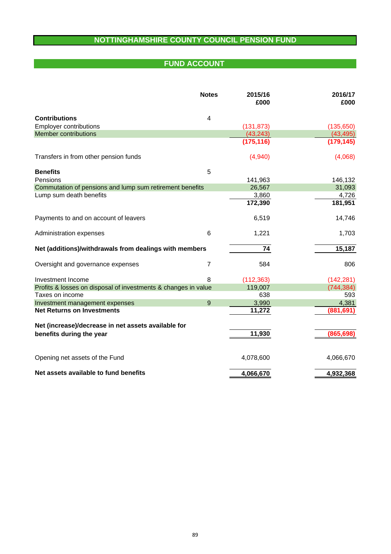# **NOTTINGHAMSHIRE COUNTY COUNCIL PENSION FUND**

# **FUND ACCOUNT EXECUTE:**

|                                                                | <b>Notes</b>   | 2015/16<br>£000 | 2016/17<br>£000 |
|----------------------------------------------------------------|----------------|-----------------|-----------------|
| <b>Contributions</b>                                           | 4              |                 |                 |
| <b>Employer contributions</b>                                  |                | (131, 873)      | (135, 650)      |
| <b>Member contributions</b>                                    |                | (43, 243)       | (43, 495)       |
|                                                                |                | (175, 116)      | (179, 145)      |
| Transfers in from other pension funds                          |                | (4,940)         | (4,068)         |
| <b>Benefits</b>                                                | 5              |                 |                 |
| Pensions                                                       |                | 141,963         | 146,132         |
| Commutation of pensions and lump sum retirement benefits       |                | 26,567          | 31,093          |
| Lump sum death benefits                                        |                | 3,860           | 4,726           |
|                                                                |                | 172,390         | 181,951         |
| Payments to and on account of leavers                          |                | 6,519           | 14,746          |
| Administration expenses                                        | 6              | 1,221           | 1,703           |
| Net (additions)/withdrawals from dealings with members         |                | 74              | 15,187          |
| Oversight and governance expenses                              | 7              | 584             | 806             |
| Investment Income                                              | 8              | (112, 363)      | (142, 281)      |
| Profits & losses on disposal of investments & changes in value |                | 119,007         | (744, 384)      |
| Taxes on income                                                |                | 638             | 593             |
| Investment management expenses                                 | $\overline{9}$ | 3,990           | 4,381           |
| <b>Net Returns on Investments</b>                              |                | 11,272          | (881, 691)      |
| Net (increase)/decrease in net assets available for            |                |                 |                 |
| benefits during the year                                       |                | 11,930          | (865, 698)      |
| Opening net assets of the Fund                                 |                | 4,078,600       | 4,066,670       |
| Net assets available to fund benefits                          |                | 4,066,670       | 4,932,368       |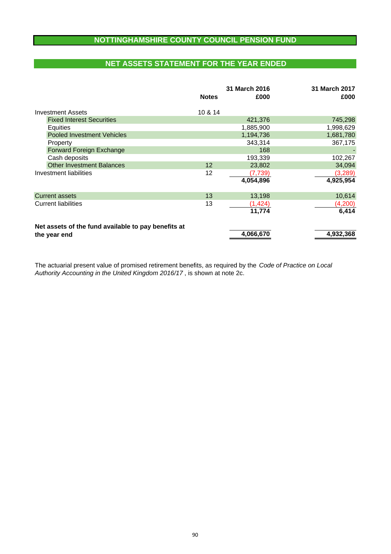# **NOTTINGHAMSHIRE COUNTY COUNCIL PENSION FUND**

# **NET ASSETS STATEMENT FOR THE YEAR ENDED**

|                                                     | <b>Notes</b> | 31 March 2016<br>£000 | 31 March 2017<br>£000 |
|-----------------------------------------------------|--------------|-----------------------|-----------------------|
| Investment Assets                                   | 10 & 14      |                       |                       |
| <b>Fixed Interest Securities</b>                    |              | 421,376               | 745,298               |
| Equities                                            |              | 1,885,900             | 1,998,629             |
| <b>Pooled Investment Vehicles</b>                   |              | 1,194,736             | 1,681,780             |
| Property                                            |              | 343,314               | 367,175               |
| Forward Foreign Exchange                            |              | 168                   |                       |
| Cash deposits                                       |              | 193,339               | 102,267               |
| <b>Other Investment Balances</b>                    | 12           | 23,802                | 34,094                |
| Investment liabilities                              | 12           | (7, 739)              | (3,289)               |
|                                                     |              | 4,054,896             | 4,925,954             |
| <b>Current assets</b>                               | 13           | 13,198                | 10,614                |
| <b>Current liabilities</b>                          | 13           | (1, 424)              | (4,200)               |
|                                                     |              | 11,774                | 6,414                 |
| Net assets of the fund available to pay benefits at |              |                       |                       |
| the year end                                        |              | 4,066,670             | 4,932,368             |

*Authority Accounting in the United Kingdom 2016/17* , is shown at note 2c. The actuarial present value of promised retirement benefits, as required by the *Code of Practice on Local*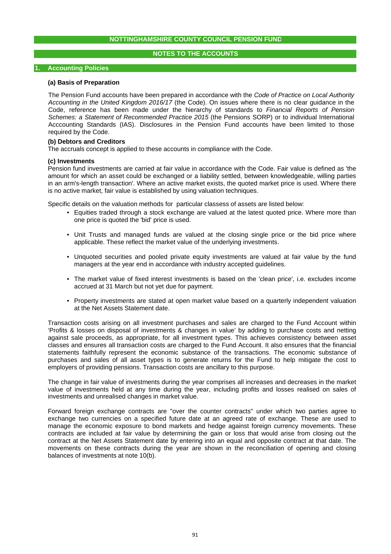## **NOTES TO THE ACCOUNTS**

#### **1. Accounting Policies**

#### **(a) Basis of Preparation**

The Pension Fund accounts have been prepared in accordance with the *Code of Practice on Local Authority Accounting in the United Kingdom 2016/17* (the Code). On issues where there is no clear guidance in the Code, reference has been made under the hierarchy of standards to *Financial Reports of Pension Schemes: a Statement of Recommended Practice 2015* (the Pensions SORP) or to individual International Acccounting Standards (IAS). Disclosures in the Pension Fund accounts have been limited to those required by the Code.

## **(b) Debtors and Creditors**

The accruals concept is applied to these accounts in compliance with the Code.

#### **(c) Investments**

Pension fund investments are carried at fair value in accordance with the Code. Fair value is defined as 'the amount for which an asset could be exchanged or a liability settled, between knowledgeable, willing parties in an arm's-length transaction'. Where an active market exists, the quoted market price is used. Where there is no active market, fair value is established by using valuation techniques.

Specific details on the valuation methods for particular classess of assets are listed below:

- Equities traded through a stock exchange are valued at the latest quoted price. Where more than one price is quoted the 'bid' price is used.
- Unit Trusts and managed funds are valued at the closing single price or the bid price where applicable. These reflect the market value of the underlying investments.
- Unquoted securities and pooled private equity investments are valued at fair value by the fund managers at the year end in accordance with industry accepted guidelines.
- The market value of fixed interest investments is based on the 'clean price', i.e. excludes income accrued at 31 March but not yet due for payment.
- Property investments are stated at open market value based on a quarterly independent valuation at the Net Assets Statement date.

Transaction costs arising on all investment purchases and sales are charged to the Fund Account within 'Profits & losses on disposal of investments & changes in value' by adding to purchase costs and netting against sale proceeds, as appropriate, for all investment types. This achieves consistency between asset classes and ensures all transaction costs are charged to the Fund Account. It also ensures that the financial statements faithfully represent the economic substance of the transactions. The economic substance of purchases and sales of all asset types is to generate returns for the Fund to help mitigate the cost to employers of providing pensions. Transaction costs are ancillary to this purpose.

The change in fair value of investments during the year comprises all increases and decreases in the market value of investments held at any time during the year, including profits and losses realised on sales of investments and unrealised changes in market value.

Forward foreign exchange contracts are "over the counter contracts" under which two parties agree to exchange two currencies on a specified future date at an agreed rate of exchange. These are used to manage the economic exposure to bond markets and hedge against foreign currency movements. These contracts are included at fair value by determining the gain or loss that would arise from closing out the contract at the Net Assets Statement date by entering into an equal and opposite contract at that date. The movements on these contracts during the year are shown in the reconciliation of opening and closing balances of investments at note 10(b).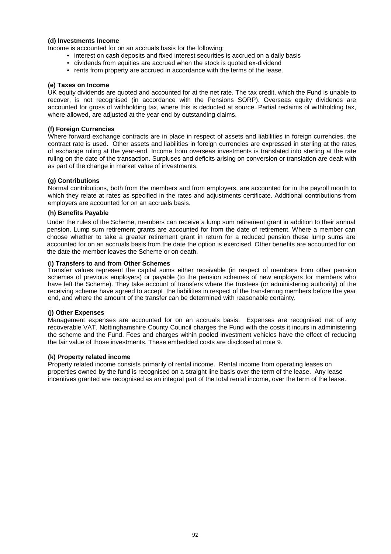## **(d) Investments Income**

Income is accounted for on an accruals basis for the following:

- interest on cash deposits and fixed interest securities is accrued on a daily basis
- dividends from equities are accrued when the stock is quoted ex-dividend
- rents from property are accrued in accordance with the terms of the lease.

#### **(e) Taxes on Income**

UK equity dividends are quoted and accounted for at the net rate. The tax credit, which the Fund is unable to recover, is not recognised (in accordance with the Pensions SORP). Overseas equity dividends are accounted for gross of withholding tax, where this is deducted at source. Partial reclaims of withholding tax, where allowed, are adjusted at the year end by outstanding claims.

## **(f) Foreign Currencies**

Where forward exchange contracts are in place in respect of assets and liabilities in foreign currencies, the contract rate is used. Other assets and liabilities in foreign currencies are expressed in sterling at the rates of exchange ruling at the year-end. Income from overseas investments is translated into sterling at the rate ruling on the date of the transaction. Surpluses and deficits arising on conversion or translation are dealt with as part of the change in market value of investments.

## **(g) Contributions**

Normal contributions, both from the members and from employers, are accounted for in the payroll month to which they relate at rates as specified in the rates and adjustments certificate. Additional contributions from employers are accounted for on an accruals basis.

## **(h) Benefits Payable**

Under the rules of the Scheme, members can receive a lump sum retirement grant in addition to their annual pension. Lump sum retirement grants are accounted for from the date of retirement. Where a member can choose whether to take a greater retirement grant in return for a reduced pension these lump sums are accounted for on an accruals basis from the date the option is exercised. Other benefits are accounted for on the date the member leaves the Scheme or on death.

## **(i) Transfers to and from Other Schemes**

Transfer values represent the capital sums either receivable (in respect of members from other pension schemes of previous employers) or payable (to the pension schemes of new employers for members who have left the Scheme). They take account of transfers where the trustees (or administering authority) of the receiving scheme have agreed to accept the liabilities in respect of the transferring members before the year end, and where the amount of the transfer can be determined with reasonable certainty.

## **(j) Other Expenses**

Management expenses are accounted for on an accruals basis. Expenses are recognised net of any recoverable VAT. Nottinghamshire County Council charges the Fund with the costs it incurs in administering the scheme and the Fund. Fees and charges within pooled investment vehicles have the effect of reducing the fair value of those investments. These embedded costs are disclosed at note 9.

## **(k) Property related income**

Property related income consists primarily of rental income. Rental income from operating leases on properties owned by the fund is recognised on a straight line basis over the term of the lease. Any lease incentives granted are recognised as an integral part of the total rental income, over the term of the lease.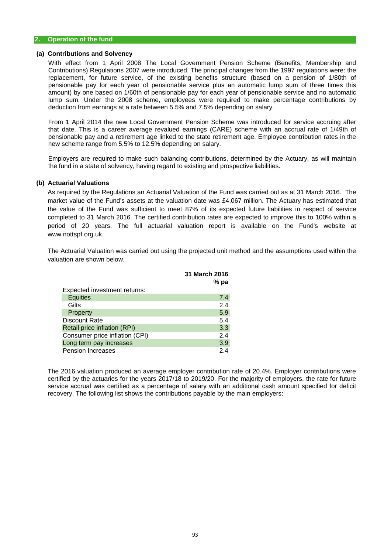#### **(a) Contributions and Solvency**

With effect from 1 April 2008 The Local Government Pension Scheme (Benefits, Membership and Contributions) Regulations 2007 were introduced. The principal changes from the 1997 regulations were: the replacement, for future service, of the existing benefits structure (based on a pension of 1/80th of pensionable pay for each year of pensionable service plus an automatic lump sum of three times this amount) by one based on 1/60th of pensionable pay for each year of pensionable service and no automatic lump sum. Under the 2008 scheme, employees were required to make percentage contributions by deduction from earnings at a rate between 5.5% and 7.5% depending on salary.

From 1 April 2014 the new Local Government Pension Scheme was introduced for service accruing after that date. This is a career average revalued earnings (CARE) scheme with an accrual rate of 1/49th of pensionable pay and a retirement age linked to the state retirement age. Employee contribution rates in the new scheme range from 5.5% to 12.5% depending on salary.

Employers are required to make such balancing contributions, determined by the Actuary, as will maintain the fund in a state of solvency, having regard to existing and prospective liabilities.

#### **(b) Actuarial Valuations**

As required by the Regulations an Actuarial Valuation of the Fund was carried out as at 31 March 2016. The market value of the Fund's assets at the valuation date was £4,067 million. The Actuary has estimated that the value of the Fund was sufficient to meet 87% of its expected future liabilities in respect of service completed to 31 March 2016. The certified contribution rates are expected to improve this to 100% within a period of 20 years. The full actuarial valuation report is available on the Fund's website at www.nottspf.org.uk.

The Actuarial Valuation was carried out using the projected unit method and the assumptions used within the valuation are shown below.

|                                | 31 March 2016<br>% pa |
|--------------------------------|-----------------------|
| Expected investment returns:   |                       |
| <b>Equities</b>                | 7.4                   |
| Gilts                          | 2.4                   |
| Property                       | 5.9                   |
| <b>Discount Rate</b>           | 5.4                   |
| Retail price inflation (RPI)   | 3.3                   |
| Consumer price inflation (CPI) | 2.4                   |
| Long term pay increases        | 3.9                   |
| <b>Pension Increases</b>       | 2.4                   |

The 2016 valuation produced an average employer contribution rate of 20.4%. Employer contributions were certified by the actuaries for the years 2017/18 to 2019/20. For the majority of employers, the rate for future service accrual was certified as a percentage of salary with an additional cash amount specified for deficit recovery. The following list shows the contributions payable by the main employers: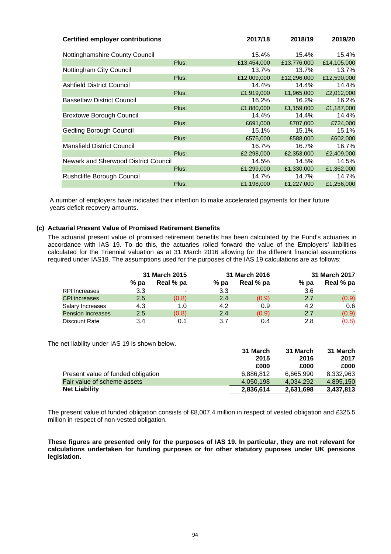| <b>Certified employer contributions</b> |       | 2017/18     | 2018/19     | 2019/20     |
|-----------------------------------------|-------|-------------|-------------|-------------|
| Nottinghamshire County Council          |       | 15.4%       | 15.4%       | 15.4%       |
|                                         | Plus: | £13,454,000 | £13,776,000 | £14,105,000 |
| Nottingham City Council                 |       | 13.7%       | 13.7%       | 13.7%       |
|                                         | Plus: | £12,009,000 | £12,296,000 | £12,590,000 |
| <b>Ashfield District Council</b>        |       | 14.4%       | 14.4%       | 14.4%       |
|                                         | Plus: | £1,919,000  | £1,965,000  | £2,012,000  |
| <b>Bassetlaw District Council</b>       |       | 16.2%       | 16.2%       | 16.2%       |
|                                         | Plus: | £1,880,000  | £1,159,000  | £1,187,000  |
| <b>Broxtowe Borough Council</b>         |       | 14.4%       | 14.4%       | 14.4%       |
|                                         | Plus: | £691,000    | £707,000    | £724,000    |
| Gedling Borough Council                 |       | 15.1%       | 15.1%       | 15.1%       |
|                                         | Plus: | £575,000    | £588,000    | £602,000    |
| <b>Mansfield District Council</b>       |       | 16.7%       | 16.7%       | 16.7%       |
|                                         | Plus: | £2,298,000  | £2,353,000  | £2,409,000  |
| Newark and Sherwood District Council    |       | 14.5%       | 14.5%       | 14.5%       |
|                                         | Plus: | £1,299,000  | £1,330,000  | £1,362,000  |
| Rushcliffe Borough Council              |       | 14.7%       | 14.7%       | 14.7%       |
|                                         | Plus: | £1,198,000  | £1,227,000  | £1,256,000  |

A number of employers have indicated their intention to make accelerated payments for their future years deficit recovery amounts.

## **(c) Actuarial Present Value of Promised Retirement Benefits**

The actuarial present value of promised retirement benefits has been calculated by the Fund's actuaries in accordance with IAS 19. To do this, the actuaries rolled forward the value of the Employers' liabilities calculated for the Triennial valuation as at 31 March 2016 allowing for the different financial assumptions required under IAS19. The assumptions used for the purposes of the IAS 19 calculations are as follows:

|                          | 31 March 2015 |           | 31 March 2016 |                |        | 31 March 2017 |  |
|--------------------------|---------------|-----------|---------------|----------------|--------|---------------|--|
|                          | $%$ pa        | Real % pa | $%$ pa        | Real % pa      | $%$ pa | Real % pa     |  |
| RPI Increases            | 3.3           | -         | 3.3           | $\blacksquare$ | 3.6    |               |  |
| <b>CPI</b> increases     | 2.5           | (0.8)     | 2.4           | (0.9)          | 2.7    | (0.9)         |  |
| Salary Increases         | 4.3           | 1.0       | 4.2           | 0.9            | 4.2    | 0.6           |  |
| <b>Pension Increases</b> | 2.5           | (0.8)     | 2.4           | (0.9)          | 2.7    | (0.9)         |  |
| Discount Rate            | 3.4           | 0.1       | 3.7           | 0.4            | 2.8    | (0.8)         |  |

The net liability under IAS 19 is shown below.

|                                    | 31 March  | 31 March  | 31 March  |
|------------------------------------|-----------|-----------|-----------|
|                                    | 2015      | 2016      | 2017      |
|                                    | £000      | £000      | £000      |
| Present value of funded obligation | 6.886.812 | 6.665.990 | 8.332.963 |
| Fair value of scheme assets        | 4.050.198 | 4.034.292 | 4.895.150 |
| <b>Net Liability</b>               | 2,836,614 | 2,631,698 | 3,437,813 |

The present value of funded obligation consists of £8,007.4 million in respect of vested obligation and £325.5 million in respect of non-vested obligation.

**These figures are presented only for the purposes of IAS 19. In particular, they are not relevant for calculations undertaken for funding purposes or for other statutory puposes under UK pensions legislation.**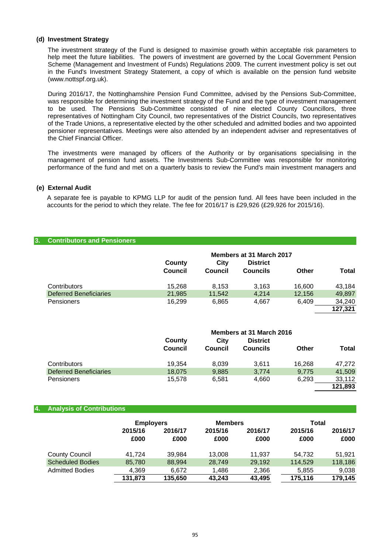#### **(d) Investment Strategy**

The investment strategy of the Fund is designed to maximise growth within acceptable risk parameters to help meet the future liabilities. The powers of investment are governed by the Local Government Pension Scheme (Management and Investment of Funds) Regulations 2009. The current investment policy is set out in the Fund's Investment Strategy Statement, a copy of which is available on the pension fund website (www.nottspf.org.uk).

During 2016/17, the Nottinghamshire Pension Fund Committee, advised by the Pensions Sub-Committee, was responsible for determining the investment strategy of the Fund and the type of investment management to be used. The Pensions Sub-Committee consisted of nine elected County Councillors, three representatives of Nottingham City Council, two representatives of the District Councils, two representatives of the Trade Unions, a representative elected by the other scheduled and admitted bodies and two appointed pensioner representatives. Meetings were also attended by an independent adviser and representatives of the Chief Financial Officer.

The investments were managed by officers of the Authority or by organisations specialising in the management of pension fund assets. The Investments Sub-Committee was responsible for monitoring performance of the fund and met on a quarterly basis to review the Fund's main investment managers and

## **(e) External Audit**

A separate fee is payable to KPMG LLP for audit of the pension fund. All fees have been included in the accounts for the period to which they relate. The fee for 2016/17 is £29,926 (£29,926 for 2015/16).

## **3. Contributors and Pensioners**

|                               | County<br>Council | City<br>Council | Members at 31 March 2017<br><b>District</b><br>Councils | Other  | <b>Total</b> |
|-------------------------------|-------------------|-----------------|---------------------------------------------------------|--------|--------------|
| Contributors                  | 15,268            | 8.153           | 3,163                                                   | 16.600 | 43,184       |
| <b>Deferred Beneficiaries</b> | 21,985            | 11.542          | 4.214                                                   | 12.156 | 49,897       |
| <b>Pensioners</b>             | 16.299            | 6,865           | 4.667                                                   | 6.409  | 34,240       |
|                               |                   |                 |                                                         |        | 127.321      |

|                               | Members at 31 March 2016 |         |                 |        |         |
|-------------------------------|--------------------------|---------|-----------------|--------|---------|
|                               | County                   |         |                 |        |         |
|                               | <b>Council</b>           | Council | <b>Councils</b> | Other  | Total   |
|                               |                          |         |                 |        |         |
| Contributors                  | 19.354                   | 8.039   | 3.611           | 16.268 | 47.272  |
| <b>Deferred Beneficiaries</b> | 18,075                   | 9,885   | 3,774           | 9,775  | 41,509  |
| <b>Pensioners</b>             | 15.578                   | 6.581   | 4,660           | 6.293  | 33,112  |
|                               |                          |         |                 |        | 121,893 |

#### **4. Analysis of Contributions**

|                         | <b>Employers</b> |                 | <b>Members</b>  |                 | Total           |                 |
|-------------------------|------------------|-----------------|-----------------|-----------------|-----------------|-----------------|
|                         | 2015/16<br>£000  | 2016/17<br>£000 | 2015/16<br>£000 | 2016/17<br>£000 | 2015/16<br>£000 | 2016/17<br>£000 |
| <b>County Council</b>   | 41.724           | 39.984          | 13.008          | 11.937          | 54.732          | 51.921          |
| <b>Scheduled Bodies</b> | 85,780           | 88,994          | 28,749          | 29,192          | 114,529         | 118,186         |
| <b>Admitted Bodies</b>  | 4,369            | 6.672           | 1,486           | 2,366           | 5,855           | 9,038           |
|                         | 131,873          | 135.650         | 43.243          | 43.495          | 175.116         | 179,145         |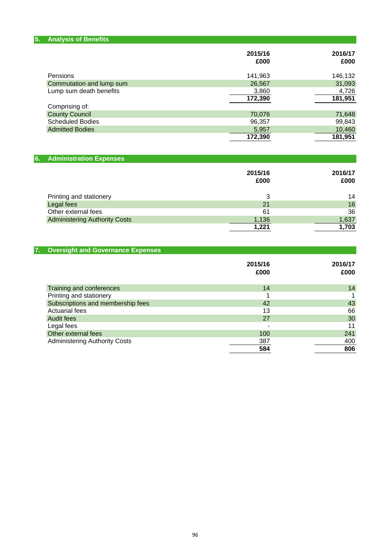| 5.<br><b>Analysis of Benefits</b>    |                 |                 |
|--------------------------------------|-----------------|-----------------|
|                                      | 2015/16<br>£000 | 2016/17<br>£000 |
| Pensions                             | 141,963         | 146,132         |
| Commutation and lump sum             | 26,567          | 31,093          |
| Lump sum death benefits              | 3,860           | 4,726           |
|                                      | 172,390         | 181,951         |
| Comprising of:                       |                 |                 |
| <b>County Council</b>                | 70,076          | 71,648          |
| <b>Scheduled Bodies</b>              | 96,357          | 99,843          |
| <b>Admitted Bodies</b>               | 5,957           | 10,460          |
|                                      | 172,390         | 181,951         |
|                                      |                 |                 |
| 6.<br><b>Administration Expenses</b> |                 |                 |
|                                      | 2015/16         | 2016/17         |
|                                      | £000            | £000            |
| Printing and stationery              | 3               | 14              |
| Legal fees                           | 21              | 16              |
| Other external fees                  | 61              | 36              |
| <b>Administering Authority Costs</b> | 1,136           | 1,637           |
|                                      | 1,221           | 1,703           |

| <b>Oversight and Governance Expenses</b><br>7. |                 |                 |
|------------------------------------------------|-----------------|-----------------|
|                                                | 2015/16<br>£000 | 2016/17<br>£000 |
| Training and conferences                       | 14              | 14              |
| Printing and stationery                        |                 |                 |
| Subscriptions and membership fees              | 42              | 43              |
| <b>Actuarial fees</b>                          | 13              | 66              |
| Audit fees                                     | 27              | 30              |
| Legal fees                                     | -               | 11              |
| Other external fees                            | 100             | 241             |
| <b>Administering Authority Costs</b>           | 387             | 400             |
|                                                | 584             | 806             |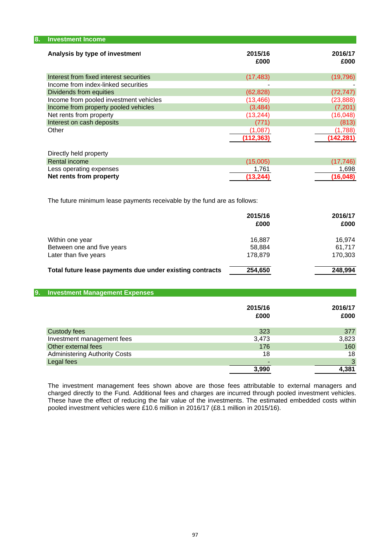| 8.<br><b>Investment Income</b>                                    |                        |                        |
|-------------------------------------------------------------------|------------------------|------------------------|
| Analysis by type of investment                                    | 2015/16<br>£000        | 2016/17<br>£000        |
| Interest from fixed interest securities                           | (17, 483)              | (19, 796)              |
| Income from index-linked securities                               |                        |                        |
| Dividends from equities<br>Income from pooled investment vehicles | (62, 828)<br>(13, 466) | (72, 747)<br>(23, 888) |
| Income from property pooled vehicles                              | (3,484)                | (7,201)                |
| Net rents from property                                           | (13, 244)              | (16,048)               |
| Interest on cash deposits                                         | (771)                  | (813)                  |
| Other                                                             | (1,087)                | (1,788)                |
|                                                                   | (112, 363)             | (142, 281)             |

| (17.746) |
|----------|
| 1.698    |
| (16.048) |
|          |

The future minimum lease payments receivable by the fund are as follows:

|                                                          | 2015/16<br>£000 | 2016/17<br>£000 |
|----------------------------------------------------------|-----------------|-----------------|
| Within one year                                          | 16.887          | 16.974          |
| Between one and five years                               | 58.884          | 61.717          |
| Later than five years                                    | 178.879         | 170.303         |
| Total future lease payments due under existing contracts | 254,650         | 248.994         |

## **9. Investment Management Expenses**

|                                      | 2015/16<br>£000 | 2016/17<br>£000 |
|--------------------------------------|-----------------|-----------------|
| <b>Custody fees</b>                  | 323             | 377             |
| Investment management fees           | 3,473           | 3,823           |
| Other external fees                  | 176             | 160             |
| <b>Administering Authority Costs</b> | 18              | 18              |
| Legal fees                           |                 | 3               |
|                                      | 3,990           | 4,381           |

The investment management fees shown above are those fees attributable to external managers and charged directly to the Fund. Additional fees and charges are incurred through pooled investment vehicles. These have the effect of reducing the fair value of the investments. The estimated embedded costs within pooled investment vehicles were £10.6 million in 2016/17 (£8.1 million in 2015/16).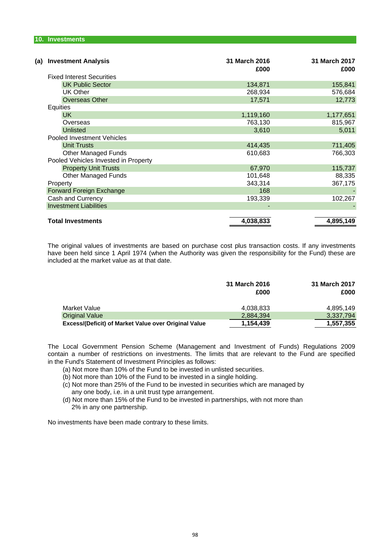| <b>Investment Analysis</b><br>(a)    | 31 March 2016<br>£000 | 31 March 2017<br>£000 |
|--------------------------------------|-----------------------|-----------------------|
| <b>Fixed Interest Securities</b>     |                       |                       |
| <b>UK Public Sector</b>              | 134,871               | 155,841               |
| <b>UK Other</b>                      | 268,934               | 576,684               |
| <b>Overseas Other</b>                | 17,571                | 12,773                |
| Equities                             |                       |                       |
| <b>UK</b>                            | 1,119,160             | 1,177,651             |
| Overseas                             | 763,130               | 815,967               |
| <b>Unlisted</b>                      | 3,610                 | 5,011                 |
| Pooled Investment Vehicles           |                       |                       |
| <b>Unit Trusts</b>                   | 414,435               | 711,405               |
| <b>Other Managed Funds</b>           | 610,683               | 766,303               |
| Pooled Vehicles Invested in Property |                       |                       |
| <b>Property Unit Trusts</b>          | 67,970                | 115,737               |
| <b>Other Managed Funds</b>           | 101,648               | 88,335                |
| Property                             | 343,314               | 367,175               |
| Forward Foreign Exchange             | 168                   |                       |
| Cash and Currency                    | 193,339               | 102,267               |
| <b>Investment Liabilities</b>        |                       |                       |
|                                      |                       |                       |
| <b>Total Investments</b>             | 4,038,833             | 4,895,149             |

The original values of investments are based on purchase cost plus transaction costs. If any investments have been held since 1 April 1974 (when the Authority was given the responsibility for the Fund) these are included at the market value as at that date.

|                                                      | 31 March 2016<br>£000 | 31 March 2017<br>£000 |
|------------------------------------------------------|-----------------------|-----------------------|
| Market Value                                         | 4,038,833             | 4,895,149             |
| <b>Original Value</b>                                | 2,884,394             | 3,337,794             |
| Excess/(Deficit) of Market Value over Original Value | 1,154,439             | 1,557,355             |

in the Fund's Statement of Investment Principles as follows: The Local Government Pension Scheme (Management and Investment of Funds) Regulations 2009 contain a number of restrictions on investments. The limits that are relevant to the Fund are specified

- (a) Not more than 10% of the Fund to be invested in unlisted securities.
- (b) Not more than 10% of the Fund to be invested in a single holding.
- (c) Not more than 25% of the Fund to be invested in securities which are managed by any one body, i.e. in a unit trust type arrangement.
- (d) Not more than 15% of the Fund to be invested in partnerships, with not more than 2% in any one partnership.

No investments have been made contrary to these limits.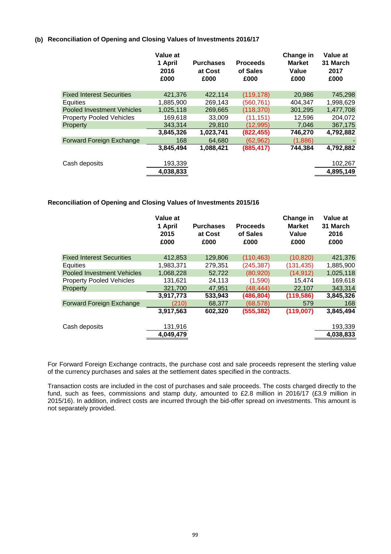## **(b) Reconciliation of Opening and Closing Values of Investments 2016/17**

|                                   | Value at<br>1 April<br>2016<br>£000 | <b>Purchases</b><br>at Cost<br>£000 | <b>Proceeds</b><br>of Sales<br>£000 | Change in<br><b>Market</b><br>Value<br>£000 | Value at<br>31 March<br>2017<br>£000 |
|-----------------------------------|-------------------------------------|-------------------------------------|-------------------------------------|---------------------------------------------|--------------------------------------|
| <b>Fixed Interest Securities</b>  | 421,376                             | 422.114                             | (119, 178)                          | 20,986                                      | 745,298                              |
| Equities                          | 1,885,900                           | 269,143                             | (560,761)                           | 404,347                                     | 1,998,629                            |
| <b>Pooled Investment Vehicles</b> | 1.025.118                           | 269.665                             | (118, 370)                          | 301.295                                     | 1,477,708                            |
| <b>Property Pooled Vehicles</b>   | 169,618                             | 33,009                              | (11, 151)                           | 12,596                                      | 204,072                              |
| Property                          | 343.314                             | 29,810                              | (12.995)                            | 7.046                                       | 367,175                              |
|                                   | 3,845,326                           | 1,023,741                           | (822, 455)                          | 746,270                                     | 4,792,882                            |
| Forward Foreign Exchange          | 168                                 | 64.680                              | (62, 962)                           | (1,886)                                     |                                      |
|                                   | 3,845,494                           | 1,088,421                           | (885, 417)                          | 744.384                                     | 4,792,882                            |
| Cash deposits                     | 193,339                             |                                     |                                     |                                             | 102,267                              |
|                                   | 4,038,833                           |                                     |                                     |                                             | 4,895,149                            |
|                                   |                                     |                                     |                                     |                                             |                                      |

## **Reconciliation of Opening and Closing Values of Investments 2015/16**

|                                   | Value at<br>1 April<br>2015<br>£000 | <b>Purchases</b><br>at Cost<br>£000 | <b>Proceeds</b><br>of Sales<br>£000 | Change in<br><b>Market</b><br>Value<br>£000 | Value at<br>31 March<br>2016<br>£000 |
|-----------------------------------|-------------------------------------|-------------------------------------|-------------------------------------|---------------------------------------------|--------------------------------------|
| <b>Fixed Interest Securities</b>  | 412.853                             | 129,806                             | (110, 463)                          | (10, 820)                                   | 421,376                              |
| Equities                          | 1,983,371                           | 279,351                             | (245, 387)                          | (131, 435)                                  | 1,885,900                            |
| <b>Pooled Investment Vehicles</b> | 1.068.228                           | 52.722                              | (80, 920)                           | (14, 912)                                   | 1,025,118                            |
| <b>Property Pooled Vehicles</b>   | 131,621                             | 24,113                              | (1,590)                             | 15,474                                      | 169,618                              |
| Property                          | 321,700                             | 47.951                              | (48, 444)                           | 22,107                                      | 343,314                              |
|                                   | 3,917,773                           | 533,943                             | (486, 804)                          | (119, 586)                                  | 3,845,326                            |
| Forward Foreign Exchange          | (210)                               | 68.377                              | (68, 578)                           | 579                                         | 168                                  |
|                                   | 3,917,563                           | 602,320                             | (555, 382)                          | (119,007)                                   | 3,845,494                            |
| Cash deposits                     | 131,916                             |                                     |                                     |                                             | 193,339                              |
|                                   | 4,049,479                           |                                     |                                     |                                             | 4,038,833                            |

For Forward Foreign Exchange contracts, the purchase cost and sale proceeds represent the sterling value of the currency purchases and sales at the settlement dates specified in the contracts.

Transaction costs are included in the cost of purchases and sale proceeds. The costs charged directly to the fund, such as fees, commissions and stamp duty, amounted to £2.8 million in 2016/17 (£3.9 million in 2015/16). In addition, indirect costs are incurred through the bid-offer spread on investments. This amount is not separately provided.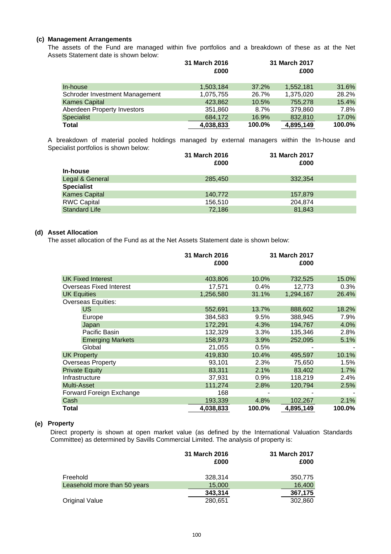## **(c) Management Arrangements**

Assets Statement date is shown below: The assets of the Fund are managed within five portfolios and a breakdown of these as at the Net

|                                | 31 March 2016<br>£000 |        | 31 March 2017<br>£000 |        |
|--------------------------------|-----------------------|--------|-----------------------|--------|
| In-house                       | 1,503,184             | 37.2%  | 1,552,181             | 31.6%  |
| Schroder Investment Management | 1,075,755             | 26.7%  | 1,375,020             | 28.2%  |
| <b>Kames Capital</b>           | 423.862               | 10.5%  | 755.278               | 15.4%  |
| Aberdeen Property Investors    | 351,860               | 8.7%   | 379,860               | 7.8%   |
| <b>Specialist</b>              | 684,172               | 16.9%  | 832,810               | 17.0%  |
| <b>Total</b>                   | 4,038,833             | 100.0% | 4,895,149             | 100.0% |

Specialist portfolios is shown below: A breakdown of material pooled holdings managed by external managers within the In-house and

|                      | 31 March 2016 | 31 March 2017 |  |
|----------------------|---------------|---------------|--|
|                      | £000          | £000          |  |
| In-house             |               |               |  |
| Legal & General      | 285,450       | 332.354       |  |
| <b>Specialist</b>    |               |               |  |
| <b>Kames Capital</b> | 140,772       | 157.879       |  |
| <b>RWC Capital</b>   | 156,510       | 204.874       |  |
| <b>Standard Life</b> | 72.186        | 81.843        |  |

## **(d) Asset Allocation**

The asset allocation of the Fund as at the Net Assets Statement date is shown below:

|                                | 31 March 2016<br>£000 |        | 31 March 2017<br>£000 |        |
|--------------------------------|-----------------------|--------|-----------------------|--------|
|                                |                       |        |                       |        |
| <b>UK Fixed Interest</b>       | 403,806               | 10.0%  | 732,525               | 15.0%  |
| <b>Overseas Fixed Interest</b> | 17,571                | 0.4%   | 12,773                | 0.3%   |
| <b>UK Equities</b>             | 1,256,580             | 31.1%  | 1,294,167             | 26.4%  |
| <b>Overseas Equities:</b>      |                       |        |                       |        |
| US.                            | 552,691               | 13.7%  | 888,602               | 18.2%  |
| Europe                         | 384,583               | 9.5%   | 388,945               | 7.9%   |
| Japan                          | 172,291               | 4.3%   | 194,767               | 4.0%   |
| Pacific Basin                  | 132,329               | 3.3%   | 135,346               | 2.8%   |
| <b>Emerging Markets</b>        | 158,973               | 3.9%   | 252,095               | 5.1%   |
| Global                         | 21,055                | 0.5%   |                       |        |
| <b>UK Property</b>             | 419,830               | 10.4%  | 495,597               | 10.1%  |
| <b>Overseas Property</b>       | 93,101                | 2.3%   | 75,650                | 1.5%   |
| <b>Private Equity</b>          | 83,311                | 2.1%   | 83,402                | 1.7%   |
| Infrastructure                 | 37,931                | 0.9%   | 118,219               | 2.4%   |
| Multi-Asset                    | 111,274               | 2.8%   | 120,794               | 2.5%   |
| Forward Foreign Exchange       | 168                   |        |                       |        |
| Cash                           | 193,339               | 4.8%   | 102,267               | 2.1%   |
| Total                          | 4,038,833             | 100.0% | 4,895,149             | 100.0% |

## **(e) Property**

Direct property is shown at open market value (as defined by the International Valuation Standards Committee) as determined by Savills Commercial Limited. The analysis of property is:

|                              | 31 March 2016<br>£000 | 31 March 2017<br>£000 |
|------------------------------|-----------------------|-----------------------|
| Freehold                     | 328,314               | 350,775               |
| Leasehold more than 50 years | 15,000                | 16,400                |
|                              | 343,314               | 367,175               |
| Original Value               | 280,651               | 302,860               |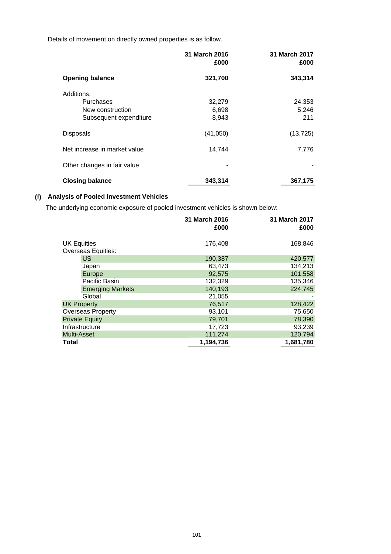Details of movement on directly owned properties is as follow.

|                              | 31 March 2016<br>£000 | 31 March 2017<br>£000 |
|------------------------------|-----------------------|-----------------------|
| <b>Opening balance</b>       | 321,700               | 343,314               |
| Additions:                   |                       |                       |
| Purchases                    | 32,279                | 24,353                |
| New construction             | 6,698                 | 5,246                 |
| Subsequent expenditure       | 8,943                 | 211                   |
| <b>Disposals</b>             | (41,050)              | (13, 725)             |
| Net increase in market value | 14,744                | 7,776                 |
| Other changes in fair value  |                       |                       |
| <b>Closing balance</b>       | 343,314               | 367,175               |

## **(f) Analysis of Pooled Investment Vehicles**

The underlying economic exposure of pooled investment vehicles is shown below:

|                                                 | 31 March 2016<br>£000 | 31 March 2017<br>£000 |
|-------------------------------------------------|-----------------------|-----------------------|
| <b>UK Equities</b><br><b>Overseas Equities:</b> | 176,408               | 168,846               |
| <b>US</b>                                       | 190,387               | 420,577               |
| Japan                                           | 63,473                | 134,213               |
| Europe                                          | 92,575                | 101,558               |
| Pacific Basin                                   | 132,329               | 135,346               |
| <b>Emerging Markets</b>                         | 140,193               | 224,745               |
| Global                                          | 21,055                |                       |
| <b>UK Property</b>                              | 76,517                | 128,422               |
| <b>Overseas Property</b>                        | 93,101                | 75,650                |
| <b>Private Equity</b>                           | 79,701                | 78,390                |
| Infrastructure                                  | 17,723                | 93,239                |
| <b>Multi-Asset</b>                              | 111,274               | 120,794               |
| <b>Total</b>                                    | 1,194,736             | 1,681,780             |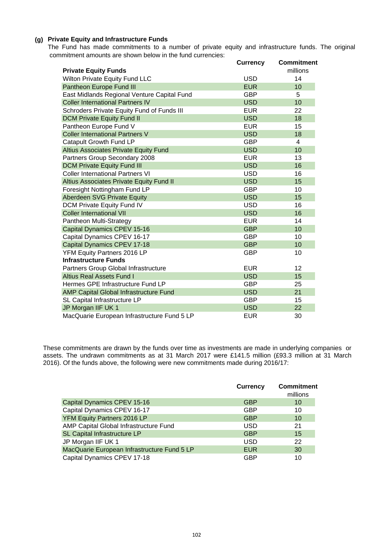## **(g) Private Equity and Infrastructure Funds**

 commitment amounts are shown below in the fund currencies: The Fund has made commitments to a number of private equity and infrastructure funds. The original

|                                              | <b>Currency</b> | <b>Commitment</b> |
|----------------------------------------------|-----------------|-------------------|
| <b>Private Equity Funds</b>                  |                 | millions          |
| Wilton Private Equity Fund LLC               | <b>USD</b>      | 14                |
| Pantheon Europe Fund III                     | <b>EUR</b>      | 10                |
| East Midlands Regional Venture Capital Fund  | <b>GBP</b>      | 5                 |
| <b>Coller International Partners IV</b>      | <b>USD</b>      | 10                |
| Schroders Private Equity Fund of Funds III   | <b>EUR</b>      | 22                |
| <b>DCM Private Equity Fund II</b>            | <b>USD</b>      | 18                |
| Pantheon Europe Fund V                       | <b>EUR</b>      | 15                |
| <b>Coller International Partners V</b>       | <b>USD</b>      | 18                |
| Catapult Growth Fund LP                      | <b>GBP</b>      | $\overline{4}$    |
| <b>Altius Associates Private Equity Fund</b> | <b>USD</b>      | 10                |
| Partners Group Secondary 2008                | <b>EUR</b>      | 13                |
| <b>DCM Private Equity Fund III</b>           | <b>USD</b>      | 16                |
| <b>Coller International Partners VI</b>      | <b>USD</b>      | 16                |
| Altius Associates Private Equity Fund II     | <b>USD</b>      | 15                |
| Foresight Nottingham Fund LP                 | <b>GBP</b>      | 10                |
| Aberdeen SVG Private Equity                  | <b>USD</b>      | 15                |
| DCM Private Equity Fund IV                   | <b>USD</b>      | 16                |
| <b>Coller International VII</b>              | <b>USD</b>      | 16                |
| Pantheon Multi-Strategy                      | <b>EUR</b>      | 14                |
| Capital Dynamics CPEV 15-16                  | <b>GBP</b>      | 10                |
| Capital Dynamics CPEV 16-17                  | <b>GBP</b>      | 10                |
| Capital Dynamics CPEV 17-18                  | <b>GBP</b>      | 10                |
| YFM Equity Partners 2016 LP                  | <b>GBP</b>      | 10                |
| <b>Infrastructure Funds</b>                  |                 |                   |
| Partners Group Global Infrastructure         | <b>EUR</b>      | 12                |
| <b>Altius Real Assets Fund I</b>             | <b>USD</b>      | 15                |
| Hermes GPE Infrastructure Fund LP            | <b>GBP</b>      | 25                |
| AMP Capital Global Infrastructure Fund       | <b>USD</b>      | 21                |
| SL Capital Infrastructure LP                 | <b>GBP</b>      | 15                |
| JP Morgan IIF UK 1                           | <b>USD</b>      | 22                |
| MacQuarie European Infrastructure Fund 5 LP  | <b>EUR</b>      | 30                |

These commitments are drawn by the funds over time as investments are made in underlying companies or assets. The undrawn commitments as at 31 March 2017 were £141.5 million (£93.3 million at 31 March 2016). Of the funds above, the following were new commitments made during 2016/17:

|                                             | <b>Currency</b> | <b>Commitment</b><br>millions |
|---------------------------------------------|-----------------|-------------------------------|
| Capital Dynamics CPEV 15-16                 | <b>GBP</b>      | 10                            |
| Capital Dynamics CPEV 16-17                 | GBP             | 10                            |
| YFM Equity Partners 2016 LP                 | <b>GBP</b>      | 10                            |
| AMP Capital Global Infrastructure Fund      | <b>USD</b>      | 21                            |
| SL Capital Infrastructure LP                | <b>GBP</b>      | 15                            |
| JP Morgan IIF UK 1                          | USD             | 22                            |
| MacQuarie European Infrastructure Fund 5 LP | <b>EUR</b>      | 30                            |
| Capital Dynamics CPEV 17-18                 | <b>GBP</b>      | 10                            |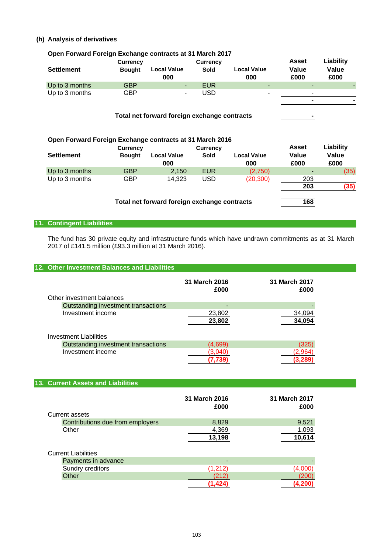## **(h) Analysis of derivatives**

| Open Forward Foreign Exchange contracts at 31 March 2017 |                 |                                              |                 |                           |               |               |
|----------------------------------------------------------|-----------------|----------------------------------------------|-----------------|---------------------------|---------------|---------------|
|                                                          | <b>Currency</b> |                                              | <b>Currency</b> |                           | <b>Asset</b>  | Liability     |
| <b>Settlement</b>                                        | <b>Bought</b>   | <b>Local Value</b><br>000                    | <b>Sold</b>     | <b>Local Value</b><br>000 | Value<br>£000 | Value<br>£000 |
| Up to 3 months                                           | <b>GBP</b>      |                                              | <b>EUR</b>      |                           |               |               |
| Up to 3 months                                           | <b>GBP</b>      |                                              | <b>USD</b>      |                           |               |               |
|                                                          |                 | Total net forward foreign exchange contracts |                 |                           |               |               |
|                                                          |                 |                                              |                 |                           |               |               |
| Open Forward Foreign Exchange contracts at 31 March 2016 |                 |                                              |                 |                           |               |               |
|                                                          | <b>Currency</b> |                                              | <b>Currency</b> |                           | <b>Asset</b>  | Liability     |
| <b>Settlement</b>                                        | <b>Bought</b>   | <b>Local Value</b><br>000                    | <b>Sold</b>     | <b>Local Value</b><br>000 | Value<br>£000 | Value<br>£000 |
| Up to 3 months                                           | <b>GBP</b>      | 2,150                                        | <b>EUR</b>      | (2,750)                   |               | (35)          |
| Up to 3 months                                           | GBP             | 14.323                                       | USD             | (20,300)                  | 203           |               |
|                                                          |                 | Total net forward foreign exchange contracts |                 |                           | 203<br>168    | (35)          |

# **11. Contingent Liabilities**

The fund has 30 private equity and infrastructure funds which have undrawn commitments as at 31 March 2017 of £141.5 million (£93.3 million at 31 March 2016).

#### **12. Other Investment Balances and Liabilities**

|                                     | 31 March 2016<br>£000 | 31 March 2017<br>£000 |
|-------------------------------------|-----------------------|-----------------------|
| Other investment balances           |                       |                       |
| Outstanding investment transactions |                       |                       |
| Investment income                   | 23,802                | 34,094                |
|                                     | 23,802                | 34,094                |
| <b>Investment Liabilities</b>       |                       |                       |
| Outstanding investment transactions | (4,699)               | (325)                 |
| Investment income                   | (3,040)               | (2,964)               |
|                                     | (7,739                | (3,289)               |

## **13. Current Assets and Liabilities**

|                                  | 31 March 2016<br>£000 | 31 March 2017<br>£000 |
|----------------------------------|-----------------------|-----------------------|
| <b>Current assets</b>            |                       |                       |
| Contributions due from employers | 8,829                 | 9,521                 |
| Other                            | 4,369                 | 1,093                 |
|                                  | 13,198                | 10,614                |
| <b>Current Liabilities</b>       |                       |                       |

| Payments in advance | $\sim$ |  |
|---------------------|--------|--|
| Sundry creditors    |        |  |
| Other               |        |  |
|                     |        |  |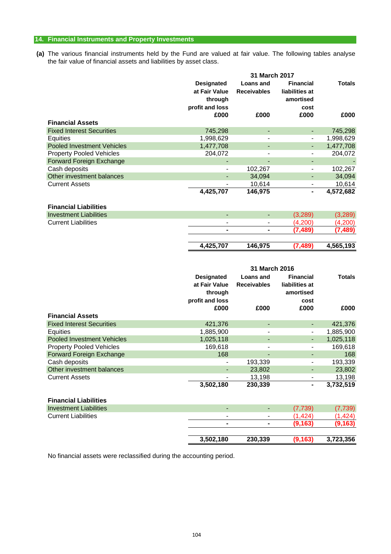## **14. Financial Instruments and Property Investments**

**(a)** The various financial instruments held by the Fund are valued at fair value. The following tables analyse the fair value of financial assets and liabilities by asset class.

|                                   |                                    | 31 March 2017                          |                                    |               |
|-----------------------------------|------------------------------------|----------------------------------------|------------------------------------|---------------|
|                                   | <b>Designated</b>                  | <b>Loans and</b>                       | <b>Financial</b>                   | <b>Totals</b> |
|                                   | at Fair Value                      | <b>Receivables</b>                     | liabilities at                     |               |
|                                   | through                            |                                        | amortised                          |               |
|                                   | profit and loss                    |                                        | cost                               |               |
|                                   | £000                               | £000                                   | £000                               | £000          |
| <b>Financial Assets</b>           |                                    |                                        |                                    |               |
| <b>Fixed Interest Securities</b>  | 745,298                            | $\blacksquare$                         |                                    | 745,298       |
| Equities                          | 1,998,629                          | $\overline{\phantom{0}}$               |                                    | 1,998,629     |
| <b>Pooled Investment Vehicles</b> | 1,477,708                          | $\blacksquare$                         |                                    | 1,477,708     |
| <b>Property Pooled Vehicles</b>   | 204,072                            | $\blacksquare$                         |                                    | 204,072       |
| <b>Forward Foreign Exchange</b>   |                                    |                                        |                                    |               |
| Cash deposits                     | $\qquad \qquad \blacksquare$       | 102,267                                |                                    | 102,267       |
| Other investment balances         | L,                                 | 34,094                                 |                                    | 34,094        |
| <b>Current Assets</b>             |                                    | 10,614                                 |                                    | 10,614        |
|                                   | 4,425,707                          | 146,975                                | ٠                                  | 4,572,682     |
| <b>Financial Liabilities</b>      |                                    |                                        |                                    |               |
| <b>Investment Liabilities</b>     | ÷.                                 | $\blacksquare$                         | (3, 289)                           | (3, 289)      |
| <b>Current Liabilities</b>        | $\blacksquare$                     | $\blacksquare$                         | (4,200)                            | (4,200)       |
|                                   |                                    |                                        | (7, 489)                           | (7, 489)      |
|                                   | 4,425,707                          | 146,975                                | (7, 489)                           | 4,565,193     |
|                                   |                                    |                                        |                                    |               |
|                                   |                                    | 31 March 2016                          |                                    |               |
|                                   | <b>Designated</b><br>at Fair Value | <b>Loans and</b><br><b>Receivables</b> | <b>Financial</b><br>liabilities at | <b>Totals</b> |

|                                   | through<br>profit and loss<br>£000 | £000                     | amortised<br>cost<br>£000 | £000      |
|-----------------------------------|------------------------------------|--------------------------|---------------------------|-----------|
| <b>Financial Assets</b>           |                                    |                          |                           |           |
| <b>Fixed Interest Securities</b>  | 421.376                            | -                        |                           | 421,376   |
| Equities                          | 1,885,900                          |                          |                           | 1,885,900 |
| <b>Pooled Investment Vehicles</b> | 1,025,118                          | $\overline{\phantom{a}}$ |                           | 1,025,118 |
| <b>Property Pooled Vehicles</b>   | 169,618                            | -                        |                           | 169,618   |
| Forward Foreign Exchange          | 168                                | -                        |                           | 168       |
| Cash deposits                     | ۰                                  | 193,339                  |                           | 193,339   |
| Other investment balances         |                                    | 23,802                   |                           | 23,802    |
| <b>Current Assets</b>             |                                    | 13,198                   |                           | 13,198    |
|                                   | 3,502,180                          | 230,339                  | ۰                         | 3,732,519 |
| <b>Financial Liabilities</b>      |                                    |                          |                           |           |
|                                   |                                    |                          |                           |           |

|                               | 3,502,180                | 230,339        | (9, 163) | 3,723,356 |
|-------------------------------|--------------------------|----------------|----------|-----------|
|                               |                          |                |          |           |
|                               | $\blacksquare$           | $\blacksquare$ | (9, 163) |           |
| <b>Current Liabilities</b>    | $\blacksquare$           | $\blacksquare$ | (1.424)  | A2A       |
| <b>Investment Liabilities</b> | $\overline{\phantom{a}}$ | $\blacksquare$ | (7.739)  | (7, 739)  |
|                               |                          |                |          |           |

No financial assets were reclassified during the accounting period.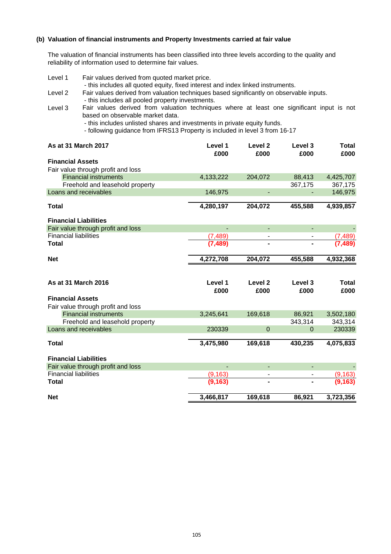## **(b) Valuation of financial instruments and Property Investments carried at fair value**

The valuation of financial instruments has been classified into three levels according to the quality and reliability of information used to determine fair values.

| Level 1                      | Fair values derived from quoted market price.<br>- this includes all quoted equity, fixed interest and index linked instruments. |           |                          |          |              |
|------------------------------|----------------------------------------------------------------------------------------------------------------------------------|-----------|--------------------------|----------|--------------|
| Level 2                      | Fair values derived from valuation techniques based significantly on observable inputs.                                          |           |                          |          |              |
|                              | - this includes all pooled property investments.                                                                                 |           |                          |          |              |
| Level 3                      | Fair values derived from valuation techniques where at least one significant input is not                                        |           |                          |          |              |
|                              | based on observable market data.                                                                                                 |           |                          |          |              |
|                              | - this includes unlisted shares and investments in private equity funds.                                                         |           |                          |          |              |
|                              | - following guidance from IFRS13 Property is included in level 3 from 16-17                                                      |           |                          |          |              |
|                              | <b>As at 31 March 2017</b>                                                                                                       | Level 1   | Level 2                  | Level 3  | Total        |
|                              |                                                                                                                                  | £000      | £000                     | £000     | £000         |
| <b>Financial Assets</b>      |                                                                                                                                  |           |                          |          |              |
|                              | Fair value through profit and loss                                                                                               |           |                          |          |              |
|                              | <b>Financial instruments</b>                                                                                                     | 4,133,222 | 204,072                  | 88,413   | 4,425,707    |
|                              | Freehold and leasehold property                                                                                                  |           |                          | 367,175  | 367,175      |
|                              | Loans and receivables                                                                                                            | 146,975   | $\blacksquare$           |          | 146,975      |
| <b>Total</b>                 |                                                                                                                                  | 4,280,197 | 204,072                  | 455,588  | 4,939,857    |
|                              | <b>Financial Liabilities</b>                                                                                                     |           |                          |          |              |
|                              | Fair value through profit and loss                                                                                               |           |                          |          |              |
| <b>Financial liabilities</b> |                                                                                                                                  | (7, 489)  |                          |          | (7.489       |
| Total                        |                                                                                                                                  |           |                          |          |              |
| <b>Net</b>                   |                                                                                                                                  | 4,272,708 | 204,072                  | 455,588  | 4,932,368    |
|                              |                                                                                                                                  |           |                          |          |              |
|                              | As at 31 March 2016                                                                                                              | Level 1   | Level <sub>2</sub>       | Level 3  | <b>Total</b> |
|                              |                                                                                                                                  | £000      | £000                     | £000     | £000         |
| <b>Financial Assets</b>      |                                                                                                                                  |           |                          |          |              |
|                              | Fair value through profit and loss                                                                                               |           |                          |          |              |
|                              | <b>Financial instruments</b>                                                                                                     | 3,245,641 | 169,618                  | 86,921   | 3,502,180    |
|                              | Freehold and leasehold property                                                                                                  |           |                          | 343,314  | 343,314      |
|                              | Loans and receivables                                                                                                            | 230339    | $\Omega$                 | $\Omega$ | 230339       |
| <b>Total</b>                 |                                                                                                                                  | 3,475,980 | 169,618                  | 430,235  | 4,075,833    |
|                              | <b>Financial Liabilities</b>                                                                                                     |           |                          |          |              |
|                              | Fair value through profit and loss                                                                                               |           | $\overline{a}$           |          |              |
| <b>Financial liabilities</b> |                                                                                                                                  | (9, 163)  | $\overline{\phantom{a}}$ |          | (9.163       |
| Total                        |                                                                                                                                  | (9,163)   |                          |          |              |
| <b>Net</b>                   |                                                                                                                                  | 3,466,817 | 169,618                  | 86,921   | 3,723,356    |
|                              |                                                                                                                                  |           |                          |          |              |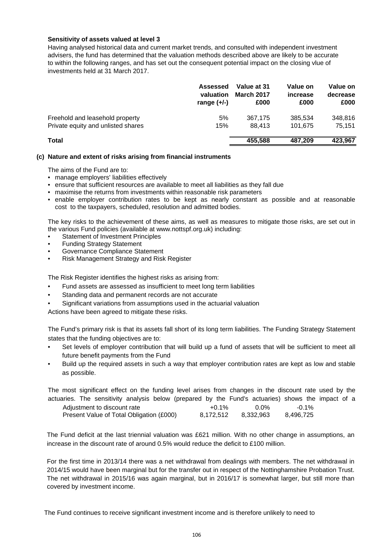## **Sensitivity of assets valued at level 3**

Having analysed historical data and current market trends, and consulted with independent investment advisers, the fund has determined that the valuation methods described above are likely to be accurate to within the following ranges, and has set out the consequent potential impact on the closing vlue of investments held at 31 March 2017.

|                                    | <b>Assessed</b><br>valuation<br>range $(+/-)$ | Value at 31<br><b>March 2017</b><br>£000 | Value on<br>increase<br>£000 | Value on<br>decrease<br>£000 |
|------------------------------------|-----------------------------------------------|------------------------------------------|------------------------------|------------------------------|
| Freehold and leasehold property    | 5%                                            | 367.175                                  | 385.534                      | 348,816                      |
| Private equity and unlisted shares | 15%                                           | 88.413                                   | 101.675                      | 75.151                       |
| <b>Total</b>                       |                                               | 455,588                                  | 487.209                      | 423,967                      |

## **(c) Nature and extent of risks arising from financial instruments**

The aims of the Fund are to:

- manage employers' liabilities effectively
- ensure that sufficient resources are available to meet all liabilities as they fall due
- maximise the returns from investments within reasonable risk parameters
- enable employer contribution rates to be kept as nearly constant as possible and at reasonable cost to the taxpayers, scheduled, resolution and admitted bodies.

The key risks to the achievement of these aims, as well as measures to mitigate those risks, are set out in the various Fund policies (available at www.nottspf.org.uk) including:

- Statement of Investment Principles
- Funding Strategy Statement
- Governance Compliance Statement
- Risk Management Strategy and Risk Register

The Risk Register identifies the highest risks as arising from:

- Fund assets are assessed as insufficient to meet long term liabilities
- Standing data and permanent records are not accurate
- Significant variations from assumptions used in the actuarial valuation

Actions have been agreed to mitigate these risks.

The Fund's primary risk is that its assets fall short of its long term liabilities. The Funding Strategy Statement states that the funding objectives are to:

- Set levels of employer contribution that will build up a fund of assets that will be sufficient to meet all future benefit payments from the Fund
- Build up the required assets in such a way that employer contribution rates are kept as low and stable as possible.

| The most significant effect on the funding level arises from changes in the discount rate used by the |           |           |           |  |
|-------------------------------------------------------------------------------------------------------|-----------|-----------|-----------|--|
| actuaries. The sensitivity analysis below (prepared by the Fund's actuaries) shows the impact of a    |           |           |           |  |
| Adjustment to discount rate                                                                           | $+0.1\%$  | $0.0\%$   | -0.1%     |  |
| Present Value of Total Obligation (£000)                                                              | 8.172.512 | 8.332.963 | 8.496.725 |  |

The Fund deficit at the last triennial valuation was £621 million. With no other change in assumptions, an increase in the discount rate of around 0.5% would reduce the deficit to £100 million.

For the first time in 2013/14 there was a net withdrawal from dealings with members. The net withdrawal in 2014/15 would have been marginal but for the transfer out in respect of the Nottinghamshire Probation Trust. The net withdrawal in 2015/16 was again marginal, but in 2016/17 is somewhat larger, but still more than covered by investment income.

The Fund continues to receive significant investment income and is therefore unlikely to need to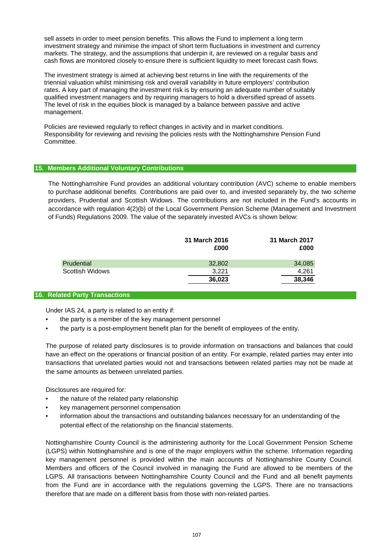sell assets in order to meet pension benefits. This allows the Fund to implement a long term investment strategy and minimise the impact of short term fluctuations in investment and currency markets. The strategy, and the assumptions that underpin it, are reviewed on a regular basis and cash flows are monitored closely to ensure there is sufficient liquidity to meet forecast cash flows.

The investment strategy is aimed at achieving best returns in line with the requirements of the triennial valuation whilst minimising risk and overall variability in future employers' contribution rates. A key part of managing the investment risk is by ensuring an adequate number of suitably qualified investment managers and by requiring managers to hold a diversified spread of assets. The level of risk in the equities block is managed by a balance between passive and active management.

Policies are reviewed regularly to reflect changes in activity and in market conditions. Responsibility for reviewing and revising the policies rests with the Nottinghamshire Pension Fund Committee.

## **15. Members Additional Voluntary Contributions**

The Nottinghamshire Fund provides an additional voluntary contribution (AVC) scheme to enable members to purchase additional benefits. Contributions are paid over to, and invested separately by, the two scheme providers, Prudential and Scottish Widows. The contributions are not included in the Fund's accounts in accordance with regulation 4(2)(b) of the Local Government Pension Scheme (Management and Investment of Funds) Regulations 2009. The value of the separately invested AVCs is shown below:

|                 | 31 March 2016<br>£000 | 31 March 2017<br>£000 |
|-----------------|-----------------------|-----------------------|
| Prudential      | 32,802                | 34,085                |
| Scottish Widows | 3.221                 | 4.261                 |
|                 | 36,023                | 38,346                |

## **16. Related Party Transactions**

Under IAS 24, a party is related to an entity if:

- the party is a member of the key management personnel
- the party is a post-employment benefit plan for the benefit of employees of the entity.

The purpose of related party disclosures is to provide information on transactions and balances that could have an effect on the operations or financial position of an entity. For example, related parties may enter into transactions that unrelated parties would not and transactions between related parties may not be made at the same amounts as between unrelated parties.

Disclosures are required for:

- the nature of the related party relationship
- key management personnel compensation
- information about the transactions and outstanding balances necessary for an understanding of the potential effect of the relationship on the financial statements.

Nottinghamshire County Council is the administering authority for the Local Government Pension Scheme (LGPS) within Nottinghamshire and is one of the major employers within the scheme. Information regarding key management personnel is provided within the main accounts of Nottinghamshire County Council. Members and officers of the Council involved in managing the Fund are allowed to be members of the LGPS. All transactions between Nottinghamshire County Council and the Fund and all benefit payments from the Fund are in accordance with the regulations governing the LGPS. There are no transactions therefore that are made on a different basis from those with non-related parties.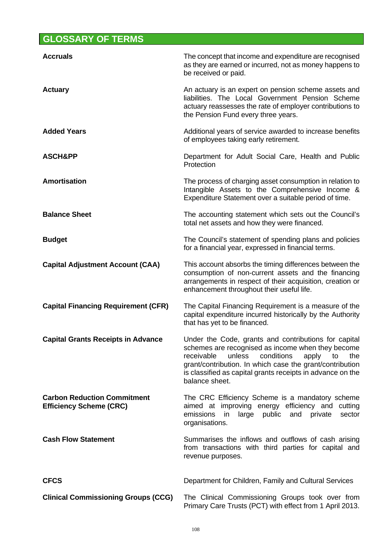# **GLOSSARY OF TERMS**

| <b>Accruals</b>                                                      | The concept that income and expenditure are recognised<br>as they are earned or incurred, not as money happens to<br>be received or paid.                                                                                                                                                                         |
|----------------------------------------------------------------------|-------------------------------------------------------------------------------------------------------------------------------------------------------------------------------------------------------------------------------------------------------------------------------------------------------------------|
| <b>Actuary</b>                                                       | An actuary is an expert on pension scheme assets and<br>liabilities. The Local Government Pension Scheme<br>actuary reassesses the rate of employer contributions to<br>the Pension Fund every three years.                                                                                                       |
| <b>Added Years</b>                                                   | Additional years of service awarded to increase benefits<br>of employees taking early retirement.                                                                                                                                                                                                                 |
| <b>ASCH&amp;PP</b>                                                   | Department for Adult Social Care, Health and Public<br>Protection                                                                                                                                                                                                                                                 |
| <b>Amortisation</b>                                                  | The process of charging asset consumption in relation to<br>Intangible Assets to the Comprehensive Income &<br>Expenditure Statement over a suitable period of time.                                                                                                                                              |
| <b>Balance Sheet</b>                                                 | The accounting statement which sets out the Council's<br>total net assets and how they were financed.                                                                                                                                                                                                             |
| <b>Budget</b>                                                        | The Council's statement of spending plans and policies<br>for a financial year, expressed in financial terms.                                                                                                                                                                                                     |
| <b>Capital Adjustment Account (CAA)</b>                              | This account absorbs the timing differences between the<br>consumption of non-current assets and the financing<br>arrangements in respect of their acquisition, creation or<br>enhancement throughout their useful life.                                                                                          |
| <b>Capital Financing Requirement (CFR)</b>                           | The Capital Financing Requirement is a measure of the<br>capital expenditure incurred historically by the Authority<br>that has yet to be financed.                                                                                                                                                               |
| <b>Capital Grants Receipts in Advance</b>                            | Under the Code, grants and contributions for capital<br>schemes are recognised as income when they become<br>unless<br>receivable<br>conditions<br>apply<br>to<br>the<br>grant/contribution. In which case the grant/contribution<br>is classified as capital grants receipts in advance on the<br>balance sheet. |
| <b>Carbon Reduction Commitment</b><br><b>Efficiency Scheme (CRC)</b> | The CRC Efficiency Scheme is a mandatory scheme<br>aimed at improving energy efficiency and cutting<br>public and private<br>emissions<br>in<br>large<br>sector<br>organisations.                                                                                                                                 |
| <b>Cash Flow Statement</b>                                           | Summarises the inflows and outflows of cash arising<br>from transactions with third parties for capital and<br>revenue purposes.                                                                                                                                                                                  |
| <b>CFCS</b>                                                          | Department for Children, Family and Cultural Services                                                                                                                                                                                                                                                             |
| <b>Clinical Commissioning Groups (CCG)</b>                           | The Clinical Commissioning Groups took over from<br>Primary Care Trusts (PCT) with effect from 1 April 2013.                                                                                                                                                                                                      |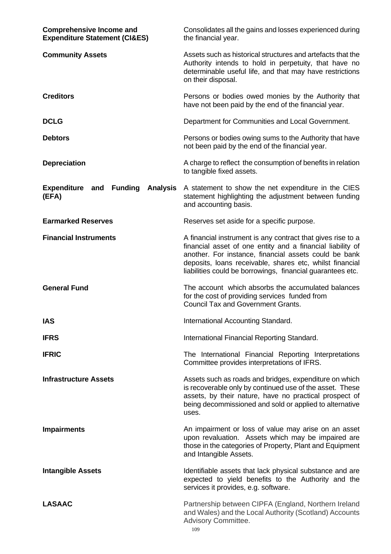| <b>Comprehensive Income and</b><br><b>Expenditure Statement (CI&amp;ES)</b> | Consolidates all the gains and losses experienced during<br>the financial year.                                                                                                                                                                                                                              |
|-----------------------------------------------------------------------------|--------------------------------------------------------------------------------------------------------------------------------------------------------------------------------------------------------------------------------------------------------------------------------------------------------------|
| <b>Community Assets</b>                                                     | Assets such as historical structures and artefacts that the<br>Authority intends to hold in perpetuity, that have no<br>determinable useful life, and that may have restrictions<br>on their disposal.                                                                                                       |
| <b>Creditors</b>                                                            | Persons or bodies owed monies by the Authority that<br>have not been paid by the end of the financial year.                                                                                                                                                                                                  |
| <b>DCLG</b>                                                                 | Department for Communities and Local Government.                                                                                                                                                                                                                                                             |
| <b>Debtors</b>                                                              | Persons or bodies owing sums to the Authority that have<br>not been paid by the end of the financial year.                                                                                                                                                                                                   |
| <b>Depreciation</b>                                                         | A charge to reflect the consumption of benefits in relation<br>to tangible fixed assets.                                                                                                                                                                                                                     |
| <b>Expenditure and</b><br><b>Funding</b><br><b>Analysis</b><br>(EFA)        | A statement to show the net expenditure in the CIES<br>statement highlighting the adjustment between funding<br>and accounting basis.                                                                                                                                                                        |
| <b>Earmarked Reserves</b>                                                   | Reserves set aside for a specific purpose.                                                                                                                                                                                                                                                                   |
| <b>Financial Instruments</b>                                                | A financial instrument is any contract that gives rise to a<br>financial asset of one entity and a financial liability of<br>another. For instance, financial assets could be bank<br>deposits, loans receivable, shares etc, whilst financial<br>liabilities could be borrowings, financial guarantees etc. |
| <b>General Fund</b>                                                         | The account which absorbs the accumulated balances<br>for the cost of providing services funded from<br><b>Council Tax and Government Grants.</b>                                                                                                                                                            |
| <b>IAS</b>                                                                  | International Accounting Standard.                                                                                                                                                                                                                                                                           |
| <b>IFRS</b>                                                                 | International Financial Reporting Standard.                                                                                                                                                                                                                                                                  |
| <b>IFRIC</b>                                                                | The International Financial Reporting Interpretations<br>Committee provides interpretations of IFRS.                                                                                                                                                                                                         |
| <b>Infrastructure Assets</b>                                                | Assets such as roads and bridges, expenditure on which<br>is recoverable only by continued use of the asset. These<br>assets, by their nature, have no practical prospect of<br>being decommissioned and sold or applied to alternative<br>uses.                                                             |
| <b>Impairments</b>                                                          | An impairment or loss of value may arise on an asset<br>upon revaluation. Assets which may be impaired are<br>those in the categories of Property, Plant and Equipment<br>and Intangible Assets.                                                                                                             |
| <b>Intangible Assets</b>                                                    | Identifiable assets that lack physical substance and are<br>expected to yield benefits to the Authority and the<br>services it provides, e.g. software.                                                                                                                                                      |
| <b>LASAAC</b>                                                               | Partnership between CIPFA (England, Northern Ireland<br>and Wales) and the Local Authority (Scotland) Accounts<br>Advisory Committee.<br>109                                                                                                                                                                 |